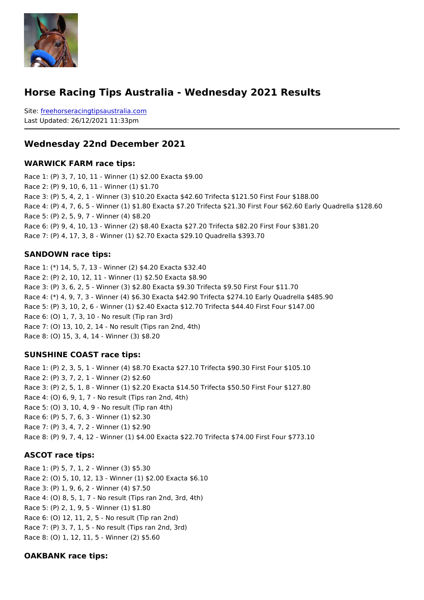#### Horse Racing Tips Australia - Wednesday 2021 Results

Sitefreehorseracingtipsaustralia.com Last Updated: 26/12/2021 11:33pm

Wednesday 22nd December 2021

WARWICK FARM race tips:

Race 1: (P) 3, 7, 10, 11 - Winner (1) \$2.00 Exacta \$9.00 Race 2: (P) 9, 10, 6, 11 - Winner (1) \$1.70 Race 3: (P) 5, 4, 2, 1 - Winner (3) \$10.20 Exacta \$42.60 Trifecta \$121.50 First Four \$1 Race 4: (P) 4, 7, 6, 5 - Winner (1) \$1.80 Exacta \$7.20 Trifecta \$21.30 First Four \$62.6 Race 5: (P) 2, 5, 9, 7 - Winner (4) \$8.20 Race 6: (P) 9, 4, 10, 13 - Winner (2) \$8.40 Exacta \$27.20 Trifecta \$82.20 First Four \$3 Race 7: (P) 4, 17, 3, 8 - Winner (1) \$2.70 Exacta \$29.10 Quadrella \$393.70

#### SANDOWN race tips:

Race 1: (\*) 14, 5, 7, 13 - Winner (2) \$4.20 Exacta \$32.40 Race 2: (P) 2, 10, 12, 11 - Winner (1) \$2.50 Exacta \$8.90 Race 3: (P) 3, 6, 2, 5 - Winner (3) \$2.80 Exacta \$9.30 Trifecta \$9.50 First Four \$11.70 Race 4: (\*) 4, 9, 7, 3 - Winner (4) \$6.30 Exacta \$42.90 Trifecta \$274.10 Early Quadrell Race 5: (P) 3, 10, 2, 6 - Winner (1) \$2.40 Exacta \$12.70 Trifecta \$44.40 First Four \$14 Race 6: (O) 1, 7, 3, 10 - No result (Tip ran 3rd) Race 7: (O) 13, 10, 2, 14 - No result (Tips ran 2nd, 4th) Race 8: (O) 15, 3, 4, 14 - Winner (3) \$8.20

SUNSHINE COAST race tips:

Race 1: (P) 2, 3, 5, 1 - Winner (4) \$8.70 Exacta \$27.10 Trifecta \$90.30 First Four \$105.10 Race 2: (P) 3, 7, 2, 1 - Winner (2) \$2.60 Race 3: (P) 2, 5, 1, 8 - Winner (1) \$2.20 Exacta \$14.50 Trifecta \$50.50 First Four \$127.80 Race 4: (O) 6, 9, 1, 7 - No result (Tips ran 2nd, 4th) Race 5: (O) 3, 10, 4, 9 - No result (Tip ran 4th) Race 6: (P) 5, 7, 6, 3 - Winner (1) \$2.30 Race 7: (P) 3, 4, 7, 2 - Winner (1) \$2.90 Race 8: (P) 9, 7, 4, 12 - Winner (1) \$4.00 Exacta \$22.70 Trifecta \$74.00 First Four \$773.10

ASCOT race tips:

Race 1: (P) 5, 7, 1, 2 - Winner (3) \$5.30 Race 2: (O) 5, 10, 12, 13 - Winner (1) \$2.00 Exacta \$6.10 Race 3: (P) 1, 9, 6, 2 - Winner (4) \$7.50 Race 4: (O) 8, 5, 1, 7 - No result (Tips ran 2nd, 3rd, 4th) Race 5: (P) 2, 1, 9, 5 - Winner (1) \$1.80 Race 6: (O) 12, 11, 2, 5 - No result (Tip ran 2nd) Race 7: (P) 3, 7, 1, 5 - No result (Tips ran 2nd, 3rd) Race 8: (O) 1, 12, 11, 5 - Winner (2) \$5.60

OAKBANK race tips: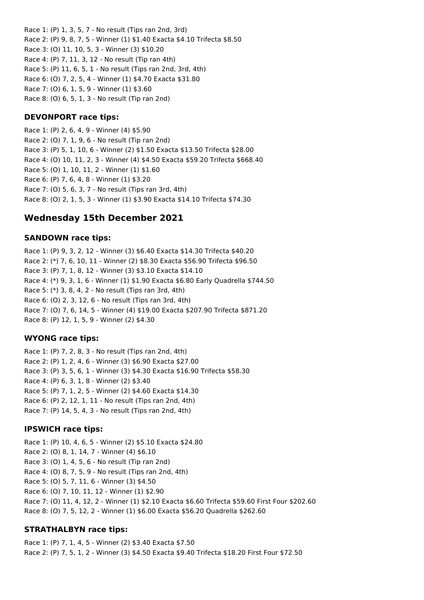Race 1: (P) 1, 3, 5, 7 - No result (Tips ran 2nd, 3rd) Race 2: (P) 9, 8, 7, 5 - Winner (1) \$1.40 Exacta \$4.10 Trifecta \$8.50 Race 3: (O) 11, 10, 5, 3 - Winner (3) \$10.20 Race 4: (P) 7, 11, 3, 12 - No result (Tip ran 4th) Race 5: (P) 11, 6, 5, 1 - No result (Tips ran 2nd, 3rd, 4th) Race 6: (O) 7, 2, 5, 4 - Winner (1) \$4.70 Exacta \$31.80 Race 7: (O) 6, 1, 5, 9 - Winner (1) \$3.60 Race 8: (O) 6, 5, 1, 3 - No result (Tip ran 2nd)

### **DEVONPORT race tips:**

Race 1: (P) 2, 6, 4, 9 - Winner (4) \$5.90 Race 2: (O) 7, 1, 9, 6 - No result (Tip ran 2nd) Race 3: (P) 5, 1, 10, 6 - Winner (2) \$1.50 Exacta \$13.50 Trifecta \$28.00 Race 4: (O) 10, 11, 2, 3 - Winner (4) \$4.50 Exacta \$59.20 Trifecta \$668.40 Race 5: (O) 1, 10, 11, 2 - Winner (1) \$1.60 Race 6: (P) 7, 6, 4, 8 - Winner (1) \$3.20 Race 7: (O) 5, 6, 3, 7 - No result (Tips ran 3rd, 4th) Race 8: (O) 2, 1, 5, 3 - Winner (1) \$3.90 Exacta \$14.10 Trifecta \$74.30

# **Wednesday 15th December 2021**

### **SANDOWN race tips:**

Race 1: (P) 9, 3, 2, 12 - Winner (3) \$6.40 Exacta \$14.30 Trifecta \$40.20 Race 2: (\*) 7, 6, 10, 11 - Winner (2) \$8.30 Exacta \$56.90 Trifecta \$96.50 Race 3: (P) 7, 1, 8, 12 - Winner (3) \$3.10 Exacta \$14.10 Race 4: (\*) 9, 3, 1, 6 - Winner (1) \$1.90 Exacta \$6.80 Early Quadrella \$744.50 Race 5: (\*) 3, 8, 4, 2 - No result (Tips ran 3rd, 4th) Race 6: (O) 2, 3, 12, 6 - No result (Tips ran 3rd, 4th) Race 7: (O) 7, 6, 14, 5 - Winner (4) \$19.00 Exacta \$207.90 Trifecta \$871.20 Race 8: (P) 12, 1, 5, 9 - Winner (2) \$4.30

### **WYONG race tips:**

Race 1: (P) 7, 2, 8, 3 - No result (Tips ran 2nd, 4th) Race 2: (P) 1, 2, 4, 6 - Winner (3) \$6.90 Exacta \$27.00 Race 3: (P) 3, 5, 6, 1 - Winner (3) \$4.30 Exacta \$16.90 Trifecta \$58.30 Race 4: (P) 6, 3, 1, 8 - Winner (2) \$3.40 Race 5: (P) 7, 1, 2, 5 - Winner (2) \$4.60 Exacta \$14.30 Race 6: (P) 2, 12, 1, 11 - No result (Tips ran 2nd, 4th) Race 7: (P) 14, 5, 4, 3 - No result (Tips ran 2nd, 4th)

# **IPSWICH race tips:**

Race 1: (P) 10, 4, 6, 5 - Winner (2) \$5.10 Exacta \$24.80 Race 2: (O) 8, 1, 14, 7 - Winner (4) \$6.10 Race 3: (O) 1, 4, 5, 6 - No result (Tip ran 2nd) Race 4: (O) 8, 7, 5, 9 - No result (Tips ran 2nd, 4th) Race 5: (O) 5, 7, 11, 6 - Winner (3) \$4.50 Race 6: (O) 7, 10, 11, 12 - Winner (1) \$2.90 Race 7: (O) 11, 4, 12, 2 - Winner (1) \$2.10 Exacta \$6.60 Trifecta \$59.60 First Four \$202.60 Race 8: (O) 7, 5, 12, 2 - Winner (1) \$6.00 Exacta \$56.20 Quadrella \$262.60

# **STRATHALBYN race tips:**

Race 1: (P) 7, 1, 4, 5 - Winner (2) \$3.40 Exacta \$7.50 Race 2: (P) 7, 5, 1, 2 - Winner (3) \$4.50 Exacta \$9.40 Trifecta \$18.20 First Four \$72.50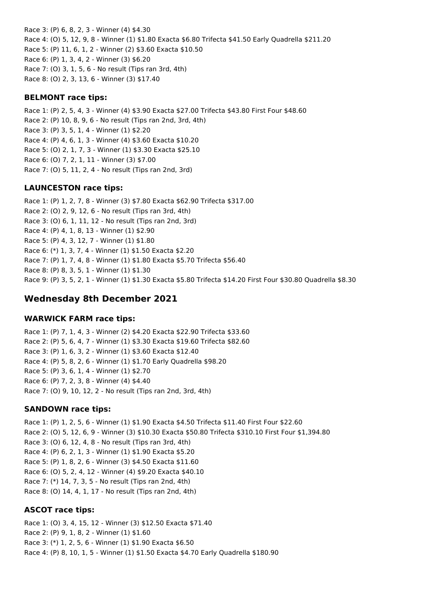Race 3: (P) 6, 8, 2, 3 - Winner (4) \$4.30 Race 4: (O) 5, 12, 9, 8 - Winner (1) \$1.80 Exacta \$6.80 Trifecta \$41.50 Early Quadrella \$211.20 Race 5: (P) 11, 6, 1, 2 - Winner (2) \$3.60 Exacta \$10.50 Race 6: (P) 1, 3, 4, 2 - Winner (3) \$6.20 Race 7: (O) 3, 1, 5, 6 - No result (Tips ran 3rd, 4th) Race 8: (O) 2, 3, 13, 6 - Winner (3) \$17.40

### **BELMONT race tips:**

Race 1: (P) 2, 5, 4, 3 - Winner (4) \$3.90 Exacta \$27.00 Trifecta \$43.80 First Four \$48.60 Race 2: (P) 10, 8, 9, 6 - No result (Tips ran 2nd, 3rd, 4th) Race 3: (P) 3, 5, 1, 4 - Winner (1) \$2.20 Race 4: (P) 4, 6, 1, 3 - Winner (4) \$3.60 Exacta \$10.20 Race 5: (O) 2, 1, 7, 3 - Winner (1) \$3.30 Exacta \$25.10 Race 6: (O) 7, 2, 1, 11 - Winner (3) \$7.00 Race 7: (O) 5, 11, 2, 4 - No result (Tips ran 2nd, 3rd)

### **LAUNCESTON race tips:**

Race 1: (P) 1, 2, 7, 8 - Winner (3) \$7.80 Exacta \$62.90 Trifecta \$317.00 Race 2: (O) 2, 9, 12, 6 - No result (Tips ran 3rd, 4th) Race 3: (O) 6, 1, 11, 12 - No result (Tips ran 2nd, 3rd) Race 4: (P) 4, 1, 8, 13 - Winner (1) \$2.90 Race 5: (P) 4, 3, 12, 7 - Winner (1) \$1.80 Race 6: (\*) 1, 3, 7, 4 - Winner (1) \$1.50 Exacta \$2.20 Race 7: (P) 1, 7, 4, 8 - Winner (1) \$1.80 Exacta \$5.70 Trifecta \$56.40 Race 8: (P) 8, 3, 5, 1 - Winner (1) \$1.30 Race 9: (P) 3, 5, 2, 1 - Winner (1) \$1.30 Exacta \$5.80 Trifecta \$14.20 First Four \$30.80 Quadrella \$8.30

# **Wednesday 8th December 2021**

#### **WARWICK FARM race tips:**

Race 1: (P) 7, 1, 4, 3 - Winner (2) \$4.20 Exacta \$22.90 Trifecta \$33.60 Race 2: (P) 5, 6, 4, 7 - Winner (1) \$3.30 Exacta \$19.60 Trifecta \$82.60 Race 3: (P) 1, 6, 3, 2 - Winner (1) \$3.60 Exacta \$12.40 Race 4: (P) 5, 8, 2, 6 - Winner (1) \$1.70 Early Quadrella \$98.20 Race 5: (P) 3, 6, 1, 4 - Winner (1) \$2.70 Race 6: (P) 7, 2, 3, 8 - Winner (4) \$4.40 Race 7: (O) 9, 10, 12, 2 - No result (Tips ran 2nd, 3rd, 4th)

#### **SANDOWN race tips:**

Race 1: (P) 1, 2, 5, 6 - Winner (1) \$1.90 Exacta \$4.50 Trifecta \$11.40 First Four \$22.60 Race 2: (O) 5, 12, 6, 9 - Winner (3) \$10.30 Exacta \$50.80 Trifecta \$310.10 First Four \$1,394.80 Race 3: (O) 6, 12, 4, 8 - No result (Tips ran 3rd, 4th) Race 4: (P) 6, 2, 1, 3 - Winner (1) \$1.90 Exacta \$5.20 Race 5: (P) 1, 8, 2, 6 - Winner (3) \$4.50 Exacta \$11.60 Race 6: (O) 5, 2, 4, 12 - Winner (4) \$9.20 Exacta \$40.10 Race 7: (\*) 14, 7, 3, 5 - No result (Tips ran 2nd, 4th) Race 8: (O) 14, 4, 1, 17 - No result (Tips ran 2nd, 4th)

#### **ASCOT race tips:**

Race 1: (O) 3, 4, 15, 12 - Winner (3) \$12.50 Exacta \$71.40 Race 2: (P) 9, 1, 8, 2 - Winner (1) \$1.60 Race 3: (\*) 1, 2, 5, 6 - Winner (1) \$1.90 Exacta \$6.50 Race 4: (P) 8, 10, 1, 5 - Winner (1) \$1.50 Exacta \$4.70 Early Quadrella \$180.90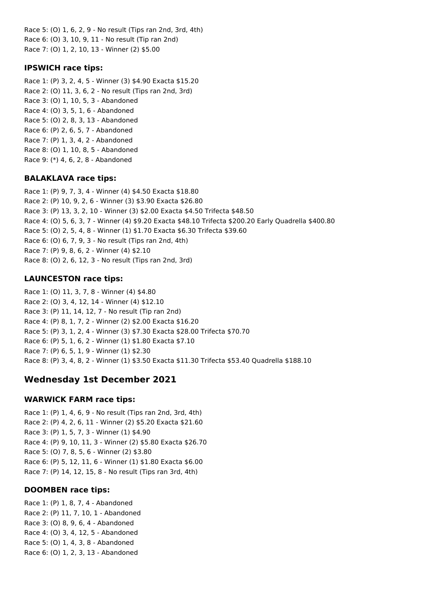Race 5: (O) 1, 6, 2, 9 - No result (Tips ran 2nd, 3rd, 4th) Race 6: (O) 3, 10, 9, 11 - No result (Tip ran 2nd) Race 7: (O) 1, 2, 10, 13 - Winner (2) \$5.00

### **IPSWICH race tips:**

Race 1: (P) 3, 2, 4, 5 - Winner (3) \$4.90 Exacta \$15.20 Race 2: (O) 11, 3, 6, 2 - No result (Tips ran 2nd, 3rd) Race 3: (O) 1, 10, 5, 3 - Abandoned Race 4: (O) 3, 5, 1, 6 - Abandoned Race 5: (O) 2, 8, 3, 13 - Abandoned Race 6: (P) 2, 6, 5, 7 - Abandoned Race 7: (P) 1, 3, 4, 2 - Abandoned Race 8: (O) 1, 10, 8, 5 - Abandoned Race 9: (\*) 4, 6, 2, 8 - Abandoned

## **BALAKLAVA race tips:**

Race 1: (P) 9, 7, 3, 4 - Winner (4) \$4.50 Exacta \$18.80 Race 2: (P) 10, 9, 2, 6 - Winner (3) \$3.90 Exacta \$26.80 Race 3: (P) 13, 3, 2, 10 - Winner (3) \$2.00 Exacta \$4.50 Trifecta \$48.50 Race 4: (O) 5, 6, 3, 7 - Winner (4) \$9.20 Exacta \$48.10 Trifecta \$200.20 Early Quadrella \$400.80 Race 5: (O) 2, 5, 4, 8 - Winner (1) \$1.70 Exacta \$6.30 Trifecta \$39.60 Race 6: (O) 6, 7, 9, 3 - No result (Tips ran 2nd, 4th) Race 7: (P) 9, 8, 6, 2 - Winner (4) \$2.10 Race 8: (O) 2, 6, 12, 3 - No result (Tips ran 2nd, 3rd)

# **LAUNCESTON race tips:**

Race 1: (O) 11, 3, 7, 8 - Winner (4) \$4.80 Race 2: (O) 3, 4, 12, 14 - Winner (4) \$12.10 Race 3: (P) 11, 14, 12, 7 - No result (Tip ran 2nd) Race 4: (P) 8, 1, 7, 2 - Winner (2) \$2.00 Exacta \$16.20 Race 5: (P) 3, 1, 2, 4 - Winner (3) \$7.30 Exacta \$28.00 Trifecta \$70.70 Race 6: (P) 5, 1, 6, 2 - Winner (1) \$1.80 Exacta \$7.10 Race 7: (P) 6, 5, 1, 9 - Winner (1) \$2.30 Race 8: (P) 3, 4, 8, 2 - Winner (1) \$3.50 Exacta \$11.30 Trifecta \$53.40 Quadrella \$188.10

# **Wednesday 1st December 2021**

# **WARWICK FARM race tips:**

Race 1: (P) 1, 4, 6, 9 - No result (Tips ran 2nd, 3rd, 4th) Race 2: (P) 4, 2, 6, 11 - Winner (2) \$5.20 Exacta \$21.60 Race 3: (P) 1, 5, 7, 3 - Winner (1) \$4.90 Race 4: (P) 9, 10, 11, 3 - Winner (2) \$5.80 Exacta \$26.70 Race 5: (O) 7, 8, 5, 6 - Winner (2) \$3.80 Race 6: (P) 5, 12, 11, 6 - Winner (1) \$1.80 Exacta \$6.00 Race 7: (P) 14, 12, 15, 8 - No result (Tips ran 3rd, 4th)

# **DOOMBEN race tips:**

Race 1: (P) 1, 8, 7, 4 - Abandoned Race 2: (P) 11, 7, 10, 1 - Abandoned Race 3: (O) 8, 9, 6, 4 - Abandoned Race 4: (O) 3, 4, 12, 5 - Abandoned Race 5: (O) 1, 4, 3, 8 - Abandoned Race 6: (O) 1, 2, 3, 13 - Abandoned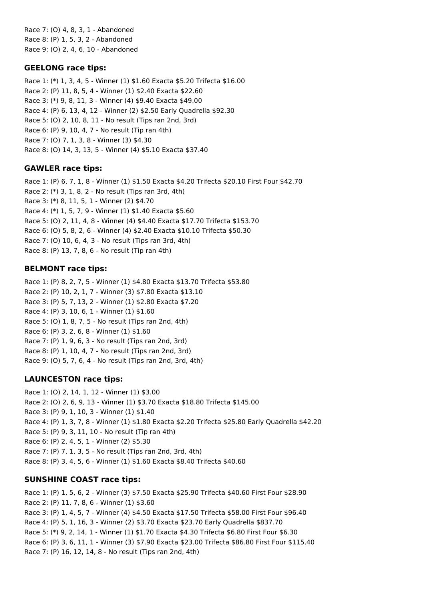Race 7: (O) 4, 8, 3, 1 - Abandoned Race 8: (P) 1, 5, 3, 2 - Abandoned Race 9: (O) 2, 4, 6, 10 - Abandoned

## **GEELONG race tips:**

Race 1: (\*) 1, 3, 4, 5 - Winner (1) \$1.60 Exacta \$5.20 Trifecta \$16.00 Race 2: (P) 11, 8, 5, 4 - Winner (1) \$2.40 Exacta \$22.60 Race 3: (\*) 9, 8, 11, 3 - Winner (4) \$9.40 Exacta \$49.00 Race 4: (P) 6, 13, 4, 12 - Winner (2) \$2.50 Early Quadrella \$92.30 Race 5: (O) 2, 10, 8, 11 - No result (Tips ran 2nd, 3rd) Race 6: (P) 9, 10, 4, 7 - No result (Tip ran 4th) Race 7: (O) 7, 1, 3, 8 - Winner (3) \$4.30 Race 8: (O) 14, 3, 13, 5 - Winner (4) \$5.10 Exacta \$37.40

## **GAWLER race tips:**

Race 1: (P) 6, 7, 1, 8 - Winner (1) \$1.50 Exacta \$4.20 Trifecta \$20.10 First Four \$42.70 Race 2: (\*) 3, 1, 8, 2 - No result (Tips ran 3rd, 4th) Race 3: (\*) 8, 11, 5, 1 - Winner (2) \$4.70 Race 4: (\*) 1, 5, 7, 9 - Winner (1) \$1.40 Exacta \$5.60 Race 5: (O) 2, 11, 4, 8 - Winner (4) \$4.40 Exacta \$17.70 Trifecta \$153.70 Race 6: (O) 5, 8, 2, 6 - Winner (4) \$2.40 Exacta \$10.10 Trifecta \$50.30 Race 7: (O) 10, 6, 4, 3 - No result (Tips ran 3rd, 4th) Race 8: (P) 13, 7, 8, 6 - No result (Tip ran 4th)

# **BELMONT race tips:**

Race 1: (P) 8, 2, 7, 5 - Winner (1) \$4.80 Exacta \$13.70 Trifecta \$53.80 Race 2: (P) 10, 2, 1, 7 - Winner (3) \$7.80 Exacta \$13.10 Race 3: (P) 5, 7, 13, 2 - Winner (1) \$2.80 Exacta \$7.20 Race 4: (P) 3, 10, 6, 1 - Winner (1) \$1.60 Race 5: (O) 1, 8, 7, 5 - No result (Tips ran 2nd, 4th) Race 6: (P) 3, 2, 6, 8 - Winner (1) \$1.60 Race 7: (P) 1, 9, 6, 3 - No result (Tips ran 2nd, 3rd) Race 8: (P) 1, 10, 4, 7 - No result (Tips ran 2nd, 3rd) Race 9: (O) 5, 7, 6, 4 - No result (Tips ran 2nd, 3rd, 4th)

# **LAUNCESTON race tips:**

Race 1: (O) 2, 14, 1, 12 - Winner (1) \$3.00 Race 2: (O) 2, 6, 9, 13 - Winner (1) \$3.70 Exacta \$18.80 Trifecta \$145.00 Race 3: (P) 9, 1, 10, 3 - Winner (1) \$1.40 Race 4: (P) 1, 3, 7, 8 - Winner (1) \$1.80 Exacta \$2.20 Trifecta \$25.80 Early Quadrella \$42.20 Race 5: (P) 9, 3, 11, 10 - No result (Tip ran 4th) Race 6: (P) 2, 4, 5, 1 - Winner (2) \$5.30 Race 7: (P) 7, 1, 3, 5 - No result (Tips ran 2nd, 3rd, 4th) Race 8: (P) 3, 4, 5, 6 - Winner (1) \$1.60 Exacta \$8.40 Trifecta \$40.60

# **SUNSHINE COAST race tips:**

Race 1: (P) 1, 5, 6, 2 - Winner (3) \$7.50 Exacta \$25.90 Trifecta \$40.60 First Four \$28.90 Race 2: (P) 11, 7, 8, 6 - Winner (1) \$3.60 Race 3: (P) 1, 4, 5, 7 - Winner (4) \$4.50 Exacta \$17.50 Trifecta \$58.00 First Four \$96.40 Race 4: (P) 5, 1, 16, 3 - Winner (2) \$3.70 Exacta \$23.70 Early Quadrella \$837.70 Race 5: (\*) 9, 2, 14, 1 - Winner (1) \$1.70 Exacta \$4.30 Trifecta \$6.80 First Four \$6.30 Race 6: (P) 3, 6, 11, 1 - Winner (3) \$7.90 Exacta \$23.00 Trifecta \$86.80 First Four \$115.40 Race 7: (P) 16, 12, 14, 8 - No result (Tips ran 2nd, 4th)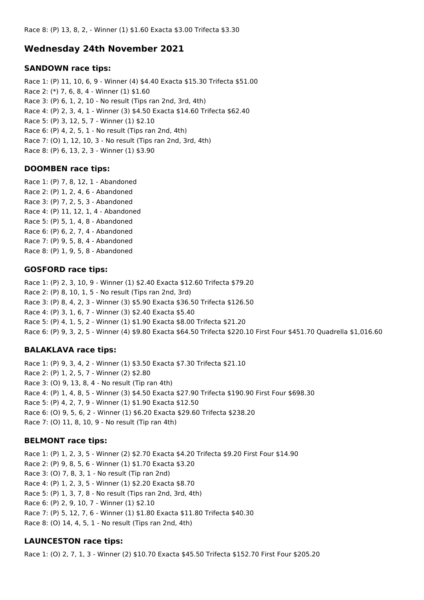## **Wednesday 24th November 2021**

#### **SANDOWN race tips:**

Race 1: (P) 11, 10, 6, 9 - Winner (4) \$4.40 Exacta \$15.30 Trifecta \$51.00 Race 2: (\*) 7, 6, 8, 4 - Winner (1) \$1.60 Race 3: (P) 6, 1, 2, 10 - No result (Tips ran 2nd, 3rd, 4th) Race 4: (P) 2, 3, 4, 1 - Winner (3) \$4.50 Exacta \$14.60 Trifecta \$62.40 Race 5: (P) 3, 12, 5, 7 - Winner (1) \$2.10 Race 6: (P) 4, 2, 5, 1 - No result (Tips ran 2nd, 4th) Race 7: (O) 1, 12, 10, 3 - No result (Tips ran 2nd, 3rd, 4th) Race 8: (P) 6, 13, 2, 3 - Winner (1) \$3.90

### **DOOMBEN race tips:**

Race 1: (P) 7, 8, 12, 1 - Abandoned Race 2: (P) 1, 2, 4, 6 - Abandoned Race 3: (P) 7, 2, 5, 3 - Abandoned Race 4: (P) 11, 12, 1, 4 - Abandoned Race 5: (P) 5, 1, 4, 8 - Abandoned Race 6: (P) 6, 2, 7, 4 - Abandoned Race 7: (P) 9, 5, 8, 4 - Abandoned Race 8: (P) 1, 9, 5, 8 - Abandoned

### **GOSFORD race tips:**

Race 1: (P) 2, 3, 10, 9 - Winner (1) \$2.40 Exacta \$12.60 Trifecta \$79.20 Race 2: (P) 8, 10, 1, 5 - No result (Tips ran 2nd, 3rd) Race 3: (P) 8, 4, 2, 3 - Winner (3) \$5.90 Exacta \$36.50 Trifecta \$126.50 Race 4: (P) 3, 1, 6, 7 - Winner (3) \$2.40 Exacta \$5.40 Race 5: (P) 4, 1, 5, 2 - Winner (1) \$1.90 Exacta \$8.00 Trifecta \$21.20 Race 6: (P) 9, 3, 2, 5 - Winner (4) \$9.80 Exacta \$64.50 Trifecta \$220.10 First Four \$451.70 Quadrella \$1,016.60

### **BALAKLAVA race tips:**

Race 1: (P) 9, 3, 4, 2 - Winner (1) \$3.50 Exacta \$7.30 Trifecta \$21.10 Race 2: (P) 1, 2, 5, 7 - Winner (2) \$2.80 Race 3: (O) 9, 13, 8, 4 - No result (Tip ran 4th) Race 4: (P) 1, 4, 8, 5 - Winner (3) \$4.50 Exacta \$27.90 Trifecta \$190.90 First Four \$698.30 Race 5: (P) 4, 2, 7, 9 - Winner (1) \$1.90 Exacta \$12.50 Race 6: (O) 9, 5, 6, 2 - Winner (1) \$6.20 Exacta \$29.60 Trifecta \$238.20 Race 7: (O) 11, 8, 10, 9 - No result (Tip ran 4th)

### **BELMONT race tips:**

Race 1: (P) 1, 2, 3, 5 - Winner (2) \$2.70 Exacta \$4.20 Trifecta \$9.20 First Four \$14.90 Race 2: (P) 9, 8, 5, 6 - Winner (1) \$1.70 Exacta \$3.20 Race 3: (O) 7, 8, 3, 1 - No result (Tip ran 2nd) Race 4: (P) 1, 2, 3, 5 - Winner (1) \$2.20 Exacta \$8.70 Race 5: (P) 1, 3, 7, 8 - No result (Tips ran 2nd, 3rd, 4th) Race 6: (P) 2, 9, 10, 7 - Winner (1) \$2.10 Race 7: (P) 5, 12, 7, 6 - Winner (1) \$1.80 Exacta \$11.80 Trifecta \$40.30 Race 8: (O) 14, 4, 5, 1 - No result (Tips ran 2nd, 4th)

### **LAUNCESTON race tips:**

Race 1: (O) 2, 7, 1, 3 - Winner (2) \$10.70 Exacta \$45.50 Trifecta \$152.70 First Four \$205.20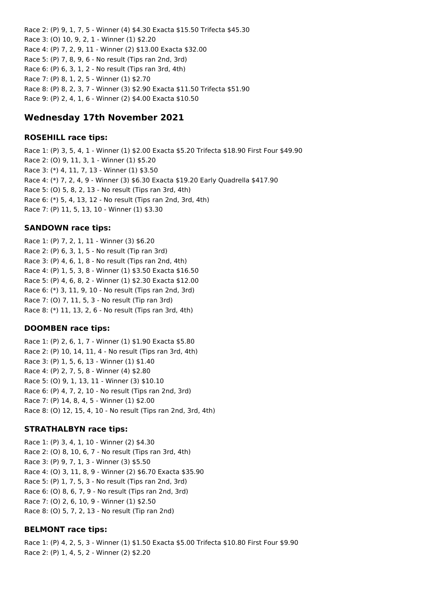Race 2: (P) 9, 1, 7, 5 - Winner (4) \$4.30 Exacta \$15.50 Trifecta \$45.30 Race 3: (O) 10, 9, 2, 1 - Winner (1) \$2.20 Race 4: (P) 7, 2, 9, 11 - Winner (2) \$13.00 Exacta \$32.00 Race 5: (P) 7, 8, 9, 6 - No result (Tips ran 2nd, 3rd) Race 6: (P) 6, 3, 1, 2 - No result (Tips ran 3rd, 4th) Race 7: (P) 8, 1, 2, 5 - Winner (1) \$2.70 Race 8: (P) 8, 2, 3, 7 - Winner (3) \$2.90 Exacta \$11.50 Trifecta \$51.90 Race 9: (P) 2, 4, 1, 6 - Winner (2) \$4.00 Exacta \$10.50

## **Wednesday 17th November 2021**

#### **ROSEHILL race tips:**

Race 1: (P) 3, 5, 4, 1 - Winner (1) \$2.00 Exacta \$5.20 Trifecta \$18.90 First Four \$49.90 Race 2: (O) 9, 11, 3, 1 - Winner (1) \$5.20 Race 3: (\*) 4, 11, 7, 13 - Winner (1) \$3.50 Race 4: (\*) 7, 2, 4, 9 - Winner (3) \$6.30 Exacta \$19.20 Early Quadrella \$417.90 Race 5: (O) 5, 8, 2, 13 - No result (Tips ran 3rd, 4th) Race 6: (\*) 5, 4, 13, 12 - No result (Tips ran 2nd, 3rd, 4th) Race 7: (P) 11, 5, 13, 10 - Winner (1) \$3.30

#### **SANDOWN race tips:**

Race 1: (P) 7, 2, 1, 11 - Winner (3) \$6.20 Race 2: (P) 6, 3, 1, 5 - No result (Tip ran 3rd) Race 3: (P) 4, 6, 1, 8 - No result (Tips ran 2nd, 4th) Race 4: (P) 1, 5, 3, 8 - Winner (1) \$3.50 Exacta \$16.50 Race 5: (P) 4, 6, 8, 2 - Winner (1) \$2.30 Exacta \$12.00 Race 6: (\*) 3, 11, 9, 10 - No result (Tips ran 2nd, 3rd) Race 7: (O) 7, 11, 5, 3 - No result (Tip ran 3rd) Race 8: (\*) 11, 13, 2, 6 - No result (Tips ran 3rd, 4th)

#### **DOOMBEN race tips:**

Race 1: (P) 2, 6, 1, 7 - Winner (1) \$1.90 Exacta \$5.80 Race 2: (P) 10, 14, 11, 4 - No result (Tips ran 3rd, 4th) Race 3: (P) 1, 5, 6, 13 - Winner (1) \$1.40 Race 4: (P) 2, 7, 5, 8 - Winner (4) \$2.80 Race 5: (O) 9, 1, 13, 11 - Winner (3) \$10.10 Race 6: (P) 4, 7, 2, 10 - No result (Tips ran 2nd, 3rd) Race 7: (P) 14, 8, 4, 5 - Winner (1) \$2.00 Race 8: (O) 12, 15, 4, 10 - No result (Tips ran 2nd, 3rd, 4th)

#### **STRATHALBYN race tips:**

Race 1: (P) 3, 4, 1, 10 - Winner (2) \$4.30 Race 2: (O) 8, 10, 6, 7 - No result (Tips ran 3rd, 4th) Race 3: (P) 9, 7, 1, 3 - Winner (3) \$5.50 Race 4: (O) 3, 11, 8, 9 - Winner (2) \$6.70 Exacta \$35.90 Race 5: (P) 1, 7, 5, 3 - No result (Tips ran 2nd, 3rd) Race 6: (O) 8, 6, 7, 9 - No result (Tips ran 2nd, 3rd) Race 7: (O) 2, 6, 10, 9 - Winner (1) \$2.50 Race 8: (O) 5, 7, 2, 13 - No result (Tip ran 2nd)

#### **BELMONT race tips:**

Race 1: (P) 4, 2, 5, 3 - Winner (1) \$1.50 Exacta \$5.00 Trifecta \$10.80 First Four \$9.90 Race 2: (P) 1, 4, 5, 2 - Winner (2) \$2.20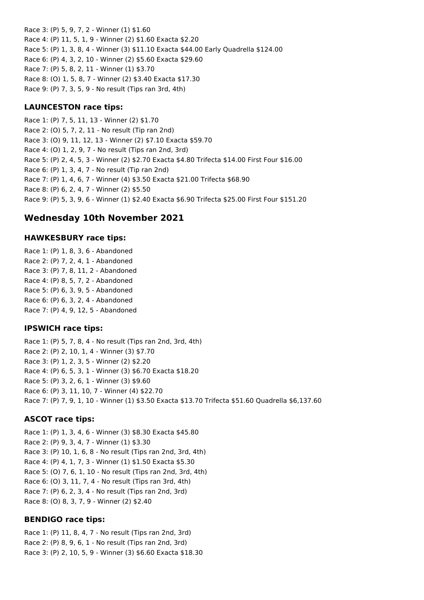Race 3: (P) 5, 9, 7, 2 - Winner (1) \$1.60 Race 4: (P) 11, 5, 1, 9 - Winner (2) \$1.60 Exacta \$2.20 Race 5: (P) 1, 3, 8, 4 - Winner (3) \$11.10 Exacta \$44.00 Early Quadrella \$124.00 Race 6: (P) 4, 3, 2, 10 - Winner (2) \$5.60 Exacta \$29.60 Race 7: (P) 5, 8, 2, 11 - Winner (1) \$3.70 Race 8: (O) 1, 5, 8, 7 - Winner (2) \$3.40 Exacta \$17.30 Race 9: (P) 7, 3, 5, 9 - No result (Tips ran 3rd, 4th)

### **LAUNCESTON race tips:**

Race 1: (P) 7, 5, 11, 13 - Winner (2) \$1.70 Race 2: (O) 5, 7, 2, 11 - No result (Tip ran 2nd) Race 3: (O) 9, 11, 12, 13 - Winner (2) \$7.10 Exacta \$59.70 Race 4: (O) 1, 2, 9, 7 - No result (Tips ran 2nd, 3rd) Race 5: (P) 2, 4, 5, 3 - Winner (2) \$2.70 Exacta \$4.80 Trifecta \$14.00 First Four \$16.00 Race 6: (P) 1, 3, 4, 7 - No result (Tip ran 2nd) Race 7: (P) 1, 4, 6, 7 - Winner (4) \$3.50 Exacta \$21.00 Trifecta \$68.90 Race 8: (P) 6, 2, 4, 7 - Winner (2) \$5.50 Race 9: (P) 5, 3, 9, 6 - Winner (1) \$2.40 Exacta \$6.90 Trifecta \$25.00 First Four \$151.20

# **Wednesday 10th November 2021**

### **HAWKESBURY race tips:**

Race 1: (P) 1, 8, 3, 6 - Abandoned Race 2: (P) 7, 2, 4, 1 - Abandoned Race 3: (P) 7, 8, 11, 2 - Abandoned Race 4: (P) 8, 5, 7, 2 - Abandoned Race 5: (P) 6, 3, 9, 5 - Abandoned Race 6: (P) 6, 3, 2, 4 - Abandoned Race 7: (P) 4, 9, 12, 5 - Abandoned

### **IPSWICH race tips:**

Race 1: (P) 5, 7, 8, 4 - No result (Tips ran 2nd, 3rd, 4th) Race 2: (P) 2, 10, 1, 4 - Winner (3) \$7.70 Race 3: (P) 1, 2, 3, 5 - Winner (2) \$2.20 Race 4: (P) 6, 5, 3, 1 - Winner (3) \$6.70 Exacta \$18.20 Race 5: (P) 3, 2, 6, 1 - Winner (3) \$9.60 Race 6: (P) 3, 11, 10, 7 - Winner (4) \$22.70 Race 7: (P) 7, 9, 1, 10 - Winner (1) \$3.50 Exacta \$13.70 Trifecta \$51.60 Quadrella \$6,137.60

### **ASCOT race tips:**

Race 1: (P) 1, 3, 4, 6 - Winner (3) \$8.30 Exacta \$45.80 Race 2: (P) 9, 3, 4, 7 - Winner (1) \$3.30 Race 3: (P) 10, 1, 6, 8 - No result (Tips ran 2nd, 3rd, 4th) Race 4: (P) 4, 1, 7, 3 - Winner (1) \$1.50 Exacta \$5.30 Race 5: (O) 7, 6, 1, 10 - No result (Tips ran 2nd, 3rd, 4th) Race 6: (O) 3, 11, 7, 4 - No result (Tips ran 3rd, 4th) Race 7: (P) 6, 2, 3, 4 - No result (Tips ran 2nd, 3rd) Race 8: (O) 8, 3, 7, 9 - Winner (2) \$2.40

### **BENDIGO race tips:**

Race 1: (P) 11, 8, 4, 7 - No result (Tips ran 2nd, 3rd) Race 2: (P) 8, 9, 6, 1 - No result (Tips ran 2nd, 3rd) Race 3: (P) 2, 10, 5, 9 - Winner (3) \$6.60 Exacta \$18.30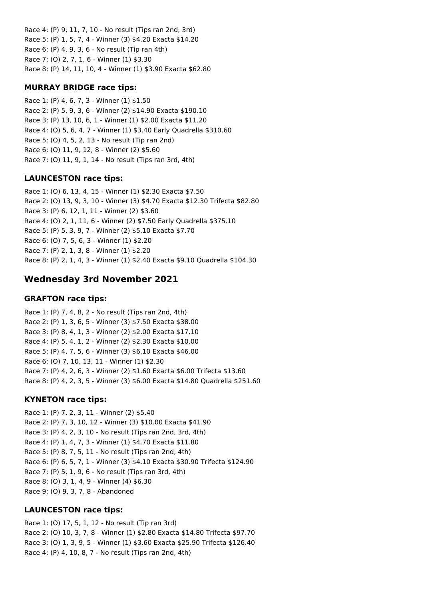Race 4: (P) 9, 11, 7, 10 - No result (Tips ran 2nd, 3rd) Race 5: (P) 1, 5, 7, 4 - Winner (3) \$4.20 Exacta \$14.20 Race 6: (P) 4, 9, 3, 6 - No result (Tip ran 4th) Race 7: (O) 2, 7, 1, 6 - Winner (1) \$3.30 Race 8: (P) 14, 11, 10, 4 - Winner (1) \$3.90 Exacta \$62.80

### **MURRAY BRIDGE race tips:**

Race 1: (P) 4, 6, 7, 3 - Winner (1) \$1.50 Race 2: (P) 5, 9, 3, 6 - Winner (2) \$14.90 Exacta \$190.10 Race 3: (P) 13, 10, 6, 1 - Winner (1) \$2.00 Exacta \$11.20 Race 4: (O) 5, 6, 4, 7 - Winner (1) \$3.40 Early Quadrella \$310.60 Race 5: (O) 4, 5, 2, 13 - No result (Tip ran 2nd) Race 6: (O) 11, 9, 12, 8 - Winner (2) \$5.60 Race 7: (O) 11, 9, 1, 14 - No result (Tips ran 3rd, 4th)

# **LAUNCESTON race tips:**

Race 1: (O) 6, 13, 4, 15 - Winner (1) \$2.30 Exacta \$7.50 Race 2: (O) 13, 9, 3, 10 - Winner (3) \$4.70 Exacta \$12.30 Trifecta \$82.80 Race 3: (P) 6, 12, 1, 11 - Winner (2) \$3.60 Race 4: (O) 2, 1, 11, 6 - Winner (2) \$7.50 Early Quadrella \$375.10 Race 5: (P) 5, 3, 9, 7 - Winner (2) \$5.10 Exacta \$7.70 Race 6: (O) 7, 5, 6, 3 - Winner (1) \$2.20 Race 7: (P) 2, 1, 3, 8 - Winner (1) \$2.20 Race 8: (P) 2, 1, 4, 3 - Winner (1) \$2.40 Exacta \$9.10 Quadrella \$104.30

# **Wednesday 3rd November 2021**

## **GRAFTON race tips:**

Race 1: (P) 7, 4, 8, 2 - No result (Tips ran 2nd, 4th) Race 2: (P) 1, 3, 6, 5 - Winner (3) \$7.50 Exacta \$38.00 Race 3: (P) 8, 4, 1, 3 - Winner (2) \$2.00 Exacta \$17.10 Race 4: (P) 5, 4, 1, 2 - Winner (2) \$2.30 Exacta \$10.00 Race 5: (P) 4, 7, 5, 6 - Winner (3) \$6.10 Exacta \$46.00 Race 6: (O) 7, 10, 13, 11 - Winner (1) \$2.30 Race 7: (P) 4, 2, 6, 3 - Winner (2) \$1.60 Exacta \$6.00 Trifecta \$13.60 Race 8: (P) 4, 2, 3, 5 - Winner (3) \$6.00 Exacta \$14.80 Quadrella \$251.60

# **KYNETON race tips:**

Race 1: (P) 7, 2, 3, 11 - Winner (2) \$5.40 Race 2: (P) 7, 3, 10, 12 - Winner (3) \$10.00 Exacta \$41.90 Race 3: (P) 4, 2, 3, 10 - No result (Tips ran 2nd, 3rd, 4th) Race 4: (P) 1, 4, 7, 3 - Winner (1) \$4.70 Exacta \$11.80 Race 5: (P) 8, 7, 5, 11 - No result (Tips ran 2nd, 4th) Race 6: (P) 6, 5, 7, 1 - Winner (3) \$4.10 Exacta \$30.90 Trifecta \$124.90 Race 7: (P) 5, 1, 9, 6 - No result (Tips ran 3rd, 4th) Race 8: (O) 3, 1, 4, 9 - Winner (4) \$6.30 Race 9: (O) 9, 3, 7, 8 - Abandoned

# **LAUNCESTON race tips:**

Race 1: (O) 17, 5, 1, 12 - No result (Tip ran 3rd) Race 2: (O) 10, 3, 7, 8 - Winner (1) \$2.80 Exacta \$14.80 Trifecta \$97.70 Race 3: (O) 1, 3, 9, 5 - Winner (1) \$3.60 Exacta \$25.90 Trifecta \$126.40 Race 4: (P) 4, 10, 8, 7 - No result (Tips ran 2nd, 4th)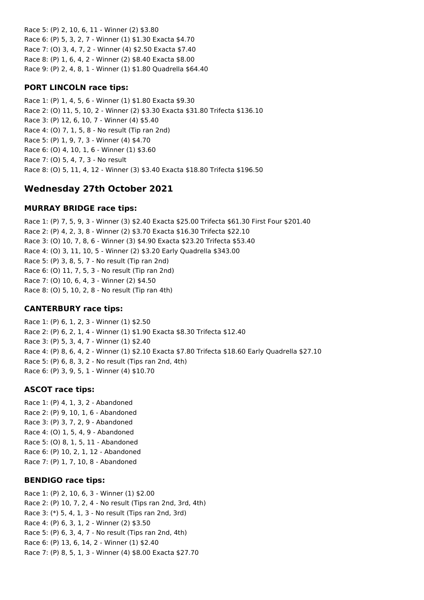Race 5: (P) 2, 10, 6, 11 - Winner (2) \$3.80 Race 6: (P) 5, 3, 2, 7 - Winner (1) \$1.30 Exacta \$4.70 Race 7: (O) 3, 4, 7, 2 - Winner (4) \$2.50 Exacta \$7.40 Race 8: (P) 1, 6, 4, 2 - Winner (2) \$8.40 Exacta \$8.00 Race 9: (P) 2, 4, 8, 1 - Winner (1) \$1.80 Quadrella \$64.40

### **PORT LINCOLN race tips:**

Race 1: (P) 1, 4, 5, 6 - Winner (1) \$1.80 Exacta \$9.30 Race 2: (O) 11, 5, 10, 2 - Winner (2) \$3.30 Exacta \$31.80 Trifecta \$136.10 Race 3: (P) 12, 6, 10, 7 - Winner (4) \$5.40 Race 4: (O) 7, 1, 5, 8 - No result (Tip ran 2nd) Race 5: (P) 1, 9, 7, 3 - Winner (4) \$4.70 Race 6: (O) 4, 10, 1, 6 - Winner (1) \$3.60 Race 7: (O) 5, 4, 7, 3 - No result Race 8: (O) 5, 11, 4, 12 - Winner (3) \$3.40 Exacta \$18.80 Trifecta \$196.50

# **Wednesday 27th October 2021**

### **MURRAY BRIDGE race tips:**

Race 1: (P) 7, 5, 9, 3 - Winner (3) \$2.40 Exacta \$25.00 Trifecta \$61.30 First Four \$201.40 Race 2: (P) 4, 2, 3, 8 - Winner (2) \$3.70 Exacta \$16.30 Trifecta \$22.10 Race 3: (O) 10, 7, 8, 6 - Winner (3) \$4.90 Exacta \$23.20 Trifecta \$53.40 Race 4: (O) 3, 11, 10, 5 - Winner (2) \$3.20 Early Quadrella \$343.00 Race 5: (P) 3, 8, 5, 7 - No result (Tip ran 2nd) Race 6: (O) 11, 7, 5, 3 - No result (Tip ran 2nd) Race 7: (O) 10, 6, 4, 3 - Winner (2) \$4.50 Race 8: (O) 5, 10, 2, 8 - No result (Tip ran 4th)

#### **CANTERBURY race tips:**

Race 1: (P) 6, 1, 2, 3 - Winner (1) \$2.50 Race 2: (P) 6, 2, 1, 4 - Winner (1) \$1.90 Exacta \$8.30 Trifecta \$12.40 Race 3: (P) 5, 3, 4, 7 - Winner (1) \$2.40 Race 4: (P) 8, 6, 4, 2 - Winner (1) \$2.10 Exacta \$7.80 Trifecta \$18.60 Early Quadrella \$27.10 Race 5: (P) 6, 8, 3, 2 - No result (Tips ran 2nd, 4th) Race 6: (P) 3, 9, 5, 1 - Winner (4) \$10.70

#### **ASCOT race tips:**

Race 1: (P) 4, 1, 3, 2 - Abandoned Race 2: (P) 9, 10, 1, 6 - Abandoned Race 3: (P) 3, 7, 2, 9 - Abandoned Race 4: (O) 1, 5, 4, 9 - Abandoned Race 5: (O) 8, 1, 5, 11 - Abandoned Race 6: (P) 10, 2, 1, 12 - Abandoned Race 7: (P) 1, 7, 10, 8 - Abandoned

#### **BENDIGO race tips:**

Race 1: (P) 2, 10, 6, 3 - Winner (1) \$2.00 Race 2: (P) 10, 7, 2, 4 - No result (Tips ran 2nd, 3rd, 4th) Race 3: (\*) 5, 4, 1, 3 - No result (Tips ran 2nd, 3rd) Race 4: (P) 6, 3, 1, 2 - Winner (2) \$3.50 Race 5: (P) 6, 3, 4, 7 - No result (Tips ran 2nd, 4th) Race 6: (P) 13, 6, 14, 2 - Winner (1) \$2.40 Race 7: (P) 8, 5, 1, 3 - Winner (4) \$8.00 Exacta \$27.70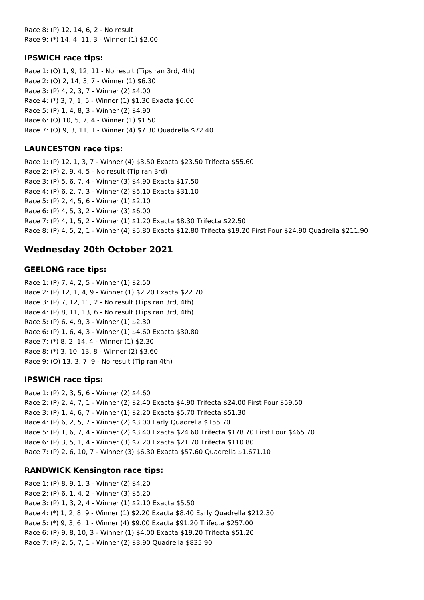Race 8: (P) 12, 14, 6, 2 - No result Race 9: (\*) 14, 4, 11, 3 - Winner (1) \$2.00

### **IPSWICH race tips:**

Race 1: (O) 1, 9, 12, 11 - No result (Tips ran 3rd, 4th) Race 2: (O) 2, 14, 3, 7 - Winner (1) \$6.30 Race 3: (P) 4, 2, 3, 7 - Winner (2) \$4.00 Race 4: (\*) 3, 7, 1, 5 - Winner (1) \$1.30 Exacta \$6.00 Race 5: (P) 1, 4, 8, 3 - Winner (2) \$4.90 Race 6: (O) 10, 5, 7, 4 - Winner (1) \$1.50 Race 7: (O) 9, 3, 11, 1 - Winner (4) \$7.30 Quadrella \$72.40

### **LAUNCESTON race tips:**

Race 1: (P) 12, 1, 3, 7 - Winner (4) \$3.50 Exacta \$23.50 Trifecta \$55.60 Race 2: (P) 2, 9, 4, 5 - No result (Tip ran 3rd) Race 3: (P) 5, 6, 7, 4 - Winner (3) \$4.90 Exacta \$17.50 Race 4: (P) 6, 2, 7, 3 - Winner (2) \$5.10 Exacta \$31.10 Race 5: (P) 2, 4, 5, 6 - Winner (1) \$2.10 Race 6: (P) 4, 5, 3, 2 - Winner (3) \$6.00 Race 7: (P) 4, 1, 5, 2 - Winner (1) \$1.20 Exacta \$8.30 Trifecta \$22.50 Race 8: (P) 4, 5, 2, 1 - Winner (4) \$5.80 Exacta \$12.80 Trifecta \$19.20 First Four \$24.90 Quadrella \$211.90

# **Wednesday 20th October 2021**

### **GEELONG race tips:**

Race 1: (P) 7, 4, 2, 5 - Winner (1) \$2.50 Race 2: (P) 12, 1, 4, 9 - Winner (1) \$2.20 Exacta \$22.70 Race 3: (P) 7, 12, 11, 2 - No result (Tips ran 3rd, 4th) Race 4: (P) 8, 11, 13, 6 - No result (Tips ran 3rd, 4th) Race 5: (P) 6, 4, 9, 3 - Winner (1) \$2.30 Race 6: (P) 1, 6, 4, 3 - Winner (1) \$4.60 Exacta \$30.80 Race 7: (\*) 8, 2, 14, 4 - Winner (1) \$2.30 Race 8: (\*) 3, 10, 13, 8 - Winner (2) \$3.60 Race 9: (O) 13, 3, 7, 9 - No result (Tip ran 4th)

### **IPSWICH race tips:**

Race 1: (P) 2, 3, 5, 6 - Winner (2) \$4.60 Race 2: (P) 2, 4, 7, 1 - Winner (2) \$2.40 Exacta \$4.90 Trifecta \$24.00 First Four \$59.50 Race 3: (P) 1, 4, 6, 7 - Winner (1) \$2.20 Exacta \$5.70 Trifecta \$51.30 Race 4: (P) 6, 2, 5, 7 - Winner (2) \$3.00 Early Quadrella \$155.70 Race 5: (P) 1, 6, 7, 4 - Winner (2) \$3.40 Exacta \$24.60 Trifecta \$178.70 First Four \$465.70 Race 6: (P) 3, 5, 1, 4 - Winner (3) \$7.20 Exacta \$21.70 Trifecta \$110.80 Race 7: (P) 2, 6, 10, 7 - Winner (3) \$6.30 Exacta \$57.60 Quadrella \$1,671.10

### **RANDWICK Kensington race tips:**

Race 1: (P) 8, 9, 1, 3 - Winner (2) \$4.20 Race 2: (P) 6, 1, 4, 2 - Winner (3) \$5.20 Race 3: (P) 1, 3, 2, 4 - Winner (1) \$2.10 Exacta \$5.50 Race 4: (\*) 1, 2, 8, 9 - Winner (1) \$2.20 Exacta \$8.40 Early Quadrella \$212.30 Race 5: (\*) 9, 3, 6, 1 - Winner (4) \$9.00 Exacta \$91.20 Trifecta \$257.00 Race 6: (P) 9, 8, 10, 3 - Winner (1) \$4.00 Exacta \$19.20 Trifecta \$51.20 Race 7: (P) 2, 5, 7, 1 - Winner (2) \$3.90 Quadrella \$835.90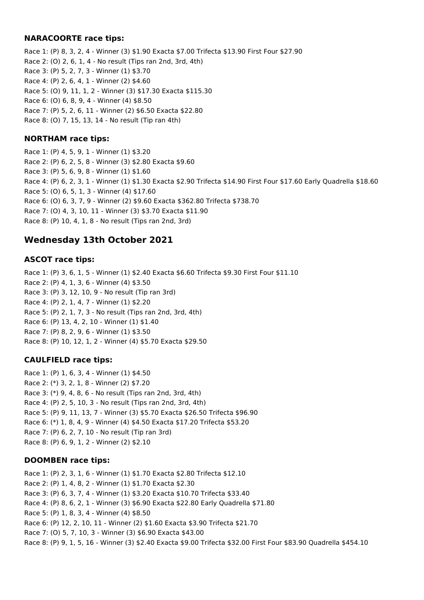### **NARACOORTE race tips:**

Race 1: (P) 8, 3, 2, 4 - Winner (3) \$1.90 Exacta \$7.00 Trifecta \$13.90 First Four \$27.90 Race 2: (O) 2, 6, 1, 4 - No result (Tips ran 2nd, 3rd, 4th) Race 3: (P) 5, 2, 7, 3 - Winner (1) \$3.70 Race 4: (P) 2, 6, 4, 1 - Winner (2) \$4.60 Race 5: (O) 9, 11, 1, 2 - Winner (3) \$17.30 Exacta \$115.30 Race 6: (O) 6, 8, 9, 4 - Winner (4) \$8.50 Race 7: (P) 5, 2, 6, 11 - Winner (2) \$6.50 Exacta \$22.80 Race 8: (O) 7, 15, 13, 14 - No result (Tip ran 4th)

### **NORTHAM race tips:**

Race 1: (P) 4, 5, 9, 1 - Winner (1) \$3.20 Race 2: (P) 6, 2, 5, 8 - Winner (3) \$2.80 Exacta \$9.60 Race 3: (P) 5, 6, 9, 8 - Winner (1) \$1.60 Race 4: (P) 6, 2, 3, 1 - Winner (1) \$1.30 Exacta \$2.90 Trifecta \$14.90 First Four \$17.60 Early Quadrella \$18.60 Race 5: (O) 6, 5, 1, 3 - Winner (4) \$17.60 Race 6: (O) 6, 3, 7, 9 - Winner (2) \$9.60 Exacta \$362.80 Trifecta \$738.70 Race 7: (O) 4, 3, 10, 11 - Winner (3) \$3.70 Exacta \$11.90 Race 8: (P) 10, 4, 1, 8 - No result (Tips ran 2nd, 3rd)

# **Wednesday 13th October 2021**

### **ASCOT race tips:**

Race 1: (P) 3, 6, 1, 5 - Winner (1) \$2.40 Exacta \$6.60 Trifecta \$9.30 First Four \$11.10 Race 2: (P) 4, 1, 3, 6 - Winner (4) \$3.50 Race 3: (P) 3, 12, 10, 9 - No result (Tip ran 3rd) Race 4: (P) 2, 1, 4, 7 - Winner (1) \$2.20 Race 5: (P) 2, 1, 7, 3 - No result (Tips ran 2nd, 3rd, 4th) Race 6: (P) 13, 4, 2, 10 - Winner (1) \$1.40 Race 7: (P) 8, 2, 9, 6 - Winner (1) \$3.50 Race 8: (P) 10, 12, 1, 2 - Winner (4) \$5.70 Exacta \$29.50

### **CAULFIELD race tips:**

Race 1: (P) 1, 6, 3, 4 - Winner (1) \$4.50 Race 2: (\*) 3, 2, 1, 8 - Winner (2) \$7.20 Race 3: (\*) 9, 4, 8, 6 - No result (Tips ran 2nd, 3rd, 4th) Race 4: (P) 2, 5, 10, 3 - No result (Tips ran 2nd, 3rd, 4th) Race 5: (P) 9, 11, 13, 7 - Winner (3) \$5.70 Exacta \$26.50 Trifecta \$96.90 Race 6: (\*) 1, 8, 4, 9 - Winner (4) \$4.50 Exacta \$17.20 Trifecta \$53.20 Race 7: (P) 6, 2, 7, 10 - No result (Tip ran 3rd) Race 8: (P) 6, 9, 1, 2 - Winner (2) \$2.10

### **DOOMBEN race tips:**

Race 1: (P) 2, 3, 1, 6 - Winner (1) \$1.70 Exacta \$2.80 Trifecta \$12.10 Race 2: (P) 1, 4, 8, 2 - Winner (1) \$1.70 Exacta \$2.30 Race 3: (P) 6, 3, 7, 4 - Winner (1) \$3.20 Exacta \$10.70 Trifecta \$33.40 Race 4: (P) 8, 6, 2, 1 - Winner (3) \$6.90 Exacta \$22.80 Early Quadrella \$71.80 Race 5: (P) 1, 8, 3, 4 - Winner (4) \$8.50 Race 6: (P) 12, 2, 10, 11 - Winner (2) \$1.60 Exacta \$3.90 Trifecta \$21.70 Race 7: (O) 5, 7, 10, 3 - Winner (3) \$6.90 Exacta \$43.00 Race 8: (P) 9, 1, 5, 16 - Winner (3) \$2.40 Exacta \$9.00 Trifecta \$32.00 First Four \$83.90 Quadrella \$454.10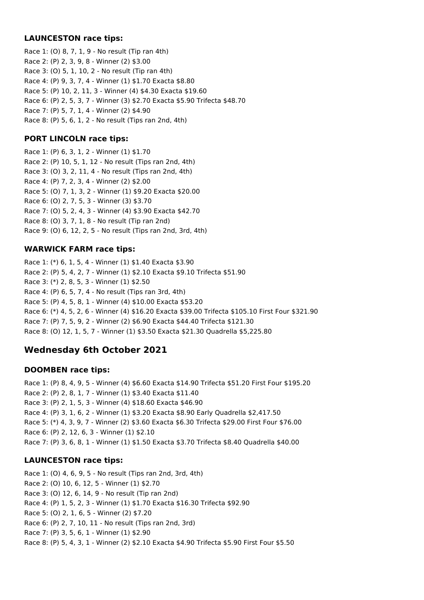### **LAUNCESTON race tips:**

Race 1: (O) 8, 7, 1, 9 - No result (Tip ran 4th) Race 2: (P) 2, 3, 9, 8 - Winner (2) \$3.00 Race 3: (O) 5, 1, 10, 2 - No result (Tip ran 4th) Race 4: (P) 9, 3, 7, 4 - Winner (1) \$1.70 Exacta \$8.80 Race 5: (P) 10, 2, 11, 3 - Winner (4) \$4.30 Exacta \$19.60 Race 6: (P) 2, 5, 3, 7 - Winner (3) \$2.70 Exacta \$5.90 Trifecta \$48.70 Race 7: (P) 5, 7, 1, 4 - Winner (2) \$4.90 Race 8: (P) 5, 6, 1, 2 - No result (Tips ran 2nd, 4th)

### **PORT LINCOLN race tips:**

Race 1: (P) 6, 3, 1, 2 - Winner (1) \$1.70 Race 2: (P) 10, 5, 1, 12 - No result (Tips ran 2nd, 4th) Race 3: (O) 3, 2, 11, 4 - No result (Tips ran 2nd, 4th) Race 4: (P) 7, 2, 3, 4 - Winner (2) \$2.00 Race 5: (O) 7, 1, 3, 2 - Winner (1) \$9.20 Exacta \$20.00 Race 6: (O) 2, 7, 5, 3 - Winner (3) \$3.70 Race 7: (O) 5, 2, 4, 3 - Winner (4) \$3.90 Exacta \$42.70 Race 8: (O) 3, 7, 1, 8 - No result (Tip ran 2nd) Race 9: (O) 6, 12, 2, 5 - No result (Tips ran 2nd, 3rd, 4th)

## **WARWICK FARM race tips:**

Race 1: (\*) 6, 1, 5, 4 - Winner (1) \$1.40 Exacta \$3.90 Race 2: (P) 5, 4, 2, 7 - Winner (1) \$2.10 Exacta \$9.10 Trifecta \$51.90 Race 3: (\*) 2, 8, 5, 3 - Winner (1) \$2.50 Race 4: (P) 6, 5, 7, 4 - No result (Tips ran 3rd, 4th) Race 5: (P) 4, 5, 8, 1 - Winner (4) \$10.00 Exacta \$53.20 Race 6: (\*) 4, 5, 2, 6 - Winner (4) \$16.20 Exacta \$39.00 Trifecta \$105.10 First Four \$321.90 Race 7: (P) 7, 5, 9, 2 - Winner (2) \$6.90 Exacta \$44.40 Trifecta \$121.30 Race 8: (O) 12, 1, 5, 7 - Winner (1) \$3.50 Exacta \$21.30 Quadrella \$5,225.80

# **Wednesday 6th October 2021**

### **DOOMBEN race tips:**

Race 1: (P) 8, 4, 9, 5 - Winner (4) \$6.60 Exacta \$14.90 Trifecta \$51.20 First Four \$195.20 Race 2: (P) 2, 8, 1, 7 - Winner (1) \$3.40 Exacta \$11.40 Race 3: (P) 2, 1, 5, 3 - Winner (4) \$18.60 Exacta \$46.90 Race 4: (P) 3, 1, 6, 2 - Winner (1) \$3.20 Exacta \$8.90 Early Quadrella \$2,417.50 Race 5: (\*) 4, 3, 9, 7 - Winner (2) \$3.60 Exacta \$6.30 Trifecta \$29.00 First Four \$76.00 Race 6: (P) 2, 12, 6, 3 - Winner (1) \$2.10 Race 7: (P) 3, 6, 8, 1 - Winner (1) \$1.50 Exacta \$3.70 Trifecta \$8.40 Quadrella \$40.00

# **LAUNCESTON race tips:**

Race 1: (O) 4, 6, 9, 5 - No result (Tips ran 2nd, 3rd, 4th) Race 2: (O) 10, 6, 12, 5 - Winner (1) \$2.70 Race 3: (O) 12, 6, 14, 9 - No result (Tip ran 2nd) Race 4: (P) 1, 5, 2, 3 - Winner (1) \$1.70 Exacta \$16.30 Trifecta \$92.90 Race 5: (O) 2, 1, 6, 5 - Winner (2) \$7.20 Race 6: (P) 2, 7, 10, 11 - No result (Tips ran 2nd, 3rd) Race 7: (P) 3, 5, 6, 1 - Winner (1) \$2.90 Race 8: (P) 5, 4, 3, 1 - Winner (2) \$2.10 Exacta \$4.90 Trifecta \$5.90 First Four \$5.50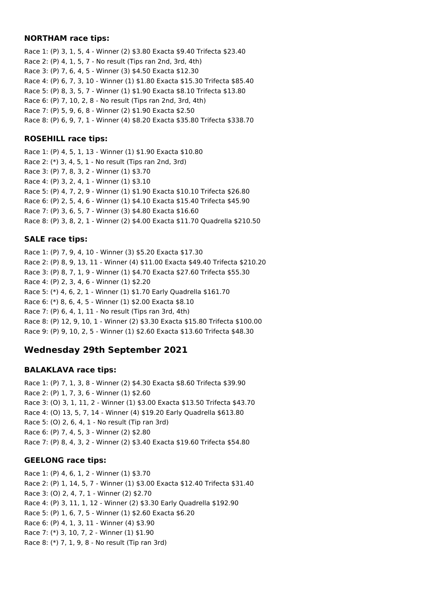#### **NORTHAM race tips:**

Race 1: (P) 3, 1, 5, 4 - Winner (2) \$3.80 Exacta \$9.40 Trifecta \$23.40 Race 2: (P) 4, 1, 5, 7 - No result (Tips ran 2nd, 3rd, 4th) Race 3: (P) 7, 6, 4, 5 - Winner (3) \$4.50 Exacta \$12.30 Race 4: (P) 6, 7, 3, 10 - Winner (1) \$1.80 Exacta \$15.30 Trifecta \$85.40 Race 5: (P) 8, 3, 5, 7 - Winner (1) \$1.90 Exacta \$8.10 Trifecta \$13.80 Race 6: (P) 7, 10, 2, 8 - No result (Tips ran 2nd, 3rd, 4th) Race 7: (P) 5, 9, 6, 8 - Winner (2) \$1.90 Exacta \$2.50 Race 8: (P) 6, 9, 7, 1 - Winner (4) \$8.20 Exacta \$35.80 Trifecta \$338.70

### **ROSEHILL race tips:**

Race 1: (P) 4, 5, 1, 13 - Winner (1) \$1.90 Exacta \$10.80 Race 2: (\*) 3, 4, 5, 1 - No result (Tips ran 2nd, 3rd) Race 3: (P) 7, 8, 3, 2 - Winner (1) \$3.70 Race 4: (P) 3, 2, 4, 1 - Winner (1) \$3.10 Race 5: (P) 4, 7, 2, 9 - Winner (1) \$1.90 Exacta \$10.10 Trifecta \$26.80 Race 6: (P) 2, 5, 4, 6 - Winner (1) \$4.10 Exacta \$15.40 Trifecta \$45.90 Race 7: (P) 3, 6, 5, 7 - Winner (3) \$4.80 Exacta \$16.60 Race 8: (P) 3, 8, 2, 1 - Winner (2) \$4.00 Exacta \$11.70 Quadrella \$210.50

# **SALE race tips:**

Race 1: (P) 7, 9, 4, 10 - Winner (3) \$5.20 Exacta \$17.30 Race 2: (P) 8, 9, 13, 11 - Winner (4) \$11.00 Exacta \$49.40 Trifecta \$210.20 Race 3: (P) 8, 7, 1, 9 - Winner (1) \$4.70 Exacta \$27.60 Trifecta \$55.30 Race 4: (P) 2, 3, 4, 6 - Winner (1) \$2.20 Race 5: (\*) 4, 6, 2, 1 - Winner (1) \$1.70 Early Quadrella \$161.70 Race 6: (\*) 8, 6, 4, 5 - Winner (1) \$2.00 Exacta \$8.10 Race 7: (P) 6, 4, 1, 11 - No result (Tips ran 3rd, 4th) Race 8: (P) 12, 9, 10, 1 - Winner (2) \$3.30 Exacta \$15.80 Trifecta \$100.00 Race 9: (P) 9, 10, 2, 5 - Winner (1) \$2.60 Exacta \$13.60 Trifecta \$48.30

# **Wednesday 29th September 2021**

### **BALAKLAVA race tips:**

Race 1: (P) 7, 1, 3, 8 - Winner (2) \$4.30 Exacta \$8.60 Trifecta \$39.90 Race 2: (P) 1, 7, 3, 6 - Winner (1) \$2.60 Race 3: (O) 3, 1, 11, 2 - Winner (1) \$3.00 Exacta \$13.50 Trifecta \$43.70 Race 4: (O) 13, 5, 7, 14 - Winner (4) \$19.20 Early Quadrella \$613.80 Race 5: (O) 2, 6, 4, 1 - No result (Tip ran 3rd) Race 6: (P) 7, 4, 5, 3 - Winner (2) \$2.80 Race 7: (P) 8, 4, 3, 2 - Winner (2) \$3.40 Exacta \$19.60 Trifecta \$54.80

### **GEELONG race tips:**

Race 1: (P) 4, 6, 1, 2 - Winner (1) \$3.70 Race 2: (P) 1, 14, 5, 7 - Winner (1) \$3.00 Exacta \$12.40 Trifecta \$31.40 Race 3: (O) 2, 4, 7, 1 - Winner (2) \$2.70 Race 4: (P) 3, 11, 1, 12 - Winner (2) \$3.30 Early Quadrella \$192.90 Race 5: (P) 1, 6, 7, 5 - Winner (1) \$2.60 Exacta \$6.20 Race 6: (P) 4, 1, 3, 11 - Winner (4) \$3.90 Race 7: (\*) 3, 10, 7, 2 - Winner (1) \$1.90 Race 8: (\*) 7, 1, 9, 8 - No result (Tip ran 3rd)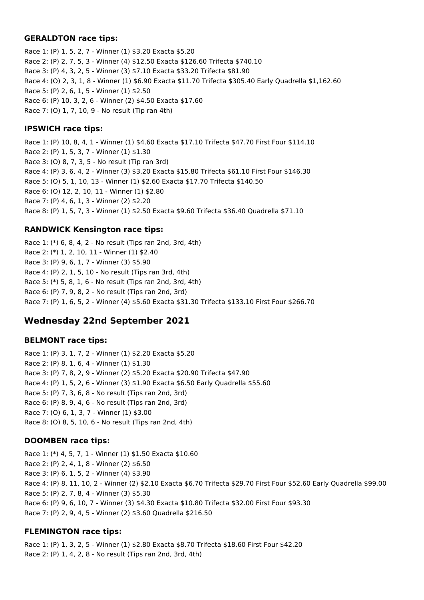#### **GERALDTON race tips:**

Race 1: (P) 1, 5, 2, 7 - Winner (1) \$3.20 Exacta \$5.20 Race 2: (P) 2, 7, 5, 3 - Winner (4) \$12.50 Exacta \$126.60 Trifecta \$740.10 Race 3: (P) 4, 3, 2, 5 - Winner (3) \$7.10 Exacta \$33.20 Trifecta \$81.90 Race 4: (O) 2, 3, 1, 8 - Winner (1) \$6.90 Exacta \$11.70 Trifecta \$305.40 Early Quadrella \$1,162.60 Race 5: (P) 2, 6, 1, 5 - Winner (1) \$2.50 Race 6: (P) 10, 3, 2, 6 - Winner (2) \$4.50 Exacta \$17.60 Race 7: (O) 1, 7, 10, 9 - No result (Tip ran 4th)

### **IPSWICH race tips:**

Race 1: (P) 10, 8, 4, 1 - Winner (1) \$4.60 Exacta \$17.10 Trifecta \$47.70 First Four \$114.10 Race 2: (P) 1, 5, 3, 7 - Winner (1) \$1.30 Race 3: (O) 8, 7, 3, 5 - No result (Tip ran 3rd) Race 4: (P) 3, 6, 4, 2 - Winner (3) \$3.20 Exacta \$15.80 Trifecta \$61.10 First Four \$146.30 Race 5: (O) 5, 1, 10, 13 - Winner (1) \$2.60 Exacta \$17.70 Trifecta \$140.50 Race 6: (O) 12, 2, 10, 11 - Winner (1) \$2.80 Race 7: (P) 4, 6, 1, 3 - Winner (2) \$2.20 Race 8: (P) 1, 5, 7, 3 - Winner (1) \$2.50 Exacta \$9.60 Trifecta \$36.40 Quadrella \$71.10

## **RANDWICK Kensington race tips:**

Race 1: (\*) 6, 8, 4, 2 - No result (Tips ran 2nd, 3rd, 4th) Race 2: (\*) 1, 2, 10, 11 - Winner (1) \$2.40 Race 3: (P) 9, 6, 1, 7 - Winner (3) \$5.90 Race 4: (P) 2, 1, 5, 10 - No result (Tips ran 3rd, 4th) Race 5: (\*) 5, 8, 1, 6 - No result (Tips ran 2nd, 3rd, 4th) Race 6: (P) 7, 9, 8, 2 - No result (Tips ran 2nd, 3rd) Race 7: (P) 1, 6, 5, 2 - Winner (4) \$5.60 Exacta \$31.30 Trifecta \$133.10 First Four \$266.70

# **Wednesday 22nd September 2021**

### **BELMONT race tips:**

Race 1: (P) 3, 1, 7, 2 - Winner (1) \$2.20 Exacta \$5.20 Race 2: (P) 8, 1, 6, 4 - Winner (1) \$1.30 Race 3: (P) 7, 8, 2, 9 - Winner (2) \$5.20 Exacta \$20.90 Trifecta \$47.90 Race 4: (P) 1, 5, 2, 6 - Winner (3) \$1.90 Exacta \$6.50 Early Quadrella \$55.60 Race 5: (P) 7, 3, 6, 8 - No result (Tips ran 2nd, 3rd) Race 6: (P) 8, 9, 4, 6 - No result (Tips ran 2nd, 3rd) Race 7: (O) 6, 1, 3, 7 - Winner (1) \$3.00 Race 8: (O) 8, 5, 10, 6 - No result (Tips ran 2nd, 4th)

# **DOOMBEN race tips:**

Race 1: (\*) 4, 5, 7, 1 - Winner (1) \$1.50 Exacta \$10.60 Race 2: (P) 2, 4, 1, 8 - Winner (2) \$6.50 Race 3: (P) 6, 1, 5, 2 - Winner (4) \$3.90 Race 4: (P) 8, 11, 10, 2 - Winner (2) \$2.10 Exacta \$6.70 Trifecta \$29.70 First Four \$52.60 Early Quadrella \$99.00 Race 5: (P) 2, 7, 8, 4 - Winner (3) \$5.30 Race 6: (P) 9, 6, 10, 7 - Winner (3) \$4.30 Exacta \$10.80 Trifecta \$32.00 First Four \$93.30 Race 7: (P) 2, 9, 4, 5 - Winner (2) \$3.60 Quadrella \$216.50

# **FLEMINGTON race tips:**

Race 1: (P) 1, 3, 2, 5 - Winner (1) \$2.80 Exacta \$8.70 Trifecta \$18.60 First Four \$42.20 Race 2: (P) 1, 4, 2, 8 - No result (Tips ran 2nd, 3rd, 4th)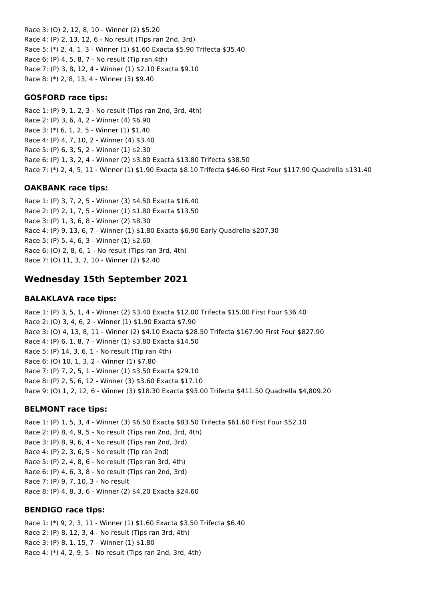Race 3: (O) 2, 12, 8, 10 - Winner (2) \$5.20 Race 4: (P) 2, 13, 12, 6 - No result (Tips ran 2nd, 3rd) Race 5: (\*) 2, 4, 1, 3 - Winner (1) \$1.60 Exacta \$5.90 Trifecta \$35.40 Race 6: (P) 4, 5, 8, 7 - No result (Tip ran 4th) Race 7: (P) 3, 8, 12, 4 - Winner (1) \$2.10 Exacta \$9.10 Race 8: (\*) 2, 8, 13, 4 - Winner (3) \$9.40

### **GOSFORD race tips:**

Race 1: (P) 9, 1, 2, 3 - No result (Tips ran 2nd, 3rd, 4th) Race 2: (P) 3, 6, 4, 2 - Winner (4) \$6.90 Race 3: (\*) 6, 1, 2, 5 - Winner (1) \$1.40 Race 4: (P) 4, 7, 10, 2 - Winner (4) \$3.40 Race 5: (P) 6, 3, 5, 2 - Winner (1) \$2.30 Race 6: (P) 1, 3, 2, 4 - Winner (2) \$3.80 Exacta \$13.80 Trifecta \$38.50 Race 7: (\*) 2, 4, 5, 11 - Winner (1) \$1.90 Exacta \$8.10 Trifecta \$46.60 First Four \$117.90 Quadrella \$131.40

### **OAKBANK race tips:**

Race 1: (P) 3, 7, 2, 5 - Winner (3) \$4.50 Exacta \$16.40 Race 2: (P) 2, 1, 7, 5 - Winner (1) \$1.80 Exacta \$13.50 Race 3: (P) 1, 3, 6, 8 - Winner (2) \$8.30 Race 4: (P) 9, 13, 6, 7 - Winner (1) \$1.80 Exacta \$6.90 Early Quadrella \$207.30 Race 5: (P) 5, 4, 6, 3 - Winner (1) \$2.60 Race 6: (O) 2, 8, 6, 1 - No result (Tips ran 3rd, 4th) Race 7: (O) 11, 3, 7, 10 - Winner (2) \$2.40

# **Wednesday 15th September 2021**

#### **BALAKLAVA race tips:**

Race 1: (P) 3, 5, 1, 4 - Winner (2) \$3.40 Exacta \$12.00 Trifecta \$15.00 First Four \$36.40 Race 2: (O) 3, 4, 6, 2 - Winner (1) \$1.90 Exacta \$7.90 Race 3: (O) 4, 13, 8, 11 - Winner (2) \$4.10 Exacta \$28.50 Trifecta \$167.90 First Four \$827.90 Race 4: (P) 6, 1, 8, 7 - Winner (1) \$3.80 Exacta \$14.50 Race 5: (P) 14, 3, 6, 1 - No result (Tip ran 4th) Race 6: (O) 10, 1, 3, 2 - Winner (1) \$7.80 Race 7: (P) 7, 2, 5, 1 - Winner (1) \$3.50 Exacta \$29.10 Race 8: (P) 2, 5, 6, 12 - Winner (3) \$3.60 Exacta \$17.10 Race 9: (O) 1, 2, 12, 6 - Winner (3) \$18.30 Exacta \$93.00 Trifecta \$411.50 Quadrella \$4,809.20

#### **BELMONT race tips:**

Race 1: (P) 1, 5, 3, 4 - Winner (3) \$6.50 Exacta \$83.50 Trifecta \$61.60 First Four \$52.10 Race 2: (P) 8, 4, 9, 5 - No result (Tips ran 2nd, 3rd, 4th) Race 3: (P) 8, 9, 6, 4 - No result (Tips ran 2nd, 3rd) Race 4: (P) 2, 3, 6, 5 - No result (Tip ran 2nd) Race 5: (P) 2, 4, 8, 6 - No result (Tips ran 3rd, 4th) Race 6: (P) 4, 6, 3, 8 - No result (Tips ran 2nd, 3rd) Race 7: (P) 9, 7, 10, 3 - No result Race 8: (P) 4, 8, 3, 6 - Winner (2) \$4.20 Exacta \$24.60

#### **BENDIGO race tips:**

Race 1: (\*) 9, 2, 3, 11 - Winner (1) \$1.60 Exacta \$3.50 Trifecta \$6.40 Race 2: (P) 8, 12, 3, 4 - No result (Tips ran 3rd, 4th) Race 3: (P) 8, 1, 15, 7 - Winner (1) \$1.80 Race 4: (\*) 4, 2, 9, 5 - No result (Tips ran 2nd, 3rd, 4th)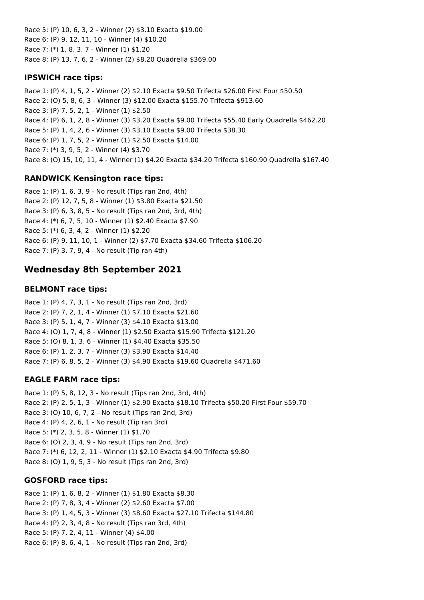Race 5: (P) 10, 6, 3, 2 - Winner (2) \$3.10 Exacta \$19.00 Race 6: (P) 9, 12, 11, 10 - Winner (4) \$10.20 Race 7: (\*) 1, 8, 3, 7 - Winner (1) \$1.20 Race 8: (P) 13, 7, 6, 2 - Winner (2) \$8.20 Quadrella \$369.00

## **IPSWICH race tips:**

Race 1: (P) 4, 1, 5, 2 - Winner (2) \$2.10 Exacta \$9.50 Trifecta \$26.00 First Four \$50.50 Race 2: (O) 5, 8, 6, 3 - Winner (3) \$12.00 Exacta \$155.70 Trifecta \$913.60 Race 3: (P) 7, 5, 2, 1 - Winner (1) \$2.50 Race 4: (P) 6, 1, 2, 8 - Winner (3) \$3.20 Exacta \$9.00 Trifecta \$55.40 Early Quadrella \$462.20 Race 5: (P) 1, 4, 2, 6 - Winner (3) \$3.10 Exacta \$9.00 Trifecta \$38.30 Race 6: (P) 1, 7, 5, 2 - Winner (1) \$2.50 Exacta \$14.00 Race 7: (\*) 3, 9, 5, 2 - Winner (4) \$3.70 Race 8: (O) 15, 10, 11, 4 - Winner (1) \$4.20 Exacta \$34.20 Trifecta \$160.90 Quadrella \$167.40

## **RANDWICK Kensington race tips:**

Race 1: (P) 1, 6, 3, 9 - No result (Tips ran 2nd, 4th) Race 2: (P) 12, 7, 5, 8 - Winner (1) \$3.80 Exacta \$21.50 Race 3: (P) 6, 3, 8, 5 - No result (Tips ran 2nd, 3rd, 4th) Race 4: (\*) 6, 7, 5, 10 - Winner (1) \$2.40 Exacta \$7.90 Race 5: (\*) 6, 3, 4, 2 - Winner (1) \$2.20 Race 6: (P) 9, 11, 10, 1 - Winner (2) \$7.70 Exacta \$34.60 Trifecta \$106.20 Race 7: (P) 3, 7, 9, 4 - No result (Tip ran 4th)

# **Wednesday 8th September 2021**

## **BELMONT race tips:**

Race 1: (P) 4, 7, 3, 1 - No result (Tips ran 2nd, 3rd) Race 2: (P) 7, 2, 1, 4 - Winner (1) \$7.10 Exacta \$21.60 Race 3: (P) 5, 1, 4, 7 - Winner (3) \$4.10 Exacta \$13.00 Race 4: (O) 1, 7, 4, 8 - Winner (1) \$2.50 Exacta \$15.90 Trifecta \$121.20 Race 5: (O) 8, 1, 3, 6 - Winner (1) \$4.40 Exacta \$35.50 Race 6: (P) 1, 2, 3, 7 - Winner (3) \$3.90 Exacta \$14.40 Race 7: (P) 6, 8, 5, 2 - Winner (3) \$4.90 Exacta \$19.60 Quadrella \$471.60

# **EAGLE FARM race tips:**

Race 1: (P) 5, 8, 12, 3 - No result (Tips ran 2nd, 3rd, 4th) Race 2: (P) 2, 5, 1, 3 - Winner (1) \$2.90 Exacta \$18.10 Trifecta \$50.20 First Four \$59.70 Race 3: (O) 10, 6, 7, 2 - No result (Tips ran 2nd, 3rd) Race 4: (P) 4, 2, 6, 1 - No result (Tip ran 3rd) Race 5: (\*) 2, 3, 5, 8 - Winner (1) \$1.70 Race 6: (O) 2, 3, 4, 9 - No result (Tips ran 2nd, 3rd) Race 7: (\*) 6, 12, 2, 11 - Winner (1) \$2.10 Exacta \$4.90 Trifecta \$9.80 Race 8: (O) 1, 9, 5, 3 - No result (Tips ran 2nd, 3rd)

# **GOSFORD race tips:**

Race 1: (P) 1, 6, 8, 2 - Winner (1) \$1.80 Exacta \$8.30 Race 2: (P) 7, 8, 3, 4 - Winner (2) \$2.60 Exacta \$7.00 Race 3: (P) 1, 4, 5, 3 - Winner (3) \$8.60 Exacta \$27.10 Trifecta \$144.80 Race 4: (P) 2, 3, 4, 8 - No result (Tips ran 3rd, 4th) Race 5: (P) 7, 2, 4, 11 - Winner (4) \$4.00 Race 6: (P) 8, 6, 4, 1 - No result (Tips ran 2nd, 3rd)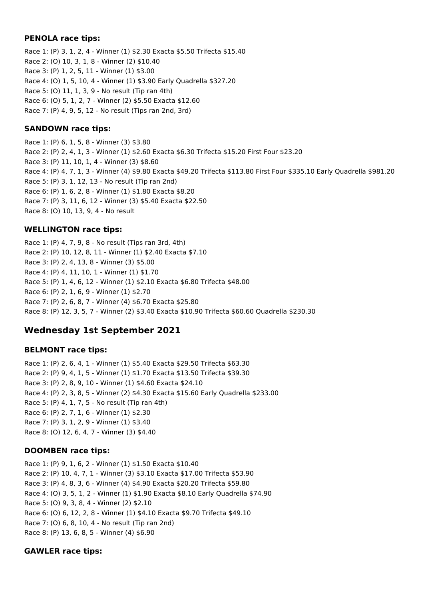### **PENOLA race tips:**

Race 1: (P) 3, 1, 2, 4 - Winner (1) \$2.30 Exacta \$5.50 Trifecta \$15.40 Race 2: (O) 10, 3, 1, 8 - Winner (2) \$10.40 Race 3: (P) 1, 2, 5, 11 - Winner (1) \$3.00 Race 4: (O) 1, 5, 10, 4 - Winner (1) \$3.90 Early Quadrella \$327.20 Race 5: (O) 11, 1, 3, 9 - No result (Tip ran 4th) Race 6: (O) 5, 1, 2, 7 - Winner (2) \$5.50 Exacta \$12.60 Race 7: (P) 4, 9, 5, 12 - No result (Tips ran 2nd, 3rd)

### **SANDOWN race tips:**

Race 1: (P) 6, 1, 5, 8 - Winner (3) \$3.80 Race 2: (P) 2, 4, 1, 3 - Winner (1) \$2.60 Exacta \$6.30 Trifecta \$15.20 First Four \$23.20 Race 3: (P) 11, 10, 1, 4 - Winner (3) \$8.60 Race 4: (P) 4, 7, 1, 3 - Winner (4) \$9.80 Exacta \$49.20 Trifecta \$113.80 First Four \$335.10 Early Quadrella \$981.20 Race 5: (P) 3, 1, 12, 13 - No result (Tip ran 2nd) Race 6: (P) 1, 6, 2, 8 - Winner (1) \$1.80 Exacta \$8.20 Race 7: (P) 3, 11, 6, 12 - Winner (3) \$5.40 Exacta \$22.50 Race 8: (O) 10, 13, 9, 4 - No result

### **WELLINGTON race tips:**

Race 1: (P) 4, 7, 9, 8 - No result (Tips ran 3rd, 4th) Race 2: (P) 10, 12, 8, 11 - Winner (1) \$2.40 Exacta \$7.10 Race 3: (P) 2, 4, 13, 8 - Winner (3) \$5.00 Race 4: (P) 4, 11, 10, 1 - Winner (1) \$1.70 Race 5: (P) 1, 4, 6, 12 - Winner (1) \$2.10 Exacta \$6.80 Trifecta \$48.00 Race 6: (P) 2, 1, 6, 9 - Winner (1) \$2.70 Race 7: (P) 2, 6, 8, 7 - Winner (4) \$6.70 Exacta \$25.80 Race 8: (P) 12, 3, 5, 7 - Winner (2) \$3.40 Exacta \$10.90 Trifecta \$60.60 Quadrella \$230.30

# **Wednesday 1st September 2021**

#### **BELMONT race tips:**

Race 1: (P) 2, 6, 4, 1 - Winner (1) \$5.40 Exacta \$29.50 Trifecta \$63.30 Race 2: (P) 9, 4, 1, 5 - Winner (1) \$1.70 Exacta \$13.50 Trifecta \$39.30 Race 3: (P) 2, 8, 9, 10 - Winner (1) \$4.60 Exacta \$24.10 Race 4: (P) 2, 3, 8, 5 - Winner (2) \$4.30 Exacta \$15.60 Early Quadrella \$233.00 Race 5: (P) 4, 1, 7, 5 - No result (Tip ran 4th) Race 6: (P) 2, 7, 1, 6 - Winner (1) \$2.30 Race 7: (P) 3, 1, 2, 9 - Winner (1) \$3.40 Race 8: (O) 12, 6, 4, 7 - Winner (3) \$4.40

### **DOOMBEN race tips:**

Race 1: (P) 9, 1, 6, 2 - Winner (1) \$1.50 Exacta \$10.40 Race 2: (P) 10, 4, 7, 1 - Winner (3) \$3.10 Exacta \$17.00 Trifecta \$53.90 Race 3: (P) 4, 8, 3, 6 - Winner (4) \$4.90 Exacta \$20.20 Trifecta \$59.80 Race 4: (O) 3, 5, 1, 2 - Winner (1) \$1.90 Exacta \$8.10 Early Quadrella \$74.90 Race 5: (O) 9, 3, 8, 4 - Winner (2) \$2.10 Race 6: (O) 6, 12, 2, 8 - Winner (1) \$4.10 Exacta \$9.70 Trifecta \$49.10 Race 7: (O) 6, 8, 10, 4 - No result (Tip ran 2nd) Race 8: (P) 13, 6, 8, 5 - Winner (4) \$6.90

### **GAWLER race tips:**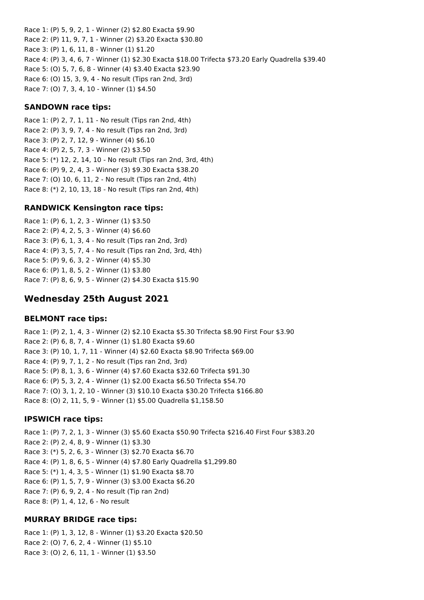Race 1: (P) 5, 9, 2, 1 - Winner (2) \$2.80 Exacta \$9.90 Race 2: (P) 11, 9, 7, 1 - Winner (2) \$3.20 Exacta \$30.80 Race 3: (P) 1, 6, 11, 8 - Winner (1) \$1.20 Race 4: (P) 3, 4, 6, 7 - Winner (1) \$2.30 Exacta \$18.00 Trifecta \$73.20 Early Quadrella \$39.40 Race 5: (O) 5, 7, 6, 8 - Winner (4) \$3.40 Exacta \$23.90 Race 6: (O) 15, 3, 9, 4 - No result (Tips ran 2nd, 3rd) Race 7: (O) 7, 3, 4, 10 - Winner (1) \$4.50

### **SANDOWN race tips:**

Race 1: (P) 2, 7, 1, 11 - No result (Tips ran 2nd, 4th) Race 2: (P) 3, 9, 7, 4 - No result (Tips ran 2nd, 3rd) Race 3: (P) 2, 7, 12, 9 - Winner (4) \$6.10 Race 4: (P) 2, 5, 7, 3 - Winner (2) \$3.50 Race 5: (\*) 12, 2, 14, 10 - No result (Tips ran 2nd, 3rd, 4th) Race 6: (P) 9, 2, 4, 3 - Winner (3) \$9.30 Exacta \$38.20 Race 7: (O) 10, 6, 11, 2 - No result (Tips ran 2nd, 4th) Race 8: (\*) 2, 10, 13, 18 - No result (Tips ran 2nd, 4th)

### **RANDWICK Kensington race tips:**

Race 1: (P) 6, 1, 2, 3 - Winner (1) \$3.50 Race 2: (P) 4, 2, 5, 3 - Winner (4) \$6.60 Race 3: (P) 6, 1, 3, 4 - No result (Tips ran 2nd, 3rd) Race 4: (P) 3, 5, 7, 4 - No result (Tips ran 2nd, 3rd, 4th) Race 5: (P) 9, 6, 3, 2 - Winner (4) \$5.30 Race 6: (P) 1, 8, 5, 2 - Winner (1) \$3.80 Race 7: (P) 8, 6, 9, 5 - Winner (2) \$4.30 Exacta \$15.90

# **Wednesday 25th August 2021**

#### **BELMONT race tips:**

Race 1: (P) 2, 1, 4, 3 - Winner (2) \$2.10 Exacta \$5.30 Trifecta \$8.90 First Four \$3.90 Race 2: (P) 6, 8, 7, 4 - Winner (1) \$1.80 Exacta \$9.60 Race 3: (P) 10, 1, 7, 11 - Winner (4) \$2.60 Exacta \$8.90 Trifecta \$69.00 Race 4: (P) 9, 7, 1, 2 - No result (Tips ran 2nd, 3rd) Race 5: (P) 8, 1, 3, 6 - Winner (4) \$7.60 Exacta \$32.60 Trifecta \$91.30 Race 6: (P) 5, 3, 2, 4 - Winner (1) \$2.00 Exacta \$6.50 Trifecta \$54.70 Race 7: (O) 3, 1, 2, 10 - Winner (3) \$10.10 Exacta \$30.20 Trifecta \$166.80 Race 8: (O) 2, 11, 5, 9 - Winner (1) \$5.00 Quadrella \$1,158.50

#### **IPSWICH race tips:**

Race 1: (P) 7, 2, 1, 3 - Winner (3) \$5.60 Exacta \$50.90 Trifecta \$216.40 First Four \$383.20 Race 2: (P) 2, 4, 8, 9 - Winner (1) \$3.30 Race 3: (\*) 5, 2, 6, 3 - Winner (3) \$2.70 Exacta \$6.70 Race 4: (P) 1, 8, 6, 5 - Winner (4) \$7.80 Early Quadrella \$1,299.80 Race 5: (\*) 1, 4, 3, 5 - Winner (1) \$1.90 Exacta \$8.70 Race 6: (P) 1, 5, 7, 9 - Winner (3) \$3.00 Exacta \$6.20 Race 7: (P) 6, 9, 2, 4 - No result (Tip ran 2nd) Race 8: (P) 1, 4, 12, 6 - No result

#### **MURRAY BRIDGE race tips:**

Race 1: (P) 1, 3, 12, 8 - Winner (1) \$3.20 Exacta \$20.50 Race 2: (O) 7, 6, 2, 4 - Winner (1) \$5.10 Race 3: (O) 2, 6, 11, 1 - Winner (1) \$3.50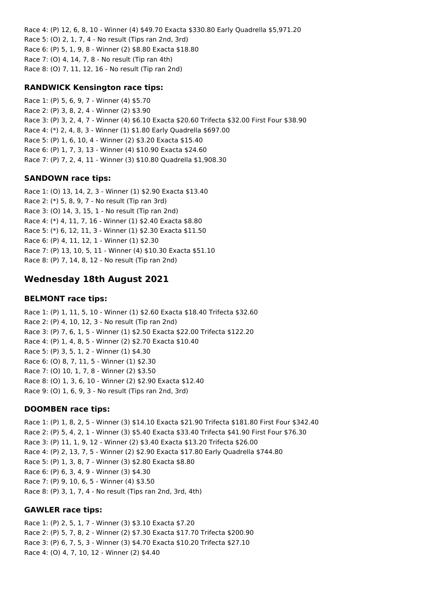Race 4: (P) 12, 6, 8, 10 - Winner (4) \$49.70 Exacta \$330.80 Early Quadrella \$5,971.20 Race 5: (O) 2, 1, 7, 4 - No result (Tips ran 2nd, 3rd) Race 6: (P) 5, 1, 9, 8 - Winner (2) \$8.80 Exacta \$18.80 Race 7: (O) 4, 14, 7, 8 - No result (Tip ran 4th) Race 8: (O) 7, 11, 12, 16 - No result (Tip ran 2nd)

### **RANDWICK Kensington race tips:**

Race 1: (P) 5, 6, 9, 7 - Winner (4) \$5.70 Race 2: (P) 3, 8, 2, 4 - Winner (2) \$3.90 Race 3: (P) 3, 2, 4, 7 - Winner (4) \$6.10 Exacta \$20.60 Trifecta \$32.00 First Four \$38.90 Race 4: (\*) 2, 4, 8, 3 - Winner (1) \$1.80 Early Quadrella \$697.00 Race 5: (P) 1, 6, 10, 4 - Winner (2) \$3.20 Exacta \$15.40 Race 6: (P) 1, 7, 3, 13 - Winner (4) \$10.90 Exacta \$24.60 Race 7: (P) 7, 2, 4, 11 - Winner (3) \$10.80 Quadrella \$1,908.30

### **SANDOWN race tips:**

Race 1: (O) 13, 14, 2, 3 - Winner (1) \$2.90 Exacta \$13.40 Race 2: (\*) 5, 8, 9, 7 - No result (Tip ran 3rd) Race 3: (O) 14, 3, 15, 1 - No result (Tip ran 2nd) Race 4: (\*) 4, 11, 7, 16 - Winner (1) \$2.40 Exacta \$8.80 Race 5: (\*) 6, 12, 11, 3 - Winner (1) \$2.30 Exacta \$11.50 Race 6: (P) 4, 11, 12, 1 - Winner (1) \$2.30 Race 7: (P) 13, 10, 5, 11 - Winner (4) \$10.30 Exacta \$51.10 Race 8: (P) 7, 14, 8, 12 - No result (Tip ran 2nd)

# **Wednesday 18th August 2021**

#### **BELMONT race tips:**

Race 1: (P) 1, 11, 5, 10 - Winner (1) \$2.60 Exacta \$18.40 Trifecta \$32.60 Race 2: (P) 4, 10, 12, 3 - No result (Tip ran 2nd) Race 3: (P) 7, 6, 1, 5 - Winner (1) \$2.50 Exacta \$22.00 Trifecta \$122.20 Race 4: (P) 1, 4, 8, 5 - Winner (2) \$2.70 Exacta \$10.40 Race 5: (P) 3, 5, 1, 2 - Winner (1) \$4.30 Race 6: (O) 8, 7, 11, 5 - Winner (1) \$2.30 Race 7: (O) 10, 1, 7, 8 - Winner (2) \$3.50 Race 8: (O) 1, 3, 6, 10 - Winner (2) \$2.90 Exacta \$12.40 Race 9: (O) 1, 6, 9, 3 - No result (Tips ran 2nd, 3rd)

#### **DOOMBEN race tips:**

Race 1: (P) 1, 8, 2, 5 - Winner (3) \$14.10 Exacta \$21.90 Trifecta \$181.80 First Four \$342.40 Race 2: (P) 5, 4, 2, 1 - Winner (3) \$5.40 Exacta \$33.40 Trifecta \$41.90 First Four \$76.30 Race 3: (P) 11, 1, 9, 12 - Winner (2) \$3.40 Exacta \$13.20 Trifecta \$26.00 Race 4: (P) 2, 13, 7, 5 - Winner (2) \$2.90 Exacta \$17.80 Early Quadrella \$744.80 Race 5: (P) 1, 3, 8, 7 - Winner (3) \$2.80 Exacta \$8.80 Race 6: (P) 6, 3, 4, 9 - Winner (3) \$4.30 Race 7: (P) 9, 10, 6, 5 - Winner (4) \$3.50 Race 8: (P) 3, 1, 7, 4 - No result (Tips ran 2nd, 3rd, 4th)

#### **GAWLER race tips:**

Race 1: (P) 2, 5, 1, 7 - Winner (3) \$3.10 Exacta \$7.20 Race 2: (P) 5, 7, 8, 2 - Winner (2) \$7.30 Exacta \$17.70 Trifecta \$200.90 Race 3: (P) 6, 7, 5, 3 - Winner (3) \$4.70 Exacta \$10.20 Trifecta \$27.10 Race 4: (O) 4, 7, 10, 12 - Winner (2) \$4.40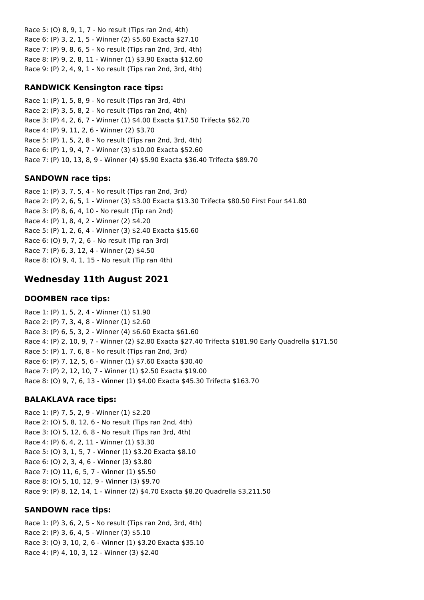Race 5: (O) 8, 9, 1, 7 - No result (Tips ran 2nd, 4th) Race 6: (P) 3, 2, 1, 5 - Winner (2) \$5.60 Exacta \$27.10 Race 7: (P) 9, 8, 6, 5 - No result (Tips ran 2nd, 3rd, 4th) Race 8: (P) 9, 2, 8, 11 - Winner (1) \$3.90 Exacta \$12.60 Race 9: (P) 2, 4, 9, 1 - No result (Tips ran 2nd, 3rd, 4th)

### **RANDWICK Kensington race tips:**

Race 1: (P) 1, 5, 8, 9 - No result (Tips ran 3rd, 4th) Race 2: (P) 3, 5, 8, 2 - No result (Tips ran 2nd, 4th) Race 3: (P) 4, 2, 6, 7 - Winner (1) \$4.00 Exacta \$17.50 Trifecta \$62.70 Race 4: (P) 9, 11, 2, 6 - Winner (2) \$3.70 Race 5: (P) 1, 5, 2, 8 - No result (Tips ran 2nd, 3rd, 4th) Race 6: (P) 1, 9, 4, 7 - Winner (3) \$10.00 Exacta \$52.60 Race 7: (P) 10, 13, 8, 9 - Winner (4) \$5.90 Exacta \$36.40 Trifecta \$89.70

### **SANDOWN race tips:**

Race 1: (P) 3, 7, 5, 4 - No result (Tips ran 2nd, 3rd) Race 2: (P) 2, 6, 5, 1 - Winner (3) \$3.00 Exacta \$13.30 Trifecta \$80.50 First Four \$41.80 Race 3: (P) 8, 6, 4, 10 - No result (Tip ran 2nd) Race 4: (P) 1, 8, 4, 2 - Winner (2) \$4.20 Race 5: (P) 1, 2, 6, 4 - Winner (3) \$2.40 Exacta \$15.60 Race 6: (O) 9, 7, 2, 6 - No result (Tip ran 3rd) Race 7: (P) 6, 3, 12, 4 - Winner (2) \$4.50 Race 8: (O) 9, 4, 1, 15 - No result (Tip ran 4th)

# **Wednesday 11th August 2021**

#### **DOOMBEN race tips:**

Race 1: (P) 1, 5, 2, 4 - Winner (1) \$1.90 Race 2: (P) 7, 3, 4, 8 - Winner (1) \$2.60 Race 3: (P) 6, 5, 3, 2 - Winner (4) \$6.60 Exacta \$61.60 Race 4: (P) 2, 10, 9, 7 - Winner (2) \$2.80 Exacta \$27.40 Trifecta \$181.90 Early Quadrella \$171.50 Race 5: (P) 1, 7, 6, 8 - No result (Tips ran 2nd, 3rd) Race 6: (P) 7, 12, 5, 6 - Winner (1) \$7.60 Exacta \$30.40 Race 7: (P) 2, 12, 10, 7 - Winner (1) \$2.50 Exacta \$19.00 Race 8: (O) 9, 7, 6, 13 - Winner (1) \$4.00 Exacta \$45.30 Trifecta \$163.70

### **BALAKLAVA race tips:**

Race 1: (P) 7, 5, 2, 9 - Winner (1) \$2.20 Race 2: (O) 5, 8, 12, 6 - No result (Tips ran 2nd, 4th) Race 3: (O) 5, 12, 6, 8 - No result (Tips ran 3rd, 4th) Race 4: (P) 6, 4, 2, 11 - Winner (1) \$3.30 Race 5: (O) 3, 1, 5, 7 - Winner (1) \$3.20 Exacta \$8.10 Race 6: (O) 2, 3, 4, 6 - Winner (3) \$3.80 Race 7: (O) 11, 6, 5, 7 - Winner (1) \$5.50 Race 8: (O) 5, 10, 12, 9 - Winner (3) \$9.70 Race 9: (P) 8, 12, 14, 1 - Winner (2) \$4.70 Exacta \$8.20 Quadrella \$3,211.50

#### **SANDOWN race tips:**

Race 1: (P) 3, 6, 2, 5 - No result (Tips ran 2nd, 3rd, 4th) Race 2: (P) 3, 6, 4, 5 - Winner (3) \$5.10 Race 3: (O) 3, 10, 2, 6 - Winner (1) \$3.20 Exacta \$35.10 Race 4: (P) 4, 10, 3, 12 - Winner (3) \$2.40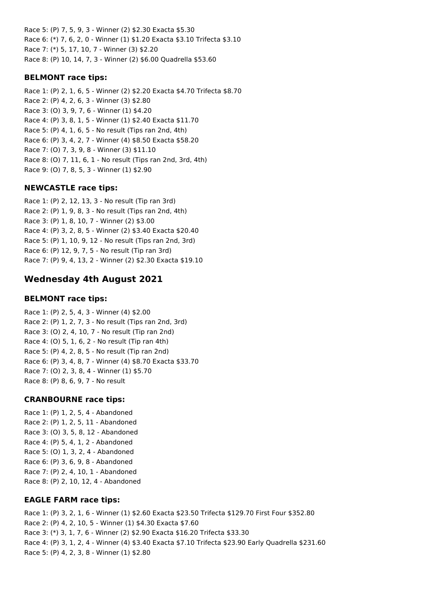Race 5: (P) 7, 5, 9, 3 - Winner (2) \$2.30 Exacta \$5.30 Race 6: (\*) 7, 6, 2, 0 - Winner (1) \$1.20 Exacta \$3.10 Trifecta \$3.10 Race 7: (\*) 5, 17, 10, 7 - Winner (3) \$2.20 Race 8: (P) 10, 14, 7, 3 - Winner (2) \$6.00 Quadrella \$53.60

### **BELMONT race tips:**

Race 1: (P) 2, 1, 6, 5 - Winner (2) \$2.20 Exacta \$4.70 Trifecta \$8.70 Race 2: (P) 4, 2, 6, 3 - Winner (3) \$2.80 Race 3: (O) 3, 9, 7, 6 - Winner (1) \$4.20 Race 4: (P) 3, 8, 1, 5 - Winner (1) \$2.40 Exacta \$11.70 Race 5: (P) 4, 1, 6, 5 - No result (Tips ran 2nd, 4th) Race 6: (P) 3, 4, 2, 7 - Winner (4) \$8.50 Exacta \$58.20 Race 7: (O) 7, 3, 9, 8 - Winner (3) \$11.10 Race 8: (O) 7, 11, 6, 1 - No result (Tips ran 2nd, 3rd, 4th) Race 9: (O) 7, 8, 5, 3 - Winner (1) \$2.90

### **NEWCASTLE race tips:**

Race 1: (P) 2, 12, 13, 3 - No result (Tip ran 3rd) Race 2: (P) 1, 9, 8, 3 - No result (Tips ran 2nd, 4th) Race 3: (P) 1, 8, 10, 7 - Winner (2) \$3.00 Race 4: (P) 3, 2, 8, 5 - Winner (2) \$3.40 Exacta \$20.40 Race 5: (P) 1, 10, 9, 12 - No result (Tips ran 2nd, 3rd) Race 6: (P) 12, 9, 7, 5 - No result (Tip ran 3rd) Race 7: (P) 9, 4, 13, 2 - Winner (2) \$2.30 Exacta \$19.10

# **Wednesday 4th August 2021**

#### **BELMONT race tips:**

Race 1: (P) 2, 5, 4, 3 - Winner (4) \$2.00 Race 2: (P) 1, 2, 7, 3 - No result (Tips ran 2nd, 3rd) Race 3: (O) 2, 4, 10, 7 - No result (Tip ran 2nd) Race 4: (O) 5, 1, 6, 2 - No result (Tip ran 4th) Race 5: (P) 4, 2, 8, 5 - No result (Tip ran 2nd) Race 6: (P) 3, 4, 8, 7 - Winner (4) \$8.70 Exacta \$33.70 Race 7: (O) 2, 3, 8, 4 - Winner (1) \$5.70 Race 8: (P) 8, 6, 9, 7 - No result

#### **CRANBOURNE race tips:**

Race 1: (P) 1, 2, 5, 4 - Abandoned Race 2: (P) 1, 2, 5, 11 - Abandoned Race 3: (O) 3, 5, 8, 12 - Abandoned Race 4: (P) 5, 4, 1, 2 - Abandoned Race 5: (O) 1, 3, 2, 4 - Abandoned Race 6: (P) 3, 6, 9, 8 - Abandoned Race 7: (P) 2, 4, 10, 1 - Abandoned Race 8: (P) 2, 10, 12, 4 - Abandoned

#### **EAGLE FARM race tips:**

Race 1: (P) 3, 2, 1, 6 - Winner (1) \$2.60 Exacta \$23.50 Trifecta \$129.70 First Four \$352.80 Race 2: (P) 4, 2, 10, 5 - Winner (1) \$4.30 Exacta \$7.60 Race 3: (\*) 3, 1, 7, 6 - Winner (2) \$2.90 Exacta \$16.20 Trifecta \$33.30 Race 4: (P) 3, 1, 2, 4 - Winner (4) \$3.40 Exacta \$7.10 Trifecta \$23.90 Early Quadrella \$231.60 Race 5: (P) 4, 2, 3, 8 - Winner (1) \$2.80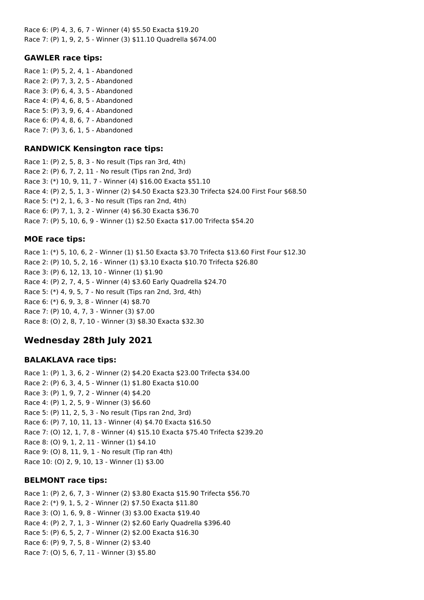Race 6: (P) 4, 3, 6, 7 - Winner (4) \$5.50 Exacta \$19.20 Race 7: (P) 1, 9, 2, 5 - Winner (3) \$11.10 Quadrella \$674.00

### **GAWLER race tips:**

Race 1: (P) 5, 2, 4, 1 - Abandoned Race 2: (P) 7, 3, 2, 5 - Abandoned Race 3: (P) 6, 4, 3, 5 - Abandoned Race 4: (P) 4, 6, 8, 5 - Abandoned Race 5: (P) 3, 9, 6, 4 - Abandoned Race 6: (P) 4, 8, 6, 7 - Abandoned Race 7: (P) 3, 6, 1, 5 - Abandoned

### **RANDWICK Kensington race tips:**

Race 1: (P) 2, 5, 8, 3 - No result (Tips ran 3rd, 4th) Race 2: (P) 6, 7, 2, 11 - No result (Tips ran 2nd, 3rd) Race 3: (\*) 10, 9, 11, 7 - Winner (4) \$16.00 Exacta \$51.10 Race 4: (P) 2, 5, 1, 3 - Winner (2) \$4.50 Exacta \$23.30 Trifecta \$24.00 First Four \$68.50 Race 5: (\*) 2, 1, 6, 3 - No result (Tips ran 2nd, 4th) Race 6: (P) 7, 1, 3, 2 - Winner (4) \$6.30 Exacta \$36.70 Race 7: (P) 5, 10, 6, 9 - Winner (1) \$2.50 Exacta \$17.00 Trifecta \$54.20

### **MOE race tips:**

Race 1: (\*) 5, 10, 6, 2 - Winner (1) \$1.50 Exacta \$3.70 Trifecta \$13.60 First Four \$12.30 Race 2: (P) 10, 5, 2, 16 - Winner (1) \$3.10 Exacta \$10.70 Trifecta \$26.80 Race 3: (P) 6, 12, 13, 10 - Winner (1) \$1.90 Race 4: (P) 2, 7, 4, 5 - Winner (4) \$3.60 Early Quadrella \$24.70 Race 5: (\*) 4, 9, 5, 7 - No result (Tips ran 2nd, 3rd, 4th) Race 6: (\*) 6, 9, 3, 8 - Winner (4) \$8.70 Race 7: (P) 10, 4, 7, 3 - Winner (3) \$7.00 Race 8: (O) 2, 8, 7, 10 - Winner (3) \$8.30 Exacta \$32.30

# **Wednesday 28th July 2021**

### **BALAKLAVA race tips:**

Race 1: (P) 1, 3, 6, 2 - Winner (2) \$4.20 Exacta \$23.00 Trifecta \$34.00 Race 2: (P) 6, 3, 4, 5 - Winner (1) \$1.80 Exacta \$10.00 Race 3: (P) 1, 9, 7, 2 - Winner (4) \$4.20 Race 4: (P) 1, 2, 5, 9 - Winner (3) \$6.60 Race 5: (P) 11, 2, 5, 3 - No result (Tips ran 2nd, 3rd) Race 6: (P) 7, 10, 11, 13 - Winner (4) \$4.70 Exacta \$16.50 Race 7: (O) 12, 1, 7, 8 - Winner (4) \$15.10 Exacta \$75.40 Trifecta \$239.20 Race 8: (O) 9, 1, 2, 11 - Winner (1) \$4.10 Race 9: (O) 8, 11, 9, 1 - No result (Tip ran 4th) Race 10: (O) 2, 9, 10, 13 - Winner (1) \$3.00

### **BELMONT race tips:**

Race 1: (P) 2, 6, 7, 3 - Winner (2) \$3.80 Exacta \$15.90 Trifecta \$56.70 Race 2: (\*) 9, 1, 5, 2 - Winner (2) \$7.50 Exacta \$11.80 Race 3: (O) 1, 6, 9, 8 - Winner (3) \$3.00 Exacta \$19.40 Race 4: (P) 2, 7, 1, 3 - Winner (2) \$2.60 Early Quadrella \$396.40 Race 5: (P) 6, 5, 2, 7 - Winner (2) \$2.00 Exacta \$16.30 Race 6: (P) 9, 7, 5, 8 - Winner (2) \$3.40 Race 7: (O) 5, 6, 7, 11 - Winner (3) \$5.80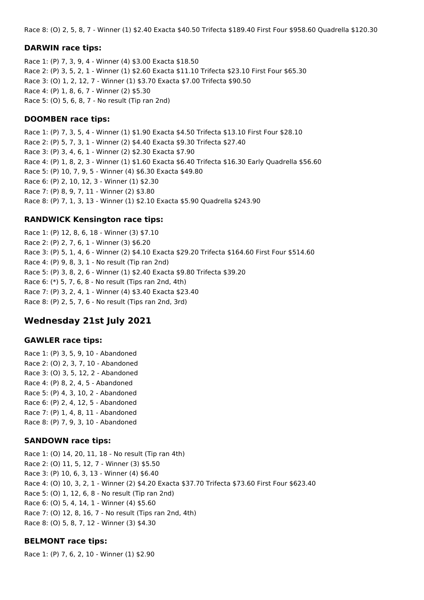Race 8: (O) 2, 5, 8, 7 - Winner (1) \$2.40 Exacta \$40.50 Trifecta \$189.40 First Four \$958.60 Quadrella \$120.30

#### **DARWIN race tips:**

Race 1: (P) 7, 3, 9, 4 - Winner (4) \$3.00 Exacta \$18.50 Race 2: (P) 3, 5, 2, 1 - Winner (1) \$2.60 Exacta \$11.10 Trifecta \$23.10 First Four \$65.30 Race 3: (O) 1, 2, 12, 7 - Winner (1) \$3.70 Exacta \$7.00 Trifecta \$90.50 Race 4: (P) 1, 8, 6, 7 - Winner (2) \$5.30 Race 5: (O) 5, 6, 8, 7 - No result (Tip ran 2nd)

#### **DOOMBEN race tips:**

Race 1: (P) 7, 3, 5, 4 - Winner (1) \$1.90 Exacta \$4.50 Trifecta \$13.10 First Four \$28.10 Race 2: (P) 5, 7, 3, 1 - Winner (2) \$4.40 Exacta \$9.30 Trifecta \$27.40 Race 3: (P) 3, 4, 6, 1 - Winner (2) \$2.30 Exacta \$7.90 Race 4: (P) 1, 8, 2, 3 - Winner (1) \$1.60 Exacta \$6.40 Trifecta \$16.30 Early Quadrella \$56.60 Race 5: (P) 10, 7, 9, 5 - Winner (4) \$6.30 Exacta \$49.80 Race 6: (P) 2, 10, 12, 3 - Winner (1) \$2.30 Race 7: (P) 8, 9, 7, 11 - Winner (2) \$3.80 Race 8: (P) 7, 1, 3, 13 - Winner (1) \$2.10 Exacta \$5.90 Quadrella \$243.90

#### **RANDWICK Kensington race tips:**

Race 1: (P) 12, 8, 6, 18 - Winner (3) \$7.10 Race 2: (P) 2, 7, 6, 1 - Winner (3) \$6.20 Race 3: (P) 5, 1, 4, 6 - Winner (2) \$4.10 Exacta \$29.20 Trifecta \$164.60 First Four \$514.60 Race 4: (P) 9, 8, 3, 1 - No result (Tip ran 2nd) Race 5: (P) 3, 8, 2, 6 - Winner (1) \$2.40 Exacta \$9.80 Trifecta \$39.20 Race 6: (\*) 5, 7, 6, 8 - No result (Tips ran 2nd, 4th) Race 7: (P) 3, 2, 4, 1 - Winner (4) \$3.40 Exacta \$23.40 Race 8: (P) 2, 5, 7, 6 - No result (Tips ran 2nd, 3rd)

### **Wednesday 21st July 2021**

#### **GAWLER race tips:**

Race 1: (P) 3, 5, 9, 10 - Abandoned Race 2: (O) 2, 3, 7, 10 - Abandoned Race 3: (O) 3, 5, 12, 2 - Abandoned Race 4: (P) 8, 2, 4, 5 - Abandoned Race 5: (P) 4, 3, 10, 2 - Abandoned Race 6: (P) 2, 4, 12, 5 - Abandoned Race 7: (P) 1, 4, 8, 11 - Abandoned Race 8: (P) 7, 9, 3, 10 - Abandoned

#### **SANDOWN race tips:**

Race 1: (O) 14, 20, 11, 18 - No result (Tip ran 4th) Race 2: (O) 11, 5, 12, 7 - Winner (3) \$5.50 Race 3: (P) 10, 6, 3, 13 - Winner (4) \$6.40 Race 4: (O) 10, 3, 2, 1 - Winner (2) \$4.20 Exacta \$37.70 Trifecta \$73.60 First Four \$623.40 Race 5: (O) 1, 12, 6, 8 - No result (Tip ran 2nd) Race 6: (O) 5, 4, 14, 1 - Winner (4) \$5.60 Race 7: (O) 12, 8, 16, 7 - No result (Tips ran 2nd, 4th) Race 8: (O) 5, 8, 7, 12 - Winner (3) \$4.30

#### **BELMONT race tips:**

Race 1: (P) 7, 6, 2, 10 - Winner (1) \$2.90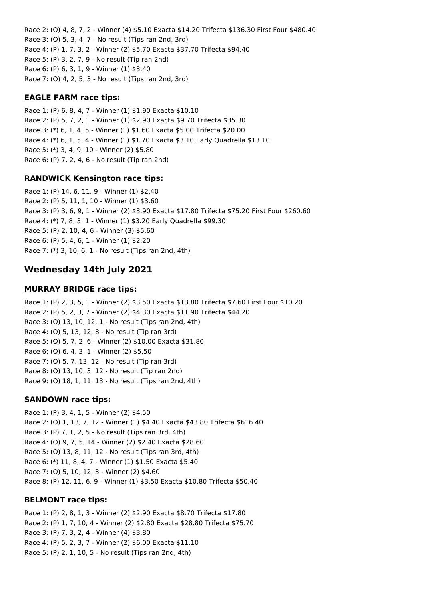Race 2: (O) 4, 8, 7, 2 - Winner (4) \$5.10 Exacta \$14.20 Trifecta \$136.30 First Four \$480.40 Race 3: (O) 5, 3, 4, 7 - No result (Tips ran 2nd, 3rd) Race 4: (P) 1, 7, 3, 2 - Winner (2) \$5.70 Exacta \$37.70 Trifecta \$94.40 Race 5: (P) 3, 2, 7, 9 - No result (Tip ran 2nd) Race 6: (P) 6, 3, 1, 9 - Winner (1) \$3.40 Race 7: (O) 4, 2, 5, 3 - No result (Tips ran 2nd, 3rd)

### **EAGLE FARM race tips:**

Race 1: (P) 6, 8, 4, 7 - Winner (1) \$1.90 Exacta \$10.10 Race 2: (P) 5, 7, 2, 1 - Winner (1) \$2.90 Exacta \$9.70 Trifecta \$35.30 Race 3: (\*) 6, 1, 4, 5 - Winner (1) \$1.60 Exacta \$5.00 Trifecta \$20.00 Race 4: (\*) 6, 1, 5, 4 - Winner (1) \$1.70 Exacta \$3.10 Early Quadrella \$13.10 Race 5: (\*) 3, 4, 9, 10 - Winner (2) \$5.80 Race 6: (P) 7, 2, 4, 6 - No result (Tip ran 2nd)

#### **RANDWICK Kensington race tips:**

Race 1: (P) 14, 6, 11, 9 - Winner (1) \$2.40 Race 2: (P) 5, 11, 1, 10 - Winner (1) \$3.60 Race 3: (P) 3, 6, 9, 1 - Winner (2) \$3.90 Exacta \$17.80 Trifecta \$75.20 First Four \$260.60 Race 4: (\*) 7, 8, 3, 1 - Winner (1) \$3.20 Early Quadrella \$99.30 Race 5: (P) 2, 10, 4, 6 - Winner (3) \$5.60 Race 6: (P) 5, 4, 6, 1 - Winner (1) \$2.20 Race 7: (\*) 3, 10, 6, 1 - No result (Tips ran 2nd, 4th)

# **Wednesday 14th July 2021**

### **MURRAY BRIDGE race tips:**

Race 1: (P) 2, 3, 5, 1 - Winner (2) \$3.50 Exacta \$13.80 Trifecta \$7.60 First Four \$10.20 Race 2: (P) 5, 2, 3, 7 - Winner (2) \$4.30 Exacta \$11.90 Trifecta \$44.20 Race 3: (O) 13, 10, 12, 1 - No result (Tips ran 2nd, 4th) Race 4: (O) 5, 13, 12, 8 - No result (Tip ran 3rd) Race 5: (O) 5, 7, 2, 6 - Winner (2) \$10.00 Exacta \$31.80 Race 6: (O) 6, 4, 3, 1 - Winner (2) \$5.50 Race 7: (O) 5, 7, 13, 12 - No result (Tip ran 3rd) Race 8: (O) 13, 10, 3, 12 - No result (Tip ran 2nd) Race 9: (O) 18, 1, 11, 13 - No result (Tips ran 2nd, 4th)

### **SANDOWN race tips:**

Race 1: (P) 3, 4, 1, 5 - Winner (2) \$4.50 Race 2: (O) 1, 13, 7, 12 - Winner (1) \$4.40 Exacta \$43.80 Trifecta \$616.40 Race 3: (P) 7, 1, 2, 5 - No result (Tips ran 3rd, 4th) Race 4: (O) 9, 7, 5, 14 - Winner (2) \$2.40 Exacta \$28.60 Race 5: (O) 13, 8, 11, 12 - No result (Tips ran 3rd, 4th) Race 6: (\*) 11, 8, 4, 7 - Winner (1) \$1.50 Exacta \$5.40 Race 7: (O) 5, 10, 12, 3 - Winner (2) \$4.60 Race 8: (P) 12, 11, 6, 9 - Winner (1) \$3.50 Exacta \$10.80 Trifecta \$50.40

#### **BELMONT race tips:**

Race 1: (P) 2, 8, 1, 3 - Winner (2) \$2.90 Exacta \$8.70 Trifecta \$17.80 Race 2: (P) 1, 7, 10, 4 - Winner (2) \$2.80 Exacta \$28.80 Trifecta \$75.70 Race 3: (P) 7, 3, 2, 4 - Winner (4) \$3.80 Race 4: (P) 5, 2, 3, 7 - Winner (2) \$6.00 Exacta \$11.10 Race 5: (P) 2, 1, 10, 5 - No result (Tips ran 2nd, 4th)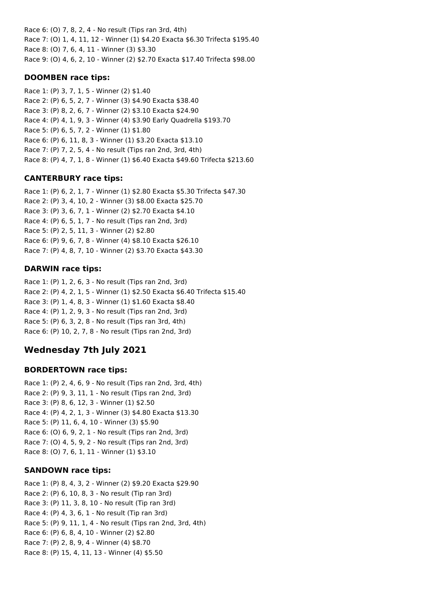Race 6: (O) 7, 8, 2, 4 - No result (Tips ran 3rd, 4th) Race 7: (O) 1, 4, 11, 12 - Winner (1) \$4.20 Exacta \$6.30 Trifecta \$195.40 Race 8: (O) 7, 6, 4, 11 - Winner (3) \$3.30 Race 9: (O) 4, 6, 2, 10 - Winner (2) \$2.70 Exacta \$17.40 Trifecta \$98.00

### **DOOMBEN race tips:**

Race 1: (P) 3, 7, 1, 5 - Winner (2) \$1.40 Race 2: (P) 6, 5, 2, 7 - Winner (3) \$4.90 Exacta \$38.40 Race 3: (P) 8, 2, 6, 7 - Winner (2) \$3.10 Exacta \$24.90 Race 4: (P) 4, 1, 9, 3 - Winner (4) \$3.90 Early Quadrella \$193.70 Race 5: (P) 6, 5, 7, 2 - Winner (1) \$1.80 Race 6: (P) 6, 11, 8, 3 - Winner (1) \$3.20 Exacta \$13.10 Race 7: (P) 7, 2, 5, 4 - No result (Tips ran 2nd, 3rd, 4th) Race 8: (P) 4, 7, 1, 8 - Winner (1) \$6.40 Exacta \$49.60 Trifecta \$213.60

# **CANTERBURY race tips:**

Race 1: (P) 6, 2, 1, 7 - Winner (1) \$2.80 Exacta \$5.30 Trifecta \$47.30 Race 2: (P) 3, 4, 10, 2 - Winner (3) \$8.00 Exacta \$25.70 Race 3: (P) 3, 6, 7, 1 - Winner (2) \$2.70 Exacta \$4.10 Race 4: (P) 6, 5, 1, 7 - No result (Tips ran 2nd, 3rd) Race 5: (P) 2, 5, 11, 3 - Winner (2) \$2.80 Race 6: (P) 9, 6, 7, 8 - Winner (4) \$8.10 Exacta \$26.10 Race 7: (P) 4, 8, 7, 10 - Winner (2) \$3.70 Exacta \$43.30

## **DARWIN race tips:**

Race 1: (P) 1, 2, 6, 3 - No result (Tips ran 2nd, 3rd) Race 2: (P) 4, 2, 1, 5 - Winner (1) \$2.50 Exacta \$6.40 Trifecta \$15.40 Race 3: (P) 1, 4, 8, 3 - Winner (1) \$1.60 Exacta \$8.40 Race 4: (P) 1, 2, 9, 3 - No result (Tips ran 2nd, 3rd) Race 5: (P) 6, 3, 2, 8 - No result (Tips ran 3rd, 4th) Race 6: (P) 10, 2, 7, 8 - No result (Tips ran 2nd, 3rd)

# **Wednesday 7th July 2021**

### **BORDERTOWN race tips:**

Race 1: (P) 2, 4, 6, 9 - No result (Tips ran 2nd, 3rd, 4th) Race 2: (P) 9, 3, 11, 1 - No result (Tips ran 2nd, 3rd) Race 3: (P) 8, 6, 12, 3 - Winner (1) \$2.50 Race 4: (P) 4, 2, 1, 3 - Winner (3) \$4.80 Exacta \$13.30 Race 5: (P) 11, 6, 4, 10 - Winner (3) \$5.90 Race 6: (O) 6, 9, 2, 1 - No result (Tips ran 2nd, 3rd) Race 7: (O) 4, 5, 9, 2 - No result (Tips ran 2nd, 3rd) Race 8: (O) 7, 6, 1, 11 - Winner (1) \$3.10

### **SANDOWN race tips:**

Race 1: (P) 8, 4, 3, 2 - Winner (2) \$9.20 Exacta \$29.90 Race 2: (P) 6, 10, 8, 3 - No result (Tip ran 3rd) Race 3: (P) 11, 3, 8, 10 - No result (Tip ran 3rd) Race 4: (P) 4, 3, 6, 1 - No result (Tip ran 3rd) Race 5: (P) 9, 11, 1, 4 - No result (Tips ran 2nd, 3rd, 4th) Race 6: (P) 6, 8, 4, 10 - Winner (2) \$2.80 Race 7: (P) 2, 8, 9, 4 - Winner (4) \$8.70 Race 8: (P) 15, 4, 11, 13 - Winner (4) \$5.50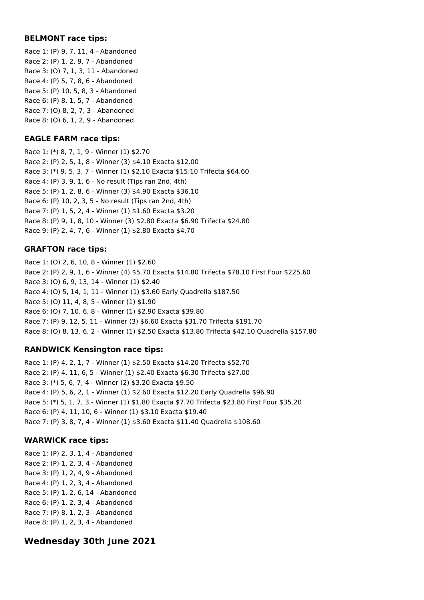### **BELMONT race tips:**

Race 1: (P) 9, 7, 11, 4 - Abandoned Race 2: (P) 1, 2, 9, 7 - Abandoned Race 3: (O) 7, 1, 3, 11 - Abandoned Race 4: (P) 5, 7, 8, 6 - Abandoned Race 5: (P) 10, 5, 8, 3 - Abandoned Race 6: (P) 8, 1, 5, 7 - Abandoned Race 7: (O) 8, 2, 7, 3 - Abandoned Race 8: (O) 6, 1, 2, 9 - Abandoned

### **EAGLE FARM race tips:**

Race 1: (\*) 8, 7, 1, 9 - Winner (1) \$2.70 Race 2: (P) 2, 5, 1, 8 - Winner (3) \$4.10 Exacta \$12.00 Race 3: (\*) 9, 5, 3, 7 - Winner (1) \$2.10 Exacta \$15.10 Trifecta \$64.60 Race 4: (P) 3, 9, 1, 6 - No result (Tips ran 2nd, 4th) Race 5: (P) 1, 2, 8, 6 - Winner (3) \$4.90 Exacta \$36.10 Race 6: (P) 10, 2, 3, 5 - No result (Tips ran 2nd, 4th) Race 7: (P) 1, 5, 2, 4 - Winner (1) \$1.60 Exacta \$3.20 Race 8: (P) 9, 1, 8, 10 - Winner (3) \$2.80 Exacta \$6.90 Trifecta \$24.80 Race 9: (P) 2, 4, 7, 6 - Winner (1) \$2.80 Exacta \$4.70

### **GRAFTON race tips:**

Race 1: (O) 2, 6, 10, 8 - Winner (1) \$2.60 Race 2: (P) 2, 9, 1, 6 - Winner (4) \$5.70 Exacta \$14.80 Trifecta \$78.10 First Four \$225.60 Race 3: (O) 6, 9, 13, 14 - Winner (1) \$2.40 Race 4: (O) 5, 14, 1, 11 - Winner (1) \$3.60 Early Quadrella \$187.50 Race 5: (O) 11, 4, 8, 5 - Winner (1) \$1.90 Race 6: (O) 7, 10, 6, 8 - Winner (1) \$2.90 Exacta \$39.80 Race 7: (P) 9, 12, 5, 11 - Winner (3) \$6.60 Exacta \$31.70 Trifecta \$191.70 Race 8: (O) 8, 13, 6, 2 - Winner (1) \$2.50 Exacta \$13.80 Trifecta \$42.10 Quadrella \$157.80

### **RANDWICK Kensington race tips:**

Race 1: (P) 4, 2, 1, 7 - Winner (1) \$2.50 Exacta \$14.20 Trifecta \$52.70 Race 2: (P) 4, 11, 6, 5 - Winner (1) \$2.40 Exacta \$6.30 Trifecta \$27.00 Race 3: (\*) 5, 6, 7, 4 - Winner (2) \$3.20 Exacta \$9.50 Race 4: (P) 5, 6, 2, 1 - Winner (1) \$2.60 Exacta \$12.20 Early Quadrella \$96.90 Race 5: (\*) 5, 1, 7, 3 - Winner (1) \$1.80 Exacta \$7.70 Trifecta \$23.80 First Four \$35.20 Race 6: (P) 4, 11, 10, 6 - Winner (1) \$3.10 Exacta \$19.40 Race 7: (P) 3, 8, 7, 4 - Winner (1) \$3.60 Exacta \$11.40 Quadrella \$108.60

# **WARWICK race tips:**

Race 1: (P) 2, 3, 1, 4 - Abandoned Race 2: (P) 1, 2, 3, 4 - Abandoned Race 3: (P) 1, 2, 4, 9 - Abandoned Race 4: (P) 1, 2, 3, 4 - Abandoned Race 5: (P) 1, 2, 6, 14 - Abandoned Race 6: (P) 1, 2, 3, 4 - Abandoned Race 7: (P) 8, 1, 2, 3 - Abandoned Race 8: (P) 1, 2, 3, 4 - Abandoned

# **Wednesday 30th June 2021**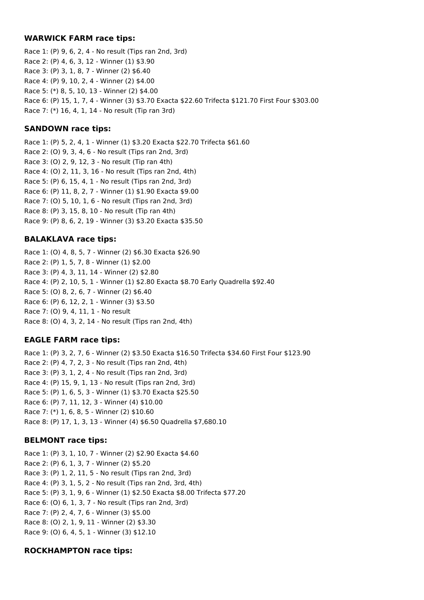### **WARWICK FARM race tips:**

Race 1: (P) 9, 6, 2, 4 - No result (Tips ran 2nd, 3rd) Race 2: (P) 4, 6, 3, 12 - Winner (1) \$3.90 Race 3: (P) 3, 1, 8, 7 - Winner (2) \$6.40 Race 4: (P) 9, 10, 2, 4 - Winner (2) \$4.00 Race 5: (\*) 8, 5, 10, 13 - Winner (2) \$4.00 Race 6: (P) 15, 1, 7, 4 - Winner (3) \$3.70 Exacta \$22.60 Trifecta \$121.70 First Four \$303.00 Race 7: (\*) 16, 4, 1, 14 - No result (Tip ran 3rd)

### **SANDOWN race tips:**

Race 1: (P) 5, 2, 4, 1 - Winner (1) \$3.20 Exacta \$22.70 Trifecta \$61.60 Race 2: (O) 9, 3, 4, 6 - No result (Tips ran 2nd, 3rd) Race 3: (O) 2, 9, 12, 3 - No result (Tip ran 4th) Race 4: (O) 2, 11, 3, 16 - No result (Tips ran 2nd, 4th) Race 5: (P) 6, 15, 4, 1 - No result (Tips ran 2nd, 3rd) Race 6: (P) 11, 8, 2, 7 - Winner (1) \$1.90 Exacta \$9.00 Race 7: (O) 5, 10, 1, 6 - No result (Tips ran 2nd, 3rd) Race 8: (P) 3, 15, 8, 10 - No result (Tip ran 4th) Race 9: (P) 8, 6, 2, 19 - Winner (3) \$3.20 Exacta \$35.50

### **BALAKLAVA race tips:**

Race 1: (O) 4, 8, 5, 7 - Winner (2) \$6.30 Exacta \$26.90 Race 2: (P) 1, 5, 7, 8 - Winner (1) \$2.00 Race 3: (P) 4, 3, 11, 14 - Winner (2) \$2.80 Race 4: (P) 2, 10, 5, 1 - Winner (1) \$2.80 Exacta \$8.70 Early Quadrella \$92.40 Race 5: (O) 8, 2, 6, 7 - Winner (2) \$6.40 Race 6: (P) 6, 12, 2, 1 - Winner (3) \$3.50 Race 7: (O) 9, 4, 11, 1 - No result Race 8: (O) 4, 3, 2, 14 - No result (Tips ran 2nd, 4th)

### **EAGLE FARM race tips:**

Race 1: (P) 3, 2, 7, 6 - Winner (2) \$3.50 Exacta \$16.50 Trifecta \$34.60 First Four \$123.90 Race 2: (P) 4, 7, 2, 3 - No result (Tips ran 2nd, 4th) Race 3: (P) 3, 1, 2, 4 - No result (Tips ran 2nd, 3rd) Race 4: (P) 15, 9, 1, 13 - No result (Tips ran 2nd, 3rd) Race 5: (P) 1, 6, 5, 3 - Winner (1) \$3.70 Exacta \$25.50 Race 6: (P) 7, 11, 12, 3 - Winner (4) \$10.00 Race 7: (\*) 1, 6, 8, 5 - Winner (2) \$10.60 Race 8: (P) 17, 1, 3, 13 - Winner (4) \$6.50 Quadrella \$7,680.10

### **BELMONT race tips:**

Race 1: (P) 3, 1, 10, 7 - Winner (2) \$2.90 Exacta \$4.60 Race 2: (P) 6, 1, 3, 7 - Winner (2) \$5.20 Race 3: (P) 1, 2, 11, 5 - No result (Tips ran 2nd, 3rd) Race 4: (P) 3, 1, 5, 2 - No result (Tips ran 2nd, 3rd, 4th) Race 5: (P) 3, 1, 9, 6 - Winner (1) \$2.50 Exacta \$8.00 Trifecta \$77.20 Race 6: (O) 6, 1, 3, 7 - No result (Tips ran 2nd, 3rd) Race 7: (P) 2, 4, 7, 6 - Winner (3) \$5.00 Race 8: (O) 2, 1, 9, 11 - Winner (2) \$3.30 Race 9: (O) 6, 4, 5, 1 - Winner (3) \$12.10

### **ROCKHAMPTON race tips:**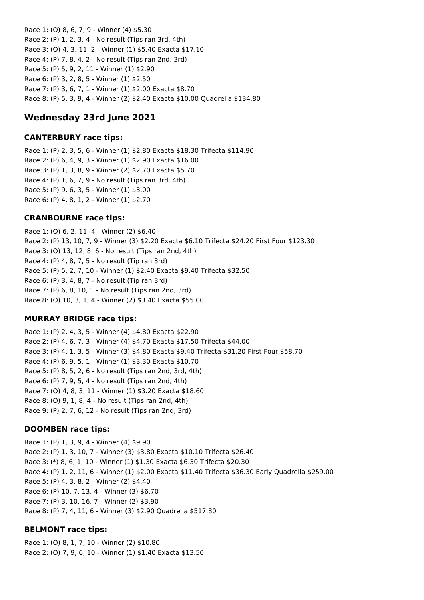Race 1: (O) 8, 6, 7, 9 - Winner (4) \$5.30 Race 2: (P) 1, 2, 3, 4 - No result (Tips ran 3rd, 4th) Race 3: (O) 4, 3, 11, 2 - Winner (1) \$5.40 Exacta \$17.10 Race 4: (P) 7, 8, 4, 2 - No result (Tips ran 2nd, 3rd) Race 5: (P) 5, 9, 2, 11 - Winner (1) \$2.90 Race 6: (P) 3, 2, 8, 5 - Winner (1) \$2.50 Race 7: (P) 3, 6, 7, 1 - Winner (1) \$2.00 Exacta \$8.70 Race 8: (P) 5, 3, 9, 4 - Winner (2) \$2.40 Exacta \$10.00 Quadrella \$134.80

# **Wednesday 23rd June 2021**

#### **CANTERBURY race tips:**

Race 1: (P) 2, 3, 5, 6 - Winner (1) \$2.80 Exacta \$18.30 Trifecta \$114.90 Race 2: (P) 6, 4, 9, 3 - Winner (1) \$2.90 Exacta \$16.00 Race 3: (P) 1, 3, 8, 9 - Winner (2) \$2.70 Exacta \$5.70 Race 4: (P) 1, 6, 7, 9 - No result (Tips ran 3rd, 4th) Race 5: (P) 9, 6, 3, 5 - Winner (1) \$3.00 Race 6: (P) 4, 8, 1, 2 - Winner (1) \$2.70

### **CRANBOURNE race tips:**

Race 1: (O) 6, 2, 11, 4 - Winner (2) \$6.40 Race 2: (P) 13, 10, 7, 9 - Winner (3) \$2.20 Exacta \$6.10 Trifecta \$24.20 First Four \$123.30 Race 3: (O) 13, 12, 8, 6 - No result (Tips ran 2nd, 4th) Race 4: (P) 4, 8, 7, 5 - No result (Tip ran 3rd) Race 5: (P) 5, 2, 7, 10 - Winner (1) \$2.40 Exacta \$9.40 Trifecta \$32.50 Race 6: (P) 3, 4, 8, 7 - No result (Tip ran 3rd) Race 7: (P) 6, 8, 10, 1 - No result (Tips ran 2nd, 3rd) Race 8: (O) 10, 3, 1, 4 - Winner (2) \$3.40 Exacta \$55.00

### **MURRAY BRIDGE race tips:**

Race 1: (P) 2, 4, 3, 5 - Winner (4) \$4.80 Exacta \$22.90 Race 2: (P) 4, 6, 7, 3 - Winner (4) \$4.70 Exacta \$17.50 Trifecta \$44.00 Race 3: (P) 4, 1, 3, 5 - Winner (3) \$4.80 Exacta \$9.40 Trifecta \$31.20 First Four \$58.70 Race 4: (P) 6, 9, 5, 1 - Winner (1) \$3.30 Exacta \$10.70 Race 5: (P) 8, 5, 2, 6 - No result (Tips ran 2nd, 3rd, 4th) Race 6: (P) 7, 9, 5, 4 - No result (Tips ran 2nd, 4th) Race 7: (O) 4, 8, 3, 11 - Winner (1) \$3.20 Exacta \$18.60 Race 8: (O) 9, 1, 8, 4 - No result (Tips ran 2nd, 4th) Race 9: (P) 2, 7, 6, 12 - No result (Tips ran 2nd, 3rd)

#### **DOOMBEN race tips:**

Race 1: (P) 1, 3, 9, 4 - Winner (4) \$9.90 Race 2: (P) 1, 3, 10, 7 - Winner (3) \$3.80 Exacta \$10.10 Trifecta \$26.40 Race 3: (\*) 8, 6, 1, 10 - Winner (1) \$1.30 Exacta \$6.30 Trifecta \$20.30 Race 4: (P) 1, 2, 11, 6 - Winner (1) \$2.00 Exacta \$11.40 Trifecta \$36.30 Early Quadrella \$259.00 Race 5: (P) 4, 3, 8, 2 - Winner (2) \$4.40 Race 6: (P) 10, 7, 13, 4 - Winner (3) \$6.70 Race 7: (P) 3, 10, 16, 7 - Winner (2) \$3.90 Race 8: (P) 7, 4, 11, 6 - Winner (3) \$2.90 Quadrella \$517.80

### **BELMONT race tips:**

Race 1: (O) 8, 1, 7, 10 - Winner (2) \$10.80 Race 2: (O) 7, 9, 6, 10 - Winner (1) \$1.40 Exacta \$13.50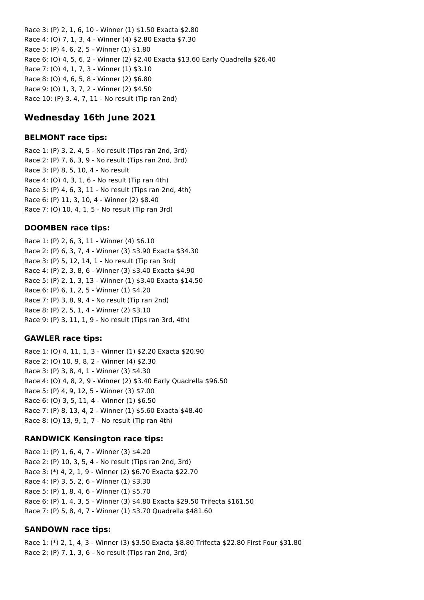Race 3: (P) 2, 1, 6, 10 - Winner (1) \$1.50 Exacta \$2.80 Race 4: (O) 7, 1, 3, 4 - Winner (4) \$2.80 Exacta \$7.30 Race 5: (P) 4, 6, 2, 5 - Winner (1) \$1.80 Race 6: (O) 4, 5, 6, 2 - Winner (2) \$2.40 Exacta \$13.60 Early Quadrella \$26.40 Race 7: (O) 4, 1, 7, 3 - Winner (1) \$3.10 Race 8: (O) 4, 6, 5, 8 - Winner (2) \$6.80 Race 9: (O) 1, 3, 7, 2 - Winner (2) \$4.50 Race 10: (P) 3, 4, 7, 11 - No result (Tip ran 2nd)

# **Wednesday 16th June 2021**

#### **BELMONT race tips:**

Race 1: (P) 3, 2, 4, 5 - No result (Tips ran 2nd, 3rd) Race 2: (P) 7, 6, 3, 9 - No result (Tips ran 2nd, 3rd) Race 3: (P) 8, 5, 10, 4 - No result Race 4: (O) 4, 3, 1, 6 - No result (Tip ran 4th) Race 5: (P) 4, 6, 3, 11 - No result (Tips ran 2nd, 4th) Race 6: (P) 11, 3, 10, 4 - Winner (2) \$8.40 Race 7: (O) 10, 4, 1, 5 - No result (Tip ran 3rd)

#### **DOOMBEN race tips:**

Race 1: (P) 2, 6, 3, 11 - Winner (4) \$6.10 Race 2: (P) 6, 3, 7, 4 - Winner (3) \$3.90 Exacta \$34.30 Race 3: (P) 5, 12, 14, 1 - No result (Tip ran 3rd) Race 4: (P) 2, 3, 8, 6 - Winner (3) \$3.40 Exacta \$4.90 Race 5: (P) 2, 1, 3, 13 - Winner (1) \$3.40 Exacta \$14.50 Race 6: (P) 6, 1, 2, 5 - Winner (1) \$4.20 Race 7: (P) 3, 8, 9, 4 - No result (Tip ran 2nd) Race 8: (P) 2, 5, 1, 4 - Winner (2) \$3.10 Race 9: (P) 3, 11, 1, 9 - No result (Tips ran 3rd, 4th)

#### **GAWLER race tips:**

Race 1: (O) 4, 11, 1, 3 - Winner (1) \$2.20 Exacta \$20.90 Race 2: (O) 10, 9, 8, 2 - Winner (4) \$2.30 Race 3: (P) 3, 8, 4, 1 - Winner (3) \$4.30 Race 4: (O) 4, 8, 2, 9 - Winner (2) \$3.40 Early Quadrella \$96.50 Race 5: (P) 4, 9, 12, 5 - Winner (3) \$7.00 Race 6: (O) 3, 5, 11, 4 - Winner (1) \$6.50 Race 7: (P) 8, 13, 4, 2 - Winner (1) \$5.60 Exacta \$48.40 Race 8: (O) 13, 9, 1, 7 - No result (Tip ran 4th)

#### **RANDWICK Kensington race tips:**

Race 1: (P) 1, 6, 4, 7 - Winner (3) \$4.20 Race 2: (P) 10, 3, 5, 4 - No result (Tips ran 2nd, 3rd) Race 3: (\*) 4, 2, 1, 9 - Winner (2) \$6.70 Exacta \$22.70 Race 4: (P) 3, 5, 2, 6 - Winner (1) \$3.30 Race 5: (P) 1, 8, 4, 6 - Winner (1) \$5.70 Race 6: (P) 1, 4, 3, 5 - Winner (3) \$4.80 Exacta \$29.50 Trifecta \$161.50 Race 7: (P) 5, 8, 4, 7 - Winner (1) \$3.70 Quadrella \$481.60

#### **SANDOWN race tips:**

Race 1: (\*) 2, 1, 4, 3 - Winner (3) \$3.50 Exacta \$8.80 Trifecta \$22.80 First Four \$31.80 Race 2: (P) 7, 1, 3, 6 - No result (Tips ran 2nd, 3rd)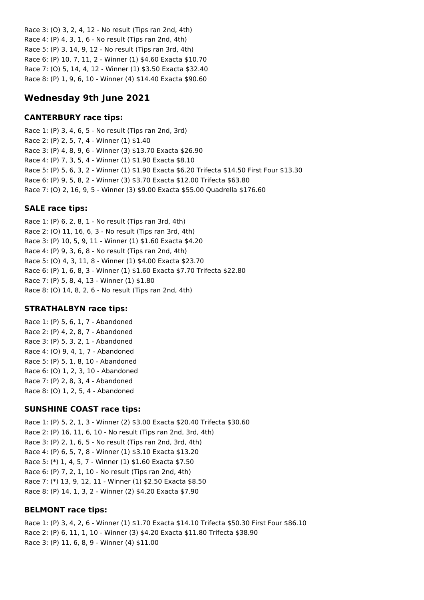Race 3: (O) 3, 2, 4, 12 - No result (Tips ran 2nd, 4th) Race 4: (P) 4, 3, 1, 6 - No result (Tips ran 2nd, 4th) Race 5: (P) 3, 14, 9, 12 - No result (Tips ran 3rd, 4th) Race 6: (P) 10, 7, 11, 2 - Winner (1) \$4.60 Exacta \$10.70 Race 7: (O) 5, 14, 4, 12 - Winner (1) \$3.50 Exacta \$32.40 Race 8: (P) 1, 9, 6, 10 - Winner (4) \$14.40 Exacta \$90.60

# **Wednesday 9th June 2021**

# **CANTERBURY race tips:**

Race 1: (P) 3, 4, 6, 5 - No result (Tips ran 2nd, 3rd) Race 2: (P) 2, 5, 7, 4 - Winner (1) \$1.40 Race 3: (P) 4, 8, 9, 6 - Winner (3) \$13.70 Exacta \$26.90 Race 4: (P) 7, 3, 5, 4 - Winner (1) \$1.90 Exacta \$8.10 Race 5: (P) 5, 6, 3, 2 - Winner (1) \$1.90 Exacta \$6.20 Trifecta \$14.50 First Four \$13.30 Race 6: (P) 9, 5, 8, 2 - Winner (3) \$3.70 Exacta \$12.00 Trifecta \$63.80 Race 7: (O) 2, 16, 9, 5 - Winner (3) \$9.00 Exacta \$55.00 Quadrella \$176.60

# **SALE race tips:**

Race 1: (P) 6, 2, 8, 1 - No result (Tips ran 3rd, 4th) Race 2: (O) 11, 16, 6, 3 - No result (Tips ran 3rd, 4th) Race 3: (P) 10, 5, 9, 11 - Winner (1) \$1.60 Exacta \$4.20 Race 4: (P) 9, 3, 6, 8 - No result (Tips ran 2nd, 4th) Race 5: (O) 4, 3, 11, 8 - Winner (1) \$4.00 Exacta \$23.70 Race 6: (P) 1, 6, 8, 3 - Winner (1) \$1.60 Exacta \$7.70 Trifecta \$22.80 Race 7: (P) 5, 8, 4, 13 - Winner (1) \$1.80 Race 8: (O) 14, 8, 2, 6 - No result (Tips ran 2nd, 4th)

# **STRATHALBYN race tips:**

Race 1: (P) 5, 6, 1, 7 - Abandoned Race 2: (P) 4, 2, 8, 7 - Abandoned Race 3: (P) 5, 3, 2, 1 - Abandoned Race 4: (O) 9, 4, 1, 7 - Abandoned Race 5: (P) 5, 1, 8, 10 - Abandoned Race 6: (O) 1, 2, 3, 10 - Abandoned Race 7: (P) 2, 8, 3, 4 - Abandoned Race 8: (O) 1, 2, 5, 4 - Abandoned

# **SUNSHINE COAST race tips:**

Race 1: (P) 5, 2, 1, 3 - Winner (2) \$3.00 Exacta \$20.40 Trifecta \$30.60 Race 2: (P) 16, 11, 6, 10 - No result (Tips ran 2nd, 3rd, 4th) Race 3: (P) 2, 1, 6, 5 - No result (Tips ran 2nd, 3rd, 4th) Race 4: (P) 6, 5, 7, 8 - Winner (1) \$3.10 Exacta \$13.20 Race 5: (\*) 1, 4, 5, 7 - Winner (1) \$1.60 Exacta \$7.50 Race 6: (P) 7, 2, 1, 10 - No result (Tips ran 2nd, 4th) Race 7: (\*) 13, 9, 12, 11 - Winner (1) \$2.50 Exacta \$8.50 Race 8: (P) 14, 1, 3, 2 - Winner (2) \$4.20 Exacta \$7.90

# **BELMONT race tips:**

Race 1: (P) 3, 4, 2, 6 - Winner (1) \$1.70 Exacta \$14.10 Trifecta \$50.30 First Four \$86.10 Race 2: (P) 6, 11, 1, 10 - Winner (3) \$4.20 Exacta \$11.80 Trifecta \$38.90 Race 3: (P) 11, 6, 8, 9 - Winner (4) \$11.00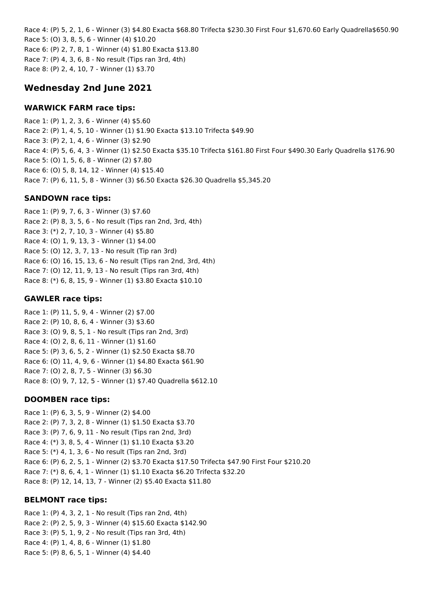Race 4: (P) 5, 2, 1, 6 - Winner (3) \$4.80 Exacta \$68.80 Trifecta \$230.30 First Four \$1,670.60 Early Quadrella\$650.90 Race 5: (O) 3, 8, 5, 6 - Winner (4) \$10.20 Race 6: (P) 2, 7, 8, 1 - Winner (4) \$1.80 Exacta \$13.80 Race 7: (P) 4, 3, 6, 8 - No result (Tips ran 3rd, 4th) Race 8: (P) 2, 4, 10, 7 - Winner (1) \$3.70

# **Wednesday 2nd June 2021**

### **WARWICK FARM race tips:**

Race 1: (P) 1, 2, 3, 6 - Winner (4) \$5.60 Race 2: (P) 1, 4, 5, 10 - Winner (1) \$1.90 Exacta \$13.10 Trifecta \$49.90 Race 3: (P) 2, 1, 4, 6 - Winner (3) \$2.90 Race 4: (P) 5, 6, 4, 3 - Winner (1) \$2.50 Exacta \$35.10 Trifecta \$161.80 First Four \$490.30 Early Quadrella \$176.90 Race 5: (O) 1, 5, 6, 8 - Winner (2) \$7.80 Race 6: (O) 5, 8, 14, 12 - Winner (4) \$15.40 Race 7: (P) 6, 11, 5, 8 - Winner (3) \$6.50 Exacta \$26.30 Quadrella \$5,345.20

### **SANDOWN race tips:**

Race 1: (P) 9, 7, 6, 3 - Winner (3) \$7.60 Race 2: (P) 8, 3, 5, 6 - No result (Tips ran 2nd, 3rd, 4th) Race 3: (\*) 2, 7, 10, 3 - Winner (4) \$5.80 Race 4: (O) 1, 9, 13, 3 - Winner (1) \$4.00 Race 5: (O) 12, 3, 7, 13 - No result (Tip ran 3rd) Race 6: (O) 16, 15, 13, 6 - No result (Tips ran 2nd, 3rd, 4th) Race 7: (O) 12, 11, 9, 13 - No result (Tips ran 3rd, 4th) Race 8: (\*) 6, 8, 15, 9 - Winner (1) \$3.80 Exacta \$10.10

### **GAWLER race tips:**

Race 1: (P) 11, 5, 9, 4 - Winner (2) \$7.00 Race 2: (P) 10, 8, 6, 4 - Winner (3) \$3.60 Race 3: (O) 9, 8, 5, 1 - No result (Tips ran 2nd, 3rd) Race 4: (O) 2, 8, 6, 11 - Winner (1) \$1.60 Race 5: (P) 3, 6, 5, 2 - Winner (1) \$2.50 Exacta \$8.70 Race 6: (O) 11, 4, 9, 6 - Winner (1) \$4.80 Exacta \$61.90 Race 7: (O) 2, 8, 7, 5 - Winner (3) \$6.30 Race 8: (O) 9, 7, 12, 5 - Winner (1) \$7.40 Quadrella \$612.10

### **DOOMBEN race tips:**

Race 1: (P) 6, 3, 5, 9 - Winner (2) \$4.00 Race 2: (P) 7, 3, 2, 8 - Winner (1) \$1.50 Exacta \$3.70 Race 3: (P) 7, 6, 9, 11 - No result (Tips ran 2nd, 3rd) Race 4: (\*) 3, 8, 5, 4 - Winner (1) \$1.10 Exacta \$3.20 Race 5: (\*) 4, 1, 3, 6 - No result (Tips ran 2nd, 3rd) Race 6: (P) 6, 2, 5, 1 - Winner (2) \$3.70 Exacta \$17.50 Trifecta \$47.90 First Four \$210.20 Race 7: (\*) 8, 6, 4, 1 - Winner (1) \$1.10 Exacta \$6.20 Trifecta \$32.20 Race 8: (P) 12, 14, 13, 7 - Winner (2) \$5.40 Exacta \$11.80

### **BELMONT race tips:**

Race 1: (P) 4, 3, 2, 1 - No result (Tips ran 2nd, 4th) Race 2: (P) 2, 5, 9, 3 - Winner (4) \$15.60 Exacta \$142.90 Race 3: (P) 5, 1, 9, 2 - No result (Tips ran 3rd, 4th) Race 4: (P) 1, 4, 8, 6 - Winner (1) \$1.80 Race 5: (P) 8, 6, 5, 1 - Winner (4) \$4.40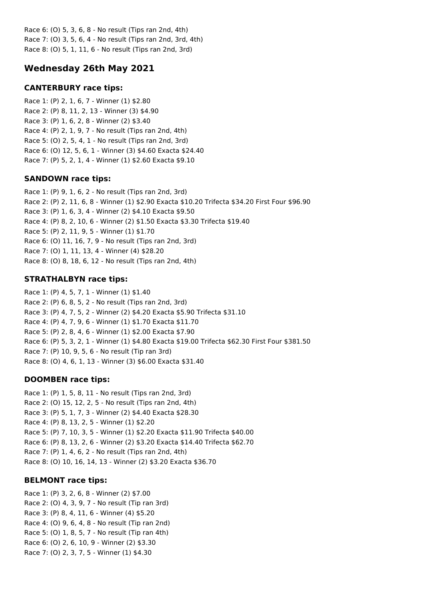Race 6: (O) 5, 3, 6, 8 - No result (Tips ran 2nd, 4th) Race 7: (O) 3, 5, 6, 4 - No result (Tips ran 2nd, 3rd, 4th) Race 8: (O) 5, 1, 11, 6 - No result (Tips ran 2nd, 3rd)

# **Wednesday 26th May 2021**

### **CANTERBURY race tips:**

Race 1: (P) 2, 1, 6, 7 - Winner (1) \$2.80 Race 2: (P) 8, 11, 2, 13 - Winner (3) \$4.90 Race 3: (P) 1, 6, 2, 8 - Winner (2) \$3.40 Race 4: (P) 2, 1, 9, 7 - No result (Tips ran 2nd, 4th) Race 5: (O) 2, 5, 4, 1 - No result (Tips ran 2nd, 3rd) Race 6: (O) 12, 5, 6, 1 - Winner (3) \$4.60 Exacta \$24.40 Race 7: (P) 5, 2, 1, 4 - Winner (1) \$2.60 Exacta \$9.10

## **SANDOWN race tips:**

Race 1: (P) 9, 1, 6, 2 - No result (Tips ran 2nd, 3rd) Race 2: (P) 2, 11, 6, 8 - Winner (1) \$2.90 Exacta \$10.20 Trifecta \$34.20 First Four \$96.90 Race 3: (P) 1, 6, 3, 4 - Winner (2) \$4.10 Exacta \$9.50 Race 4: (P) 8, 2, 10, 6 - Winner (2) \$1.50 Exacta \$3.30 Trifecta \$19.40 Race 5: (P) 2, 11, 9, 5 - Winner (1) \$1.70 Race 6: (O) 11, 16, 7, 9 - No result (Tips ran 2nd, 3rd) Race 7: (O) 1, 11, 13, 4 - Winner (4) \$28.20 Race 8: (O) 8, 18, 6, 12 - No result (Tips ran 2nd, 4th)

# **STRATHALBYN race tips:**

Race 1: (P) 4, 5, 7, 1 - Winner (1) \$1.40 Race 2: (P) 6, 8, 5, 2 - No result (Tips ran 2nd, 3rd) Race 3: (P) 4, 7, 5, 2 - Winner (2) \$4.20 Exacta \$5.90 Trifecta \$31.10 Race 4: (P) 4, 7, 9, 6 - Winner (1) \$1.70 Exacta \$11.70 Race 5: (P) 2, 8, 4, 6 - Winner (1) \$2.00 Exacta \$7.90 Race 6: (P) 5, 3, 2, 1 - Winner (1) \$4.80 Exacta \$19.00 Trifecta \$62.30 First Four \$381.50 Race 7: (P) 10, 9, 5, 6 - No result (Tip ran 3rd) Race 8: (O) 4, 6, 1, 13 - Winner (3) \$6.00 Exacta \$31.40

# **DOOMBEN race tips:**

Race 1: (P) 1, 5, 8, 11 - No result (Tips ran 2nd, 3rd) Race 2: (O) 15, 12, 2, 5 - No result (Tips ran 2nd, 4th) Race 3: (P) 5, 1, 7, 3 - Winner (2) \$4.40 Exacta \$28.30 Race 4: (P) 8, 13, 2, 5 - Winner (1) \$2.20 Race 5: (P) 7, 10, 3, 5 - Winner (1) \$2.20 Exacta \$11.90 Trifecta \$40.00 Race 6: (P) 8, 13, 2, 6 - Winner (2) \$3.20 Exacta \$14.40 Trifecta \$62.70 Race 7: (P) 1, 4, 6, 2 - No result (Tips ran 2nd, 4th) Race 8: (O) 10, 16, 14, 13 - Winner (2) \$3.20 Exacta \$36.70

# **BELMONT race tips:**

Race 1: (P) 3, 2, 6, 8 - Winner (2) \$7.00 Race 2: (O) 4, 3, 9, 7 - No result (Tip ran 3rd) Race 3: (P) 8, 4, 11, 6 - Winner (4) \$5.20 Race 4: (O) 9, 6, 4, 8 - No result (Tip ran 2nd) Race 5: (O) 1, 8, 5, 7 - No result (Tip ran 4th) Race 6: (O) 2, 6, 10, 9 - Winner (2) \$3.30 Race 7: (O) 2, 3, 7, 5 - Winner (1) \$4.30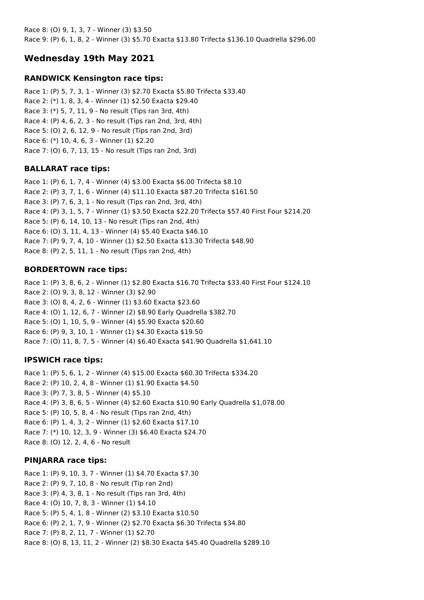Race 8: (O) 9, 1, 3, 7 - Winner (3) \$3.50 Race 9: (P) 6, 1, 8, 2 - Winner (3) \$5.70 Exacta \$13.80 Trifecta \$136.10 Quadrella \$296.00

# **Wednesday 19th May 2021**

### **RANDWICK Kensington race tips:**

Race 1: (P) 5, 7, 3, 1 - Winner (3) \$2.70 Exacta \$5.80 Trifecta \$33.40 Race 2: (\*) 1, 8, 3, 4 - Winner (1) \$2.50 Exacta \$29.40 Race 3: (\*) 5, 7, 11, 9 - No result (Tips ran 3rd, 4th) Race 4: (P) 4, 6, 2, 3 - No result (Tips ran 2nd, 3rd, 4th) Race 5: (O) 2, 6, 12, 9 - No result (Tips ran 2nd, 3rd) Race 6: (\*) 10, 4, 6, 3 - Winner (1) \$2.20 Race 7: (O) 6, 7, 13, 15 - No result (Tips ran 2nd, 3rd)

### **BALLARAT race tips:**

Race 1: (P) 6, 1, 7, 4 - Winner (4) \$3.00 Exacta \$6.00 Trifecta \$8.10 Race 2: (P) 3, 7, 1, 6 - Winner (4) \$11.10 Exacta \$87.20 Trifecta \$161.50 Race 3: (P) 7, 6, 3, 1 - No result (Tips ran 2nd, 3rd, 4th) Race 4: (P) 3, 1, 5, 7 - Winner (1) \$3.50 Exacta \$22.20 Trifecta \$57.40 First Four \$214.20 Race 5: (P) 6, 14, 10, 13 - No result (Tips ran 2nd, 4th) Race 6: (O) 3, 11, 4, 13 - Winner (4) \$5.40 Exacta \$46.10 Race 7: (P) 9, 7, 4, 10 - Winner (1) \$2.50 Exacta \$13.30 Trifecta \$48.90 Race 8: (P) 2, 5, 11, 1 - No result (Tips ran 2nd, 4th)

### **BORDERTOWN race tips:**

Race 1: (P) 3, 8, 6, 2 - Winner (1) \$2.80 Exacta \$16.70 Trifecta \$33.40 First Four \$124.10 Race 2: (O) 9, 3, 8, 12 - Winner (3) \$2.90 Race 3: (O) 8, 4, 2, 6 - Winner (1) \$3.60 Exacta \$23.60 Race 4: (O) 1, 12, 6, 7 - Winner (2) \$8.90 Early Quadrella \$382.70 Race 5: (O) 1, 10, 5, 9 - Winner (4) \$5.90 Exacta \$20.60 Race 6: (P) 9, 3, 10, 1 - Winner (1) \$4.30 Exacta \$19.50 Race 7: (O) 11, 8, 7, 5 - Winner (4) \$6.40 Exacta \$41.90 Quadrella \$1,641.10

#### **IPSWICH race tips:**

Race 1: (P) 5, 6, 1, 2 - Winner (4) \$15.00 Exacta \$60.30 Trifecta \$334.20 Race 2: (P) 10, 2, 4, 8 - Winner (1) \$1.90 Exacta \$4.50 Race 3: (P) 7, 3, 8, 5 - Winner (4) \$5.10 Race 4: (P) 3, 8, 6, 5 - Winner (4) \$2.60 Exacta \$10.90 Early Quadrella \$1,078.00 Race 5: (P) 10, 5, 8, 4 - No result (Tips ran 2nd, 4th) Race 6: (P) 1, 4, 3, 2 - Winner (1) \$2.60 Exacta \$17.10 Race 7: (\*) 10, 12, 3, 9 - Winner (3) \$6.40 Exacta \$24.70 Race 8: (O) 12, 2, 4, 6 - No result

#### **PINJARRA race tips:**

Race 1: (P) 9, 10, 3, 7 - Winner (1) \$4.70 Exacta \$7.30 Race 2: (P) 9, 7, 10, 8 - No result (Tip ran 2nd) Race 3: (P) 4, 3, 8, 1 - No result (Tips ran 3rd, 4th) Race 4: (O) 10, 7, 8, 3 - Winner (1) \$4.10 Race 5: (P) 5, 4, 1, 8 - Winner (2) \$3.10 Exacta \$10.50 Race 6: (P) 2, 1, 7, 9 - Winner (2) \$2.70 Exacta \$6.30 Trifecta \$34.80 Race 7: (P) 8, 2, 11, 7 - Winner (1) \$2.70 Race 8: (O) 8, 13, 11, 2 - Winner (2) \$8.30 Exacta \$45.40 Quadrella \$289.10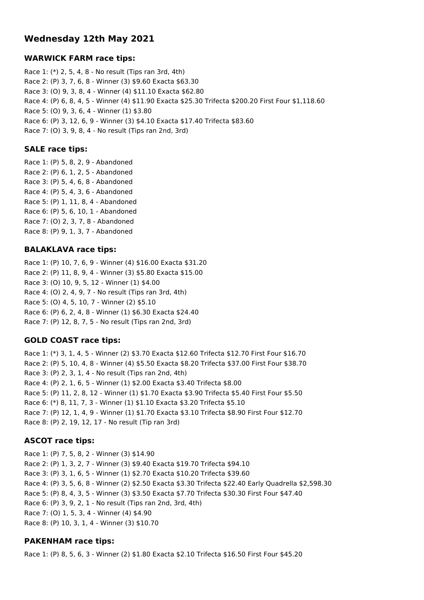# **Wednesday 12th May 2021**

### **WARWICK FARM race tips:**

Race 1: (\*) 2, 5, 4, 8 - No result (Tips ran 3rd, 4th) Race 2: (P) 3, 7, 6, 8 - Winner (3) \$9.60 Exacta \$63.30 Race 3: (O) 9, 3, 8, 4 - Winner (4) \$11.10 Exacta \$62.80 Race 4: (P) 6, 8, 4, 5 - Winner (4) \$11.90 Exacta \$25.30 Trifecta \$200.20 First Four \$1,118.60 Race 5: (O) 9, 3, 6, 4 - Winner (1) \$3.80 Race 6: (P) 3, 12, 6, 9 - Winner (3) \$4.10 Exacta \$17.40 Trifecta \$83.60 Race 7: (O) 3, 9, 8, 4 - No result (Tips ran 2nd, 3rd)

### **SALE race tips:**

Race 1: (P) 5, 8, 2, 9 - Abandoned Race 2: (P) 6, 1, 2, 5 - Abandoned Race 3: (P) 5, 4, 6, 8 - Abandoned Race 4: (P) 5, 4, 3, 6 - Abandoned Race 5: (P) 1, 11, 8, 4 - Abandoned Race 6: (P) 5, 6, 10, 1 - Abandoned Race 7: (O) 2, 3, 7, 8 - Abandoned Race 8: (P) 9, 1, 3, 7 - Abandoned

### **BALAKLAVA race tips:**

Race 1: (P) 10, 7, 6, 9 - Winner (4) \$16.00 Exacta \$31.20 Race 2: (P) 11, 8, 9, 4 - Winner (3) \$5.80 Exacta \$15.00 Race 3: (O) 10, 9, 5, 12 - Winner (1) \$4.00 Race 4: (O) 2, 4, 9, 7 - No result (Tips ran 3rd, 4th) Race 5: (O) 4, 5, 10, 7 - Winner (2) \$5.10 Race 6: (P) 6, 2, 4, 8 - Winner (1) \$6.30 Exacta \$24.40 Race 7: (P) 12, 8, 7, 5 - No result (Tips ran 2nd, 3rd)

### **GOLD COAST race tips:**

Race 1: (\*) 3, 1, 4, 5 - Winner (2) \$3.70 Exacta \$12.60 Trifecta \$12.70 First Four \$16.70 Race 2: (P) 5, 10, 4, 8 - Winner (4) \$5.50 Exacta \$8.20 Trifecta \$37.00 First Four \$38.70 Race 3: (P) 2, 3, 1, 4 - No result (Tips ran 2nd, 4th) Race 4: (P) 2, 1, 6, 5 - Winner (1) \$2.00 Exacta \$3.40 Trifecta \$8.00 Race 5: (P) 11, 2, 8, 12 - Winner (1) \$1.70 Exacta \$3.90 Trifecta \$5.40 First Four \$5.50 Race 6: (\*) 8, 11, 7, 3 - Winner (1) \$1.10 Exacta \$3.20 Trifecta \$5.10 Race 7: (P) 12, 1, 4, 9 - Winner (1) \$1.70 Exacta \$3.10 Trifecta \$8.90 First Four \$12.70 Race 8: (P) 2, 19, 12, 17 - No result (Tip ran 3rd)

### **ASCOT race tips:**

Race 1: (P) 7, 5, 8, 2 - Winner (3) \$14.90 Race 2: (P) 1, 3, 2, 7 - Winner (3) \$9.40 Exacta \$19.70 Trifecta \$94.10 Race 3: (P) 3, 1, 6, 5 - Winner (1) \$2.70 Exacta \$10.20 Trifecta \$39.60 Race 4: (P) 3, 5, 6, 8 - Winner (2) \$2.50 Exacta \$3.30 Trifecta \$22.40 Early Quadrella \$2,598.30 Race 5: (P) 8, 4, 3, 5 - Winner (3) \$3.50 Exacta \$7.70 Trifecta \$30.30 First Four \$47.40 Race 6: (P) 3, 9, 2, 1 - No result (Tips ran 2nd, 3rd, 4th) Race 7: (O) 1, 5, 3, 4 - Winner (4) \$4.90 Race 8: (P) 10, 3, 1, 4 - Winner (3) \$10.70

### **PAKENHAM race tips:**

Race 1: (P) 8, 5, 6, 3 - Winner (2) \$1.80 Exacta \$2.10 Trifecta \$16.50 First Four \$45.20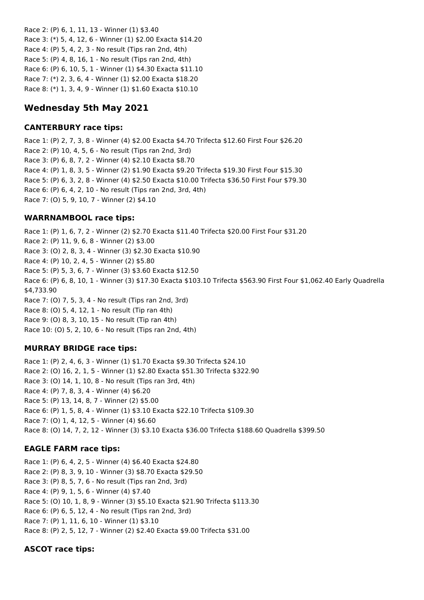Race 2: (P) 6, 1, 11, 13 - Winner (1) \$3.40 Race 3: (\*) 5, 4, 12, 6 - Winner (1) \$2.00 Exacta \$14.20 Race 4: (P) 5, 4, 2, 3 - No result (Tips ran 2nd, 4th) Race 5: (P) 4, 8, 16, 1 - No result (Tips ran 2nd, 4th) Race 6: (P) 6, 10, 5, 1 - Winner (1) \$4.30 Exacta \$11.10 Race 7: (\*) 2, 3, 6, 4 - Winner (1) \$2.00 Exacta \$18.20 Race 8: (\*) 1, 3, 4, 9 - Winner (1) \$1.60 Exacta \$10.10

# **Wednesday 5th May 2021**

## **CANTERBURY race tips:**

Race 1: (P) 2, 7, 3, 8 - Winner (4) \$2.00 Exacta \$4.70 Trifecta \$12.60 First Four \$26.20 Race 2: (P) 10, 4, 5, 6 - No result (Tips ran 2nd, 3rd) Race 3: (P) 6, 8, 7, 2 - Winner (4) \$2.10 Exacta \$8.70 Race 4: (P) 1, 8, 3, 5 - Winner (2) \$1.90 Exacta \$9.20 Trifecta \$19.30 First Four \$15.30 Race 5: (P) 6, 3, 2, 8 - Winner (4) \$2.50 Exacta \$10.00 Trifecta \$36.50 First Four \$79.30 Race 6: (P) 6, 4, 2, 10 - No result (Tips ran 2nd, 3rd, 4th) Race 7: (O) 5, 9, 10, 7 - Winner (2) \$4.10

## **WARRNAMBOOL race tips:**

Race 1: (P) 1, 6, 7, 2 - Winner (2) \$2.70 Exacta \$11.40 Trifecta \$20.00 First Four \$31.20 Race 2: (P) 11, 9, 6, 8 - Winner (2) \$3.00 Race 3: (O) 2, 8, 3, 4 - Winner (3) \$2.30 Exacta \$10.90 Race 4: (P) 10, 2, 4, 5 - Winner (2) \$5.80 Race 5: (P) 5, 3, 6, 7 - Winner (3) \$3.60 Exacta \$12.50 Race 6: (P) 6, 8, 10, 1 - Winner (3) \$17.30 Exacta \$103.10 Trifecta \$563.90 First Four \$1,062.40 Early Quadrella \$4,733.90 Race 7: (O) 7, 5, 3, 4 - No result (Tips ran 2nd, 3rd) Race 8: (O) 5, 4, 12, 1 - No result (Tip ran 4th) Race 9: (O) 8, 3, 10, 15 - No result (Tip ran 4th) Race 10: (O) 5, 2, 10, 6 - No result (Tips ran 2nd, 4th)

# **MURRAY BRIDGE race tips:**

Race 1: (P) 2, 4, 6, 3 - Winner (1) \$1.70 Exacta \$9.30 Trifecta \$24.10 Race 2: (O) 16, 2, 1, 5 - Winner (1) \$2.80 Exacta \$51.30 Trifecta \$322.90 Race 3: (O) 14, 1, 10, 8 - No result (Tips ran 3rd, 4th) Race 4: (P) 7, 8, 3, 4 - Winner (4) \$6.20 Race 5: (P) 13, 14, 8, 7 - Winner (2) \$5.00 Race 6: (P) 1, 5, 8, 4 - Winner (1) \$3.10 Exacta \$22.10 Trifecta \$109.30 Race 7: (O) 1, 4, 12, 5 - Winner (4) \$6.60 Race 8: (O) 14, 7, 2, 12 - Winner (3) \$3.10 Exacta \$36.00 Trifecta \$188.60 Quadrella \$399.50

### **EAGLE FARM race tips:**

Race 1: (P) 6, 4, 2, 5 - Winner (4) \$6.40 Exacta \$24.80 Race 2: (P) 8, 3, 9, 10 - Winner (3) \$8.70 Exacta \$29.50 Race 3: (P) 8, 5, 7, 6 - No result (Tips ran 2nd, 3rd) Race 4: (P) 9, 1, 5, 6 - Winner (4) \$7.40 Race 5: (O) 10, 1, 8, 9 - Winner (3) \$5.10 Exacta \$21.90 Trifecta \$113.30 Race 6: (P) 6, 5, 12, 4 - No result (Tips ran 2nd, 3rd) Race 7: (P) 1, 11, 6, 10 - Winner (1) \$3.10 Race 8: (P) 2, 5, 12, 7 - Winner (2) \$2.40 Exacta \$9.00 Trifecta \$31.00

# **ASCOT race tips:**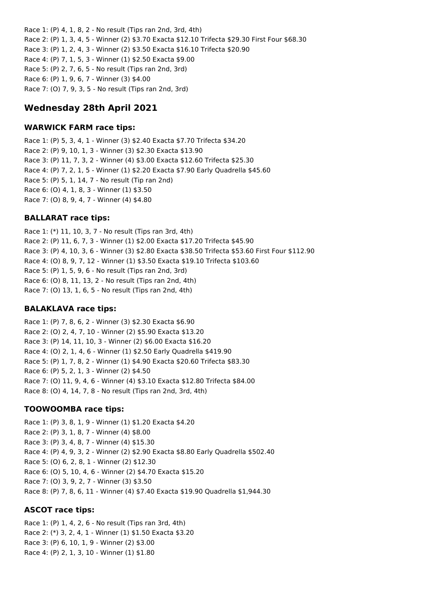Race 1: (P) 4, 1, 8, 2 - No result (Tips ran 2nd, 3rd, 4th) Race 2: (P) 1, 3, 4, 5 - Winner (2) \$3.70 Exacta \$12.10 Trifecta \$29.30 First Four \$68.30 Race 3: (P) 1, 2, 4, 3 - Winner (2) \$3.50 Exacta \$16.10 Trifecta \$20.90 Race 4: (P) 7, 1, 5, 3 - Winner (1) \$2.50 Exacta \$9.00 Race 5: (P) 2, 7, 6, 5 - No result (Tips ran 2nd, 3rd) Race 6: (P) 1, 9, 6, 7 - Winner (3) \$4.00 Race 7: (O) 7, 9, 3, 5 - No result (Tips ran 2nd, 3rd)

# **Wednesday 28th April 2021**

## **WARWICK FARM race tips:**

Race 1: (P) 5, 3, 4, 1 - Winner (3) \$2.40 Exacta \$7.70 Trifecta \$34.20 Race 2: (P) 9, 10, 1, 3 - Winner (3) \$2.30 Exacta \$13.90 Race 3: (P) 11, 7, 3, 2 - Winner (4) \$3.00 Exacta \$12.60 Trifecta \$25.30 Race 4: (P) 7, 2, 1, 5 - Winner (1) \$2.20 Exacta \$7.90 Early Quadrella \$45.60 Race 5: (P) 5, 1, 14, 7 - No result (Tip ran 2nd) Race 6: (O) 4, 1, 8, 3 - Winner (1) \$3.50 Race 7: (O) 8, 9, 4, 7 - Winner (4) \$4.80

## **BALLARAT race tips:**

Race 1: (\*) 11, 10, 3, 7 - No result (Tips ran 3rd, 4th) Race 2: (P) 11, 6, 7, 3 - Winner (1) \$2.00 Exacta \$17.20 Trifecta \$45.90 Race 3: (P) 4, 10, 3, 6 - Winner (3) \$2.80 Exacta \$38.50 Trifecta \$53.60 First Four \$112.90 Race 4: (O) 8, 9, 7, 12 - Winner (1) \$3.50 Exacta \$19.10 Trifecta \$103.60 Race 5: (P) 1, 5, 9, 6 - No result (Tips ran 2nd, 3rd) Race 6: (O) 8, 11, 13, 2 - No result (Tips ran 2nd, 4th) Race 7: (O) 13, 1, 6, 5 - No result (Tips ran 2nd, 4th)

### **BALAKLAVA race tips:**

Race 1: (P) 7, 8, 6, 2 - Winner (3) \$2.30 Exacta \$6.90 Race 2: (O) 2, 4, 7, 10 - Winner (2) \$5.90 Exacta \$13.20 Race 3: (P) 14, 11, 10, 3 - Winner (2) \$6.00 Exacta \$16.20 Race 4: (O) 2, 1, 4, 6 - Winner (1) \$2.50 Early Quadrella \$419.90 Race 5: (P) 1, 7, 8, 2 - Winner (1) \$4.90 Exacta \$20.60 Trifecta \$83.30 Race 6: (P) 5, 2, 1, 3 - Winner (2) \$4.50 Race 7: (O) 11, 9, 4, 6 - Winner (4) \$3.10 Exacta \$12.80 Trifecta \$84.00 Race 8: (O) 4, 14, 7, 8 - No result (Tips ran 2nd, 3rd, 4th)

# **TOOWOOMBA race tips:**

Race 1: (P) 3, 8, 1, 9 - Winner (1) \$1.20 Exacta \$4.20 Race 2: (P) 3, 1, 8, 7 - Winner (4) \$8.00 Race 3: (P) 3, 4, 8, 7 - Winner (4) \$15.30 Race 4: (P) 4, 9, 3, 2 - Winner (2) \$2.90 Exacta \$8.80 Early Quadrella \$502.40 Race 5: (O) 6, 2, 8, 1 - Winner (2) \$12.30 Race 6: (O) 5, 10, 4, 6 - Winner (2) \$4.70 Exacta \$15.20 Race 7: (O) 3, 9, 2, 7 - Winner (3) \$3.50 Race 8: (P) 7, 8, 6, 11 - Winner (4) \$7.40 Exacta \$19.90 Quadrella \$1,944.30

### **ASCOT race tips:**

Race 1: (P) 1, 4, 2, 6 - No result (Tips ran 3rd, 4th) Race 2: (\*) 3, 2, 4, 1 - Winner (1) \$1.50 Exacta \$3.20 Race 3: (P) 6, 10, 1, 9 - Winner (2) \$3.00 Race 4: (P) 2, 1, 3, 10 - Winner (1) \$1.80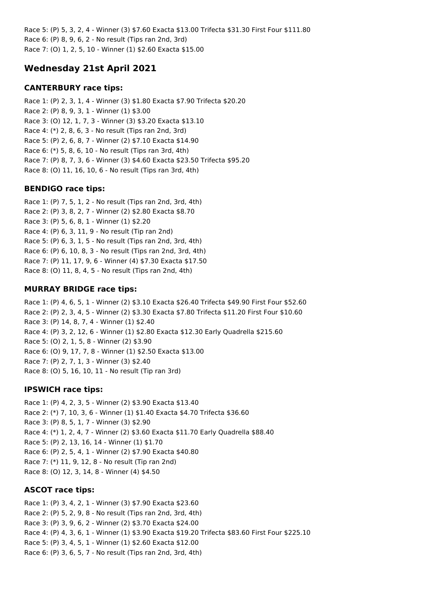Race 5: (P) 5, 3, 2, 4 - Winner (3) \$7.60 Exacta \$13.00 Trifecta \$31.30 First Four \$111.80 Race 6: (P) 8, 9, 6, 2 - No result (Tips ran 2nd, 3rd) Race 7: (O) 1, 2, 5, 10 - Winner (1) \$2.60 Exacta \$15.00

# **Wednesday 21st April 2021**

## **CANTERBURY race tips:**

Race 1: (P) 2, 3, 1, 4 - Winner (3) \$1.80 Exacta \$7.90 Trifecta \$20.20 Race 2: (P) 8, 9, 3, 1 - Winner (1) \$3.00 Race 3: (O) 12, 1, 7, 3 - Winner (3) \$3.20 Exacta \$13.10 Race 4: (\*) 2, 8, 6, 3 - No result (Tips ran 2nd, 3rd) Race 5: (P) 2, 6, 8, 7 - Winner (2) \$7.10 Exacta \$14.90 Race 6: (\*) 5, 8, 6, 10 - No result (Tips ran 3rd, 4th) Race 7: (P) 8, 7, 3, 6 - Winner (3) \$4.60 Exacta \$23.50 Trifecta \$95.20 Race 8: (O) 11, 16, 10, 6 - No result (Tips ran 3rd, 4th)

## **BENDIGO race tips:**

Race 1: (P) 7, 5, 1, 2 - No result (Tips ran 2nd, 3rd, 4th) Race 2: (P) 3, 8, 2, 7 - Winner (2) \$2.80 Exacta \$8.70 Race 3: (P) 5, 6, 8, 1 - Winner (1) \$2.20 Race 4: (P) 6, 3, 11, 9 - No result (Tip ran 2nd) Race 5: (P) 6, 3, 1, 5 - No result (Tips ran 2nd, 3rd, 4th) Race 6: (P) 6, 10, 8, 3 - No result (Tips ran 2nd, 3rd, 4th) Race 7: (P) 11, 17, 9, 6 - Winner (4) \$7.30 Exacta \$17.50 Race 8: (O) 11, 8, 4, 5 - No result (Tips ran 2nd, 4th)

## **MURRAY BRIDGE race tips:**

Race 1: (P) 4, 6, 5, 1 - Winner (2) \$3.10 Exacta \$26.40 Trifecta \$49.90 First Four \$52.60 Race 2: (P) 2, 3, 4, 5 - Winner (2) \$3.30 Exacta \$7.80 Trifecta \$11.20 First Four \$10.60 Race 3: (P) 14, 8, 7, 4 - Winner (1) \$2.40 Race 4: (P) 3, 2, 12, 6 - Winner (1) \$2.80 Exacta \$12.30 Early Quadrella \$215.60 Race 5: (O) 2, 1, 5, 8 - Winner (2) \$3.90 Race 6: (O) 9, 17, 7, 8 - Winner (1) \$2.50 Exacta \$13.00 Race 7: (P) 2, 7, 1, 3 - Winner (3) \$2.40 Race 8: (O) 5, 16, 10, 11 - No result (Tip ran 3rd)

### **IPSWICH race tips:**

Race 1: (P) 4, 2, 3, 5 - Winner (2) \$3.90 Exacta \$13.40 Race 2: (\*) 7, 10, 3, 6 - Winner (1) \$1.40 Exacta \$4.70 Trifecta \$36.60 Race 3: (P) 8, 5, 1, 7 - Winner (3) \$2.90 Race 4: (\*) 1, 2, 4, 7 - Winner (2) \$3.60 Exacta \$11.70 Early Quadrella \$88.40 Race 5: (P) 2, 13, 16, 14 - Winner (1) \$1.70 Race 6: (P) 2, 5, 4, 1 - Winner (2) \$7.90 Exacta \$40.80 Race 7: (\*) 11, 9, 12, 8 - No result (Tip ran 2nd) Race 8: (O) 12, 3, 14, 8 - Winner (4) \$4.50

# **ASCOT race tips:**

Race 1: (P) 3, 4, 2, 1 - Winner (3) \$7.90 Exacta \$23.60 Race 2: (P) 5, 2, 9, 8 - No result (Tips ran 2nd, 3rd, 4th) Race 3: (P) 3, 9, 6, 2 - Winner (2) \$3.70 Exacta \$24.00 Race 4: (P) 4, 3, 6, 1 - Winner (1) \$3.90 Exacta \$19.20 Trifecta \$83.60 First Four \$225.10 Race 5: (P) 3, 4, 5, 1 - Winner (1) \$2.60 Exacta \$12.00 Race 6: (P) 3, 6, 5, 7 - No result (Tips ran 2nd, 3rd, 4th)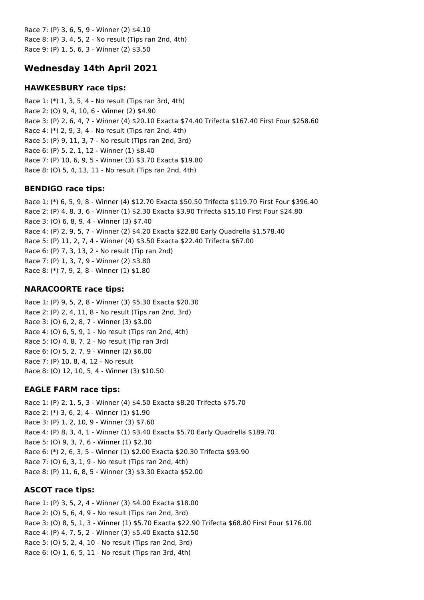Race 7: (P) 3, 6, 5, 9 - Winner (2) \$4.10 Race 8: (P) 3, 4, 5, 2 - No result (Tips ran 2nd, 4th) Race 9: (P) 1, 5, 6, 3 - Winner (2) \$3.50

# **Wednesday 14th April 2021**

### **HAWKESBURY race tips:**

Race 1: (\*) 1, 3, 5, 4 - No result (Tips ran 3rd, 4th) Race 2: (O) 9, 4, 10, 6 - Winner (2) \$4.90 Race 3: (P) 2, 6, 4, 7 - Winner (4) \$20.10 Exacta \$74.40 Trifecta \$167.40 First Four \$258.60 Race 4: (\*) 2, 9, 3, 4 - No result (Tips ran 2nd, 4th) Race 5: (P) 9, 11, 3, 7 - No result (Tips ran 2nd, 3rd) Race 6: (P) 5, 2, 1, 12 - Winner (1) \$8.40 Race 7: (P) 10, 6, 9, 5 - Winner (3) \$3.70 Exacta \$19.80 Race 8: (O) 5, 4, 13, 11 - No result (Tips ran 2nd, 4th)

## **BENDIGO race tips:**

Race 1: (\*) 6, 5, 9, 8 - Winner (4) \$12.70 Exacta \$50.50 Trifecta \$119.70 First Four \$396.40 Race 2: (P) 4, 8, 3, 6 - Winner (1) \$2.30 Exacta \$3.90 Trifecta \$15.10 First Four \$24.80 Race 3: (O) 6, 8, 9, 4 - Winner (3) \$7.40 Race 4: (P) 2, 9, 5, 7 - Winner (2) \$4.20 Exacta \$22.80 Early Quadrella \$1,578.40 Race 5: (P) 11, 2, 7, 4 - Winner (4) \$3.50 Exacta \$22.40 Trifecta \$67.00 Race 6: (P) 7, 3, 13, 2 - No result (Tip ran 2nd) Race 7: (P) 1, 3, 7, 9 - Winner (2) \$3.80 Race 8: (\*) 7, 9, 2, 8 - Winner (1) \$1.80

# **NARACOORTE race tips:**

Race 1: (P) 9, 5, 2, 8 - Winner (3) \$5.30 Exacta \$20.30 Race 2: (P) 2, 4, 11, 8 - No result (Tips ran 2nd, 3rd) Race 3: (O) 6, 2, 8, 7 - Winner (3) \$3.00 Race 4: (O) 6, 5, 9, 1 - No result (Tips ran 2nd, 4th) Race 5: (O) 4, 8, 7, 2 - No result (Tip ran 3rd) Race 6: (O) 5, 2, 7, 9 - Winner (2) \$6.00 Race 7: (P) 10, 8, 4, 12 - No result Race 8: (O) 12, 10, 5, 4 - Winner (3) \$10.50

# **EAGLE FARM race tips:**

Race 1: (P) 2, 1, 5, 3 - Winner (4) \$4.50 Exacta \$8.20 Trifecta \$75.70 Race 2: (\*) 3, 6, 2, 4 - Winner (1) \$1.90 Race 3: (P) 1, 2, 10, 9 - Winner (3) \$7.60 Race 4: (P) 8, 3, 4, 1 - Winner (1) \$3.40 Exacta \$5.70 Early Quadrella \$189.70 Race 5: (O) 9, 3, 7, 6 - Winner (1) \$2.30 Race 6: (\*) 2, 6, 3, 5 - Winner (1) \$2.00 Exacta \$20.30 Trifecta \$93.90 Race 7: (O) 6, 3, 1, 9 - No result (Tips ran 2nd, 4th) Race 8: (P) 11, 6, 8, 5 - Winner (3) \$3.30 Exacta \$52.00

# **ASCOT race tips:**

Race 1: (P) 3, 5, 2, 4 - Winner (3) \$4.00 Exacta \$18.00 Race 2: (O) 5, 6, 4, 9 - No result (Tips ran 2nd, 3rd) Race 3: (O) 8, 5, 1, 3 - Winner (1) \$5.70 Exacta \$22.90 Trifecta \$68.80 First Four \$176.00 Race 4: (P) 4, 7, 5, 2 - Winner (3) \$5.40 Exacta \$12.50 Race 5: (O) 5, 2, 4, 10 - No result (Tips ran 2nd, 3rd) Race 6: (O) 1, 6, 5, 11 - No result (Tips ran 3rd, 4th)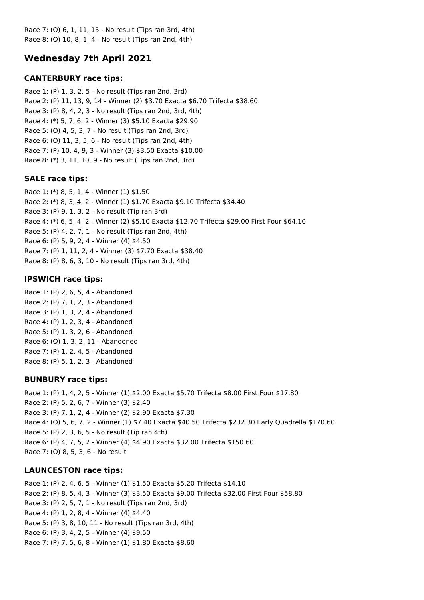Race 7: (O) 6, 1, 11, 15 - No result (Tips ran 3rd, 4th) Race 8: (O) 10, 8, 1, 4 - No result (Tips ran 2nd, 4th)

# **Wednesday 7th April 2021**

## **CANTERBURY race tips:**

Race 1: (P) 1, 3, 2, 5 - No result (Tips ran 2nd, 3rd) Race 2: (P) 11, 13, 9, 14 - Winner (2) \$3.70 Exacta \$6.70 Trifecta \$38.60 Race 3: (P) 8, 4, 2, 3 - No result (Tips ran 2nd, 3rd, 4th) Race 4: (\*) 5, 7, 6, 2 - Winner (3) \$5.10 Exacta \$29.90 Race 5: (O) 4, 5, 3, 7 - No result (Tips ran 2nd, 3rd) Race 6: (O) 11, 3, 5, 6 - No result (Tips ran 2nd, 4th) Race 7: (P) 10, 4, 9, 3 - Winner (3) \$3.50 Exacta \$10.00 Race 8: (\*) 3, 11, 10, 9 - No result (Tips ran 2nd, 3rd)

## **SALE race tips:**

Race 1: (\*) 8, 5, 1, 4 - Winner (1) \$1.50 Race 2: (\*) 8, 3, 4, 2 - Winner (1) \$1.70 Exacta \$9.10 Trifecta \$34.40 Race 3: (P) 9, 1, 3, 2 - No result (Tip ran 3rd) Race 4: (\*) 6, 5, 4, 2 - Winner (2) \$5.10 Exacta \$12.70 Trifecta \$29.00 First Four \$64.10 Race 5: (P) 4, 2, 7, 1 - No result (Tips ran 2nd, 4th) Race 6: (P) 5, 9, 2, 4 - Winner (4) \$4.50 Race 7: (P) 1, 11, 2, 4 - Winner (3) \$7.70 Exacta \$38.40 Race 8: (P) 8, 6, 3, 10 - No result (Tips ran 3rd, 4th)

## **IPSWICH race tips:**

Race 1: (P) 2, 6, 5, 4 - Abandoned Race 2: (P) 7, 1, 2, 3 - Abandoned Race 3: (P) 1, 3, 2, 4 - Abandoned Race 4: (P) 1, 2, 3, 4 - Abandoned Race 5: (P) 1, 3, 2, 6 - Abandoned Race 6: (O) 1, 3, 2, 11 - Abandoned Race 7: (P) 1, 2, 4, 5 - Abandoned Race 8: (P) 5, 1, 2, 3 - Abandoned

# **BUNBURY race tips:**

Race 1: (P) 1, 4, 2, 5 - Winner (1) \$2.00 Exacta \$5.70 Trifecta \$8.00 First Four \$17.80 Race 2: (P) 5, 2, 6, 7 - Winner (3) \$2.40 Race 3: (P) 7, 1, 2, 4 - Winner (2) \$2.90 Exacta \$7.30 Race 4: (O) 5, 6, 7, 2 - Winner (1) \$7.40 Exacta \$40.50 Trifecta \$232.30 Early Quadrella \$170.60 Race 5: (P) 2, 3, 6, 5 - No result (Tip ran 4th) Race 6: (P) 4, 7, 5, 2 - Winner (4) \$4.90 Exacta \$32.00 Trifecta \$150.60 Race 7: (O) 8, 5, 3, 6 - No result

# **LAUNCESTON race tips:**

Race 1: (P) 2, 4, 6, 5 - Winner (1) \$1.50 Exacta \$5.20 Trifecta \$14.10 Race 2: (P) 8, 5, 4, 3 - Winner (3) \$3.50 Exacta \$9.00 Trifecta \$32.00 First Four \$58.80 Race 3: (P) 2, 5, 7, 1 - No result (Tips ran 2nd, 3rd) Race 4: (P) 1, 2, 8, 4 - Winner (4) \$4.40 Race 5: (P) 3, 8, 10, 11 - No result (Tips ran 3rd, 4th) Race 6: (P) 3, 4, 2, 5 - Winner (4) \$9.50 Race 7: (P) 7, 5, 6, 8 - Winner (1) \$1.80 Exacta \$8.60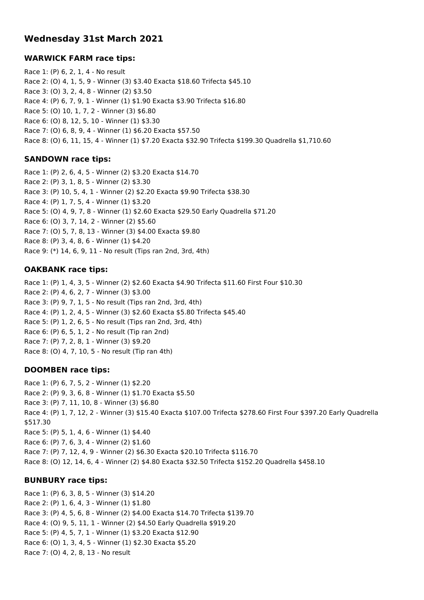# **Wednesday 31st March 2021**

### **WARWICK FARM race tips:**

Race 1: (P) 6, 2, 1, 4 - No result Race 2: (O) 4, 1, 5, 9 - Winner (3) \$3.40 Exacta \$18.60 Trifecta \$45.10 Race 3: (O) 3, 2, 4, 8 - Winner (2) \$3.50 Race 4: (P) 6, 7, 9, 1 - Winner (1) \$1.90 Exacta \$3.90 Trifecta \$16.80 Race 5: (O) 10, 1, 7, 2 - Winner (3) \$6.80 Race 6: (O) 8, 12, 5, 10 - Winner (1) \$3.30 Race 7: (O) 6, 8, 9, 4 - Winner (1) \$6.20 Exacta \$57.50 Race 8: (O) 6, 11, 15, 4 - Winner (1) \$7.20 Exacta \$32.90 Trifecta \$199.30 Quadrella \$1,710.60

### **SANDOWN race tips:**

Race 1: (P) 2, 6, 4, 5 - Winner (2) \$3.20 Exacta \$14.70 Race 2: (P) 3, 1, 8, 5 - Winner (2) \$3.30 Race 3: (P) 10, 5, 4, 1 - Winner (2) \$2.20 Exacta \$9.90 Trifecta \$38.30 Race 4: (P) 1, 7, 5, 4 - Winner (1) \$3.20 Race 5: (O) 4, 9, 7, 8 - Winner (1) \$2.60 Exacta \$29.50 Early Quadrella \$71.20 Race 6: (O) 3, 7, 14, 2 - Winner (2) \$5.60 Race 7: (O) 5, 7, 8, 13 - Winner (3) \$4.00 Exacta \$9.80 Race 8: (P) 3, 4, 8, 6 - Winner (1) \$4.20 Race 9: (\*) 14, 6, 9, 11 - No result (Tips ran 2nd, 3rd, 4th)

### **OAKBANK race tips:**

Race 1: (P) 1, 4, 3, 5 - Winner (2) \$2.60 Exacta \$4.90 Trifecta \$11.60 First Four \$10.30 Race 2: (P) 4, 6, 2, 7 - Winner (3) \$3.00 Race 3: (P) 9, 7, 1, 5 - No result (Tips ran 2nd, 3rd, 4th) Race 4: (P) 1, 2, 4, 5 - Winner (3) \$2.60 Exacta \$5.80 Trifecta \$45.40 Race 5: (P) 1, 2, 6, 5 - No result (Tips ran 2nd, 3rd, 4th) Race 6: (P) 6, 5, 1, 2 - No result (Tip ran 2nd) Race 7: (P) 7, 2, 8, 1 - Winner (3) \$9.20 Race 8: (O) 4, 7, 10, 5 - No result (Tip ran 4th)

### **DOOMBEN race tips:**

Race 1: (P) 6, 7, 5, 2 - Winner (1) \$2.20 Race 2: (P) 9, 3, 6, 8 - Winner (1) \$1.70 Exacta \$5.50 Race 3: (P) 7, 11, 10, 8 - Winner (3) \$6.80 Race 4: (P) 1, 7, 12, 2 - Winner (3) \$15.40 Exacta \$107.00 Trifecta \$278.60 First Four \$397.20 Early Quadrella \$517.30 Race 5: (P) 5, 1, 4, 6 - Winner (1) \$4.40 Race 6: (P) 7, 6, 3, 4 - Winner (2) \$1.60 Race 7: (P) 7, 12, 4, 9 - Winner (2) \$6.30 Exacta \$20.10 Trifecta \$116.70 Race 8: (O) 12, 14, 6, 4 - Winner (2) \$4.80 Exacta \$32.50 Trifecta \$152.20 Quadrella \$458.10

### **BUNBURY race tips:**

Race 1: (P) 6, 3, 8, 5 - Winner (3) \$14.20 Race 2: (P) 1, 6, 4, 3 - Winner (1) \$1.80 Race 3: (P) 4, 5, 6, 8 - Winner (2) \$4.00 Exacta \$14.70 Trifecta \$139.70 Race 4: (O) 9, 5, 11, 1 - Winner (2) \$4.50 Early Quadrella \$919.20 Race 5: (P) 4, 5, 7, 1 - Winner (1) \$3.20 Exacta \$12.90 Race 6: (O) 1, 3, 4, 5 - Winner (1) \$2.30 Exacta \$5.20 Race 7: (O) 4, 2, 8, 13 - No result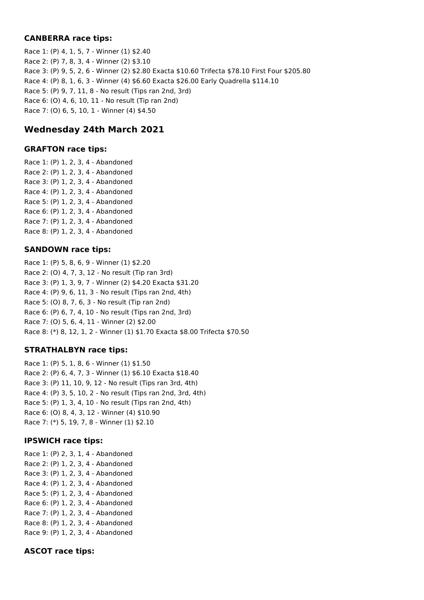### **CANBERRA race tips:**

Race 1: (P) 4, 1, 5, 7 - Winner (1) \$2.40 Race 2: (P) 7, 8, 3, 4 - Winner (2) \$3.10 Race 3: (P) 9, 5, 2, 6 - Winner (2) \$2.80 Exacta \$10.60 Trifecta \$78.10 First Four \$205.80 Race 4: (P) 8, 1, 6, 3 - Winner (4) \$6.60 Exacta \$26.00 Early Quadrella \$114.10 Race 5: (P) 9, 7, 11, 8 - No result (Tips ran 2nd, 3rd) Race 6: (O) 4, 6, 10, 11 - No result (Tip ran 2nd) Race 7: (O) 6, 5, 10, 1 - Winner (4) \$4.50

# **Wednesday 24th March 2021**

### **GRAFTON race tips:**

Race 1: (P) 1, 2, 3, 4 - Abandoned Race 2: (P) 1, 2, 3, 4 - Abandoned Race 3: (P) 1, 2, 3, 4 - Abandoned Race 4: (P) 1, 2, 3, 4 - Abandoned Race 5: (P) 1, 2, 3, 4 - Abandoned Race 6: (P) 1, 2, 3, 4 - Abandoned Race 7: (P) 1, 2, 3, 4 - Abandoned Race 8: (P) 1, 2, 3, 4 - Abandoned

### **SANDOWN race tips:**

Race 1: (P) 5, 8, 6, 9 - Winner (1) \$2.20 Race 2: (O) 4, 7, 3, 12 - No result (Tip ran 3rd) Race 3: (P) 1, 3, 9, 7 - Winner (2) \$4.20 Exacta \$31.20 Race 4: (P) 9, 6, 11, 3 - No result (Tips ran 2nd, 4th) Race 5: (O) 8, 7, 6, 3 - No result (Tip ran 2nd) Race 6: (P) 6, 7, 4, 10 - No result (Tips ran 2nd, 3rd) Race 7: (O) 5, 6, 4, 11 - Winner (2) \$2.00 Race 8: (\*) 8, 12, 1, 2 - Winner (1) \$1.70 Exacta \$8.00 Trifecta \$70.50

### **STRATHALBYN race tips:**

Race 1: (P) 5, 1, 8, 6 - Winner (1) \$1.50 Race 2: (P) 6, 4, 7, 3 - Winner (1) \$6.10 Exacta \$18.40 Race 3: (P) 11, 10, 9, 12 - No result (Tips ran 3rd, 4th) Race 4: (P) 3, 5, 10, 2 - No result (Tips ran 2nd, 3rd, 4th) Race 5: (P) 1, 3, 4, 10 - No result (Tips ran 2nd, 4th) Race 6: (O) 8, 4, 3, 12 - Winner (4) \$10.90 Race 7: (\*) 5, 19, 7, 8 - Winner (1) \$2.10

### **IPSWICH race tips:**

Race 1: (P) 2, 3, 1, 4 - Abandoned Race 2: (P) 1, 2, 3, 4 - Abandoned Race 3: (P) 1, 2, 3, 4 - Abandoned Race 4: (P) 1, 2, 3, 4 - Abandoned Race 5: (P) 1, 2, 3, 4 - Abandoned Race 6: (P) 1, 2, 3, 4 - Abandoned Race 7: (P) 1, 2, 3, 4 - Abandoned Race 8: (P) 1, 2, 3, 4 - Abandoned Race 9: (P) 1, 2, 3, 4 - Abandoned

### **ASCOT race tips:**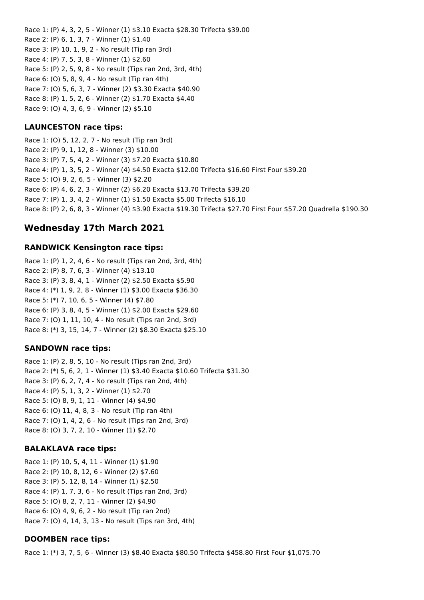Race 1: (P) 4, 3, 2, 5 - Winner (1) \$3.10 Exacta \$28.30 Trifecta \$39.00 Race 2: (P) 6, 1, 3, 7 - Winner (1) \$1.40 Race 3: (P) 10, 1, 9, 2 - No result (Tip ran 3rd) Race 4: (P) 7, 5, 3, 8 - Winner (1) \$2.60 Race 5: (P) 2, 5, 9, 8 - No result (Tips ran 2nd, 3rd, 4th) Race 6: (O) 5, 8, 9, 4 - No result (Tip ran 4th) Race 7: (O) 5, 6, 3, 7 - Winner (2) \$3.30 Exacta \$40.90 Race 8: (P) 1, 5, 2, 6 - Winner (2) \$1.70 Exacta \$4.40 Race 9: (O) 4, 3, 6, 9 - Winner (2) \$5.10

### **LAUNCESTON race tips:**

Race 1: (O) 5, 12, 2, 7 - No result (Tip ran 3rd) Race 2: (P) 9, 1, 12, 8 - Winner (3) \$10.00 Race 3: (P) 7, 5, 4, 2 - Winner (3) \$7.20 Exacta \$10.80 Race 4: (P) 1, 3, 5, 2 - Winner (4) \$4.50 Exacta \$12.00 Trifecta \$16.60 First Four \$39.20 Race 5: (O) 9, 2, 6, 5 - Winner (3) \$2.20 Race 6: (P) 4, 6, 2, 3 - Winner (2) \$6.20 Exacta \$13.70 Trifecta \$39.20 Race 7: (P) 1, 3, 4, 2 - Winner (1) \$1.50 Exacta \$5.00 Trifecta \$16.10 Race 8: (P) 2, 6, 8, 3 - Winner (4) \$3.90 Exacta \$19.30 Trifecta \$27.70 First Four \$57.20 Quadrella \$190.30

## **Wednesday 17th March 2021**

#### **RANDWICK Kensington race tips:**

Race 1: (P) 1, 2, 4, 6 - No result (Tips ran 2nd, 3rd, 4th) Race 2: (P) 8, 7, 6, 3 - Winner (4) \$13.10 Race 3: (P) 3, 8, 4, 1 - Winner (2) \$2.50 Exacta \$5.90 Race 4: (\*) 1, 9, 2, 8 - Winner (1) \$3.00 Exacta \$36.30 Race 5: (\*) 7, 10, 6, 5 - Winner (4) \$7.80 Race 6: (P) 3, 8, 4, 5 - Winner (1) \$2.00 Exacta \$29.60 Race 7: (O) 1, 11, 10, 4 - No result (Tips ran 2nd, 3rd) Race 8: (\*) 3, 15, 14, 7 - Winner (2) \$8.30 Exacta \$25.10

#### **SANDOWN race tips:**

Race 1: (P) 2, 8, 5, 10 - No result (Tips ran 2nd, 3rd) Race 2: (\*) 5, 6, 2, 1 - Winner (1) \$3.40 Exacta \$10.60 Trifecta \$31.30 Race 3: (P) 6, 2, 7, 4 - No result (Tips ran 2nd, 4th) Race 4: (P) 5, 1, 3, 2 - Winner (1) \$2.70 Race 5: (O) 8, 9, 1, 11 - Winner (4) \$4.90 Race 6: (O) 11, 4, 8, 3 - No result (Tip ran 4th) Race 7: (O) 1, 4, 2, 6 - No result (Tips ran 2nd, 3rd) Race 8: (O) 3, 7, 2, 10 - Winner (1) \$2.70

#### **BALAKLAVA race tips:**

Race 1: (P) 10, 5, 4, 11 - Winner (1) \$1.90 Race 2: (P) 10, 8, 12, 6 - Winner (2) \$7.60 Race 3: (P) 5, 12, 8, 14 - Winner (1) \$2.50 Race 4: (P) 1, 7, 3, 6 - No result (Tips ran 2nd, 3rd) Race 5: (O) 8, 2, 7, 11 - Winner (2) \$4.90 Race 6: (O) 4, 9, 6, 2 - No result (Tip ran 2nd) Race 7: (O) 4, 14, 3, 13 - No result (Tips ran 3rd, 4th)

#### **DOOMBEN race tips:**

Race 1: (\*) 3, 7, 5, 6 - Winner (3) \$8.40 Exacta \$80.50 Trifecta \$458.80 First Four \$1,075.70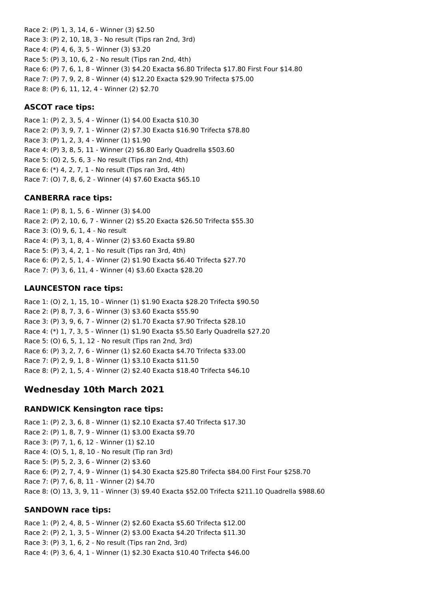Race 2: (P) 1, 3, 14, 6 - Winner (3) \$2.50 Race 3: (P) 2, 10, 18, 3 - No result (Tips ran 2nd, 3rd) Race 4: (P) 4, 6, 3, 5 - Winner (3) \$3.20 Race 5: (P) 3, 10, 6, 2 - No result (Tips ran 2nd, 4th) Race 6: (P) 7, 6, 1, 8 - Winner (3) \$4.20 Exacta \$6.80 Trifecta \$17.80 First Four \$14.80 Race 7: (P) 7, 9, 2, 8 - Winner (4) \$12.20 Exacta \$29.90 Trifecta \$75.00 Race 8: (P) 6, 11, 12, 4 - Winner (2) \$2.70

### **ASCOT race tips:**

Race 1: (P) 2, 3, 5, 4 - Winner (1) \$4.00 Exacta \$10.30 Race 2: (P) 3, 9, 7, 1 - Winner (2) \$7.30 Exacta \$16.90 Trifecta \$78.80 Race 3: (P) 1, 2, 3, 4 - Winner (1) \$1.90 Race 4: (P) 3, 8, 5, 11 - Winner (2) \$6.80 Early Quadrella \$503.60 Race 5: (O) 2, 5, 6, 3 - No result (Tips ran 2nd, 4th) Race 6: (\*) 4, 2, 7, 1 - No result (Tips ran 3rd, 4th) Race 7: (O) 7, 8, 6, 2 - Winner (4) \$7.60 Exacta \$65.10

#### **CANBERRA race tips:**

Race 1: (P) 8, 1, 5, 6 - Winner (3) \$4.00 Race 2: (P) 2, 10, 6, 7 - Winner (2) \$5.20 Exacta \$26.50 Trifecta \$55.30 Race 3: (O) 9, 6, 1, 4 - No result Race 4: (P) 3, 1, 8, 4 - Winner (2) \$3.60 Exacta \$9.80 Race 5: (P) 3, 4, 2, 1 - No result (Tips ran 3rd, 4th) Race 6: (P) 2, 5, 1, 4 - Winner (2) \$1.90 Exacta \$6.40 Trifecta \$27.70 Race 7: (P) 3, 6, 11, 4 - Winner (4) \$3.60 Exacta \$28.20

#### **LAUNCESTON race tips:**

Race 1: (O) 2, 1, 15, 10 - Winner (1) \$1.90 Exacta \$28.20 Trifecta \$90.50 Race 2: (P) 8, 7, 3, 6 - Winner (3) \$3.60 Exacta \$55.90 Race 3: (P) 3, 9, 6, 7 - Winner (2) \$1.70 Exacta \$7.90 Trifecta \$28.10 Race 4: (\*) 1, 7, 3, 5 - Winner (1) \$1.90 Exacta \$5.50 Early Quadrella \$27.20 Race 5: (O) 6, 5, 1, 12 - No result (Tips ran 2nd, 3rd) Race 6: (P) 3, 2, 7, 6 - Winner (1) \$2.60 Exacta \$4.70 Trifecta \$33.00 Race 7: (P) 2, 9, 1, 8 - Winner (1) \$3.10 Exacta \$11.50 Race 8: (P) 2, 1, 5, 4 - Winner (2) \$2.40 Exacta \$18.40 Trifecta \$46.10

### **Wednesday 10th March 2021**

#### **RANDWICK Kensington race tips:**

Race 1: (P) 2, 3, 6, 8 - Winner (1) \$2.10 Exacta \$7.40 Trifecta \$17.30 Race 2: (P) 1, 8, 7, 9 - Winner (1) \$3.00 Exacta \$9.70 Race 3: (P) 7, 1, 6, 12 - Winner (1) \$2.10 Race 4: (O) 5, 1, 8, 10 - No result (Tip ran 3rd) Race 5: (P) 5, 2, 3, 6 - Winner (2) \$3.60 Race 6: (P) 2, 7, 4, 9 - Winner (1) \$4.30 Exacta \$25.80 Trifecta \$84.00 First Four \$258.70 Race 7: (P) 7, 6, 8, 11 - Winner (2) \$4.70 Race 8: (O) 13, 3, 9, 11 - Winner (3) \$9.40 Exacta \$52.00 Trifecta \$211.10 Quadrella \$988.60

#### **SANDOWN race tips:**

Race 1: (P) 2, 4, 8, 5 - Winner (2) \$2.60 Exacta \$5.60 Trifecta \$12.00 Race 2: (P) 2, 1, 3, 5 - Winner (2) \$3.00 Exacta \$4.20 Trifecta \$11.30 Race 3: (P) 3, 1, 6, 2 - No result (Tips ran 2nd, 3rd) Race 4: (P) 3, 6, 4, 1 - Winner (1) \$2.30 Exacta \$10.40 Trifecta \$46.00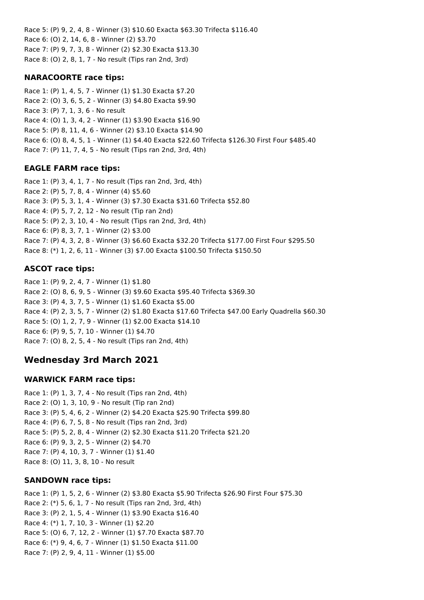Race 5: (P) 9, 2, 4, 8 - Winner (3) \$10.60 Exacta \$63.30 Trifecta \$116.40 Race 6: (O) 2, 14, 6, 8 - Winner (2) \$3.70 Race 7: (P) 9, 7, 3, 8 - Winner (2) \$2.30 Exacta \$13.30 Race 8: (O) 2, 8, 1, 7 - No result (Tips ran 2nd, 3rd)

### **NARACOORTE race tips:**

Race 1: (P) 1, 4, 5, 7 - Winner (1) \$1.30 Exacta \$7.20 Race 2: (O) 3, 6, 5, 2 - Winner (3) \$4.80 Exacta \$9.90 Race 3: (P) 7, 1, 3, 6 - No result Race 4: (O) 1, 3, 4, 2 - Winner (1) \$3.90 Exacta \$16.90 Race 5: (P) 8, 11, 4, 6 - Winner (2) \$3.10 Exacta \$14.90 Race 6: (O) 8, 4, 5, 1 - Winner (1) \$4.40 Exacta \$22.60 Trifecta \$126.30 First Four \$485.40 Race 7: (P) 11, 7, 4, 5 - No result (Tips ran 2nd, 3rd, 4th)

# **EAGLE FARM race tips:**

Race 1: (P) 3, 4, 1, 7 - No result (Tips ran 2nd, 3rd, 4th) Race 2: (P) 5, 7, 8, 4 - Winner (4) \$5.60 Race 3: (P) 5, 3, 1, 4 - Winner (3) \$7.30 Exacta \$31.60 Trifecta \$52.80 Race 4: (P) 5, 7, 2, 12 - No result (Tip ran 2nd) Race 5: (P) 2, 3, 10, 4 - No result (Tips ran 2nd, 3rd, 4th) Race 6: (P) 8, 3, 7, 1 - Winner (2) \$3.00 Race 7: (P) 4, 3, 2, 8 - Winner (3) \$6.60 Exacta \$32.20 Trifecta \$177.00 First Four \$295.50 Race 8: (\*) 1, 2, 6, 11 - Winner (3) \$7.00 Exacta \$100.50 Trifecta \$150.50

# **ASCOT race tips:**

Race 1: (P) 9, 2, 4, 7 - Winner (1) \$1.80 Race 2: (O) 8, 6, 9, 5 - Winner (3) \$9.60 Exacta \$95.40 Trifecta \$369.30 Race 3: (P) 4, 3, 7, 5 - Winner (1) \$1.60 Exacta \$5.00 Race 4: (P) 2, 3, 5, 7 - Winner (2) \$1.80 Exacta \$17.60 Trifecta \$47.00 Early Quadrella \$60.30 Race 5: (O) 1, 2, 7, 9 - Winner (1) \$2.00 Exacta \$14.10 Race 6: (P) 9, 5, 7, 10 - Winner (1) \$4.70 Race 7: (O) 8, 2, 5, 4 - No result (Tips ran 2nd, 4th)

# **Wednesday 3rd March 2021**

### **WARWICK FARM race tips:**

Race 1: (P) 1, 3, 7, 4 - No result (Tips ran 2nd, 4th) Race 2: (O) 1, 3, 10, 9 - No result (Tip ran 2nd) Race 3: (P) 5, 4, 6, 2 - Winner (2) \$4.20 Exacta \$25.90 Trifecta \$99.80 Race 4: (P) 6, 7, 5, 8 - No result (Tips ran 2nd, 3rd) Race 5: (P) 5, 2, 8, 4 - Winner (2) \$2.30 Exacta \$11.20 Trifecta \$21.20 Race 6: (P) 9, 3, 2, 5 - Winner (2) \$4.70 Race 7: (P) 4, 10, 3, 7 - Winner (1) \$1.40 Race 8: (O) 11, 3, 8, 10 - No result

### **SANDOWN race tips:**

Race 1: (P) 1, 5, 2, 6 - Winner (2) \$3.80 Exacta \$5.90 Trifecta \$26.90 First Four \$75.30 Race 2: (\*) 5, 6, 1, 7 - No result (Tips ran 2nd, 3rd, 4th) Race 3: (P) 2, 1, 5, 4 - Winner (1) \$3.90 Exacta \$16.40 Race 4: (\*) 1, 7, 10, 3 - Winner (1) \$2.20 Race 5: (O) 6, 7, 12, 2 - Winner (1) \$7.70 Exacta \$87.70 Race 6: (\*) 9, 4, 6, 7 - Winner (1) \$1.50 Exacta \$11.00 Race 7: (P) 2, 9, 4, 11 - Winner (1) \$5.00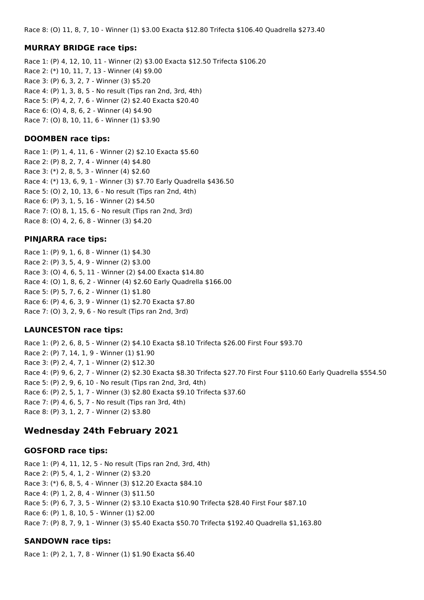Race 8: (O) 11, 8, 7, 10 - Winner (1) \$3.00 Exacta \$12.80 Trifecta \$106.40 Quadrella \$273.40

#### **MURRAY BRIDGE race tips:**

Race 1: (P) 4, 12, 10, 11 - Winner (2) \$3.00 Exacta \$12.50 Trifecta \$106.20 Race 2: (\*) 10, 11, 7, 13 - Winner (4) \$9.00 Race 3: (P) 6, 3, 2, 7 - Winner (3) \$5.20 Race 4: (P) 1, 3, 8, 5 - No result (Tips ran 2nd, 3rd, 4th) Race 5: (P) 4, 2, 7, 6 - Winner (2) \$2.40 Exacta \$20.40 Race 6: (O) 4, 8, 6, 2 - Winner (4) \$4.90 Race 7: (O) 8, 10, 11, 6 - Winner (1) \$3.90

#### **DOOMBEN race tips:**

Race 1: (P) 1, 4, 11, 6 - Winner (2) \$2.10 Exacta \$5.60 Race 2: (P) 8, 2, 7, 4 - Winner (4) \$4.80 Race 3: (\*) 2, 8, 5, 3 - Winner (4) \$2.60 Race 4: (\*) 13, 6, 9, 1 - Winner (3) \$7.70 Early Quadrella \$436.50 Race 5: (O) 2, 10, 13, 6 - No result (Tips ran 2nd, 4th) Race 6: (P) 3, 1, 5, 16 - Winner (2) \$4.50 Race 7: (O) 8, 1, 15, 6 - No result (Tips ran 2nd, 3rd) Race 8: (O) 4, 2, 6, 8 - Winner (3) \$4.20

### **PINJARRA race tips:**

Race 1: (P) 9, 1, 6, 8 - Winner (1) \$4.30 Race 2: (P) 3, 5, 4, 9 - Winner (2) \$3.00 Race 3: (O) 4, 6, 5, 11 - Winner (2) \$4.00 Exacta \$14.80 Race 4: (O) 1, 8, 6, 2 - Winner (4) \$2.60 Early Quadrella \$166.00 Race 5: (P) 5, 7, 6, 2 - Winner (1) \$1.80 Race 6: (P) 4, 6, 3, 9 - Winner (1) \$2.70 Exacta \$7.80 Race 7: (O) 3, 2, 9, 6 - No result (Tips ran 2nd, 3rd)

### **LAUNCESTON race tips:**

Race 1: (P) 2, 6, 8, 5 - Winner (2) \$4.10 Exacta \$8.10 Trifecta \$26.00 First Four \$93.70 Race 2: (P) 7, 14, 1, 9 - Winner (1) \$1.90 Race 3: (P) 2, 4, 7, 1 - Winner (2) \$12.30 Race 4: (P) 9, 6, 2, 7 - Winner (2) \$2.30 Exacta \$8.30 Trifecta \$27.70 First Four \$110.60 Early Quadrella \$554.50 Race 5: (P) 2, 9, 6, 10 - No result (Tips ran 2nd, 3rd, 4th) Race 6: (P) 2, 5, 1, 7 - Winner (3) \$2.80 Exacta \$9.10 Trifecta \$37.60 Race 7: (P) 4, 6, 5, 7 - No result (Tips ran 3rd, 4th) Race 8: (P) 3, 1, 2, 7 - Winner (2) \$3.80

# **Wednesday 24th February 2021**

#### **GOSFORD race tips:**

Race 1: (P) 4, 11, 12, 5 - No result (Tips ran 2nd, 3rd, 4th) Race 2: (P) 5, 4, 1, 2 - Winner (2) \$3.20 Race 3: (\*) 6, 8, 5, 4 - Winner (3) \$12.20 Exacta \$84.10 Race 4: (P) 1, 2, 8, 4 - Winner (3) \$11.50 Race 5: (P) 6, 7, 3, 5 - Winner (2) \$3.10 Exacta \$10.90 Trifecta \$28.40 First Four \$87.10 Race 6: (P) 1, 8, 10, 5 - Winner (1) \$2.00 Race 7: (P) 8, 7, 9, 1 - Winner (3) \$5.40 Exacta \$50.70 Trifecta \$192.40 Quadrella \$1,163.80

### **SANDOWN race tips:**

Race 1: (P) 2, 1, 7, 8 - Winner (1) \$1.90 Exacta \$6.40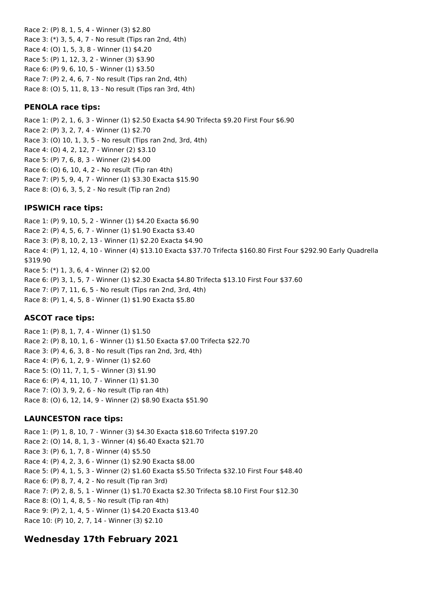Race 2: (P) 8, 1, 5, 4 - Winner (3) \$2.80 Race 3: (\*) 3, 5, 4, 7 - No result (Tips ran 2nd, 4th) Race 4: (O) 1, 5, 3, 8 - Winner (1) \$4.20 Race 5: (P) 1, 12, 3, 2 - Winner (3) \$3.90 Race 6: (P) 9, 6, 10, 5 - Winner (1) \$3.50 Race 7: (P) 2, 4, 6, 7 - No result (Tips ran 2nd, 4th) Race 8: (O) 5, 11, 8, 13 - No result (Tips ran 3rd, 4th)

#### **PENOLA race tips:**

Race 1: (P) 2, 1, 6, 3 - Winner (1) \$2.50 Exacta \$4.90 Trifecta \$9.20 First Four \$6.90 Race 2: (P) 3, 2, 7, 4 - Winner (1) \$2.70 Race 3: (O) 10, 1, 3, 5 - No result (Tips ran 2nd, 3rd, 4th) Race 4: (O) 4, 2, 12, 7 - Winner (2) \$3.10 Race 5: (P) 7, 6, 8, 3 - Winner (2) \$4.00 Race 6: (O) 6, 10, 4, 2 - No result (Tip ran 4th) Race 7: (P) 5, 9, 4, 7 - Winner (1) \$3.30 Exacta \$15.90 Race 8: (O) 6, 3, 5, 2 - No result (Tip ran 2nd)

### **IPSWICH race tips:**

Race 1: (P) 9, 10, 5, 2 - Winner (1) \$4.20 Exacta \$6.90 Race 2: (P) 4, 5, 6, 7 - Winner (1) \$1.90 Exacta \$3.40 Race 3: (P) 8, 10, 2, 13 - Winner (1) \$2.20 Exacta \$4.90 Race 4: (P) 1, 12, 4, 10 - Winner (4) \$13.10 Exacta \$37.70 Trifecta \$160.80 First Four \$292.90 Early Quadrella \$319.90 Race 5: (\*) 1, 3, 6, 4 - Winner (2) \$2.00 Race 6: (P) 3, 1, 5, 7 - Winner (1) \$2.30 Exacta \$4.80 Trifecta \$13.10 First Four \$37.60 Race 7: (P) 7, 11, 6, 5 - No result (Tips ran 2nd, 3rd, 4th) Race 8: (P) 1, 4, 5, 8 - Winner (1) \$1.90 Exacta \$5.80

### **ASCOT race tips:**

Race 1: (P) 8, 1, 7, 4 - Winner (1) \$1.50 Race 2: (P) 8, 10, 1, 6 - Winner (1) \$1.50 Exacta \$7.00 Trifecta \$22.70 Race 3: (P) 4, 6, 3, 8 - No result (Tips ran 2nd, 3rd, 4th) Race 4: (P) 6, 1, 2, 9 - Winner (1) \$2.60 Race 5: (O) 11, 7, 1, 5 - Winner (3) \$1.90 Race 6: (P) 4, 11, 10, 7 - Winner (1) \$1.30 Race 7: (O) 3, 9, 2, 6 - No result (Tip ran 4th) Race 8: (O) 6, 12, 14, 9 - Winner (2) \$8.90 Exacta \$51.90

### **LAUNCESTON race tips:**

Race 1: (P) 1, 8, 10, 7 - Winner (3) \$4.30 Exacta \$18.60 Trifecta \$197.20 Race 2: (O) 14, 8, 1, 3 - Winner (4) \$6.40 Exacta \$21.70 Race 3: (P) 6, 1, 7, 8 - Winner (4) \$5.50 Race 4: (P) 4, 2, 3, 6 - Winner (1) \$2.90 Exacta \$8.00 Race 5: (P) 4, 1, 5, 3 - Winner (2) \$1.60 Exacta \$5.50 Trifecta \$32.10 First Four \$48.40 Race 6: (P) 8, 7, 4, 2 - No result (Tip ran 3rd) Race 7: (P) 2, 8, 5, 1 - Winner (1) \$1.70 Exacta \$2.30 Trifecta \$8.10 First Four \$12.30 Race 8: (O) 1, 4, 8, 5 - No result (Tip ran 4th) Race 9: (P) 2, 1, 4, 5 - Winner (1) \$4.20 Exacta \$13.40 Race 10: (P) 10, 2, 7, 14 - Winner (3) \$2.10

# **Wednesday 17th February 2021**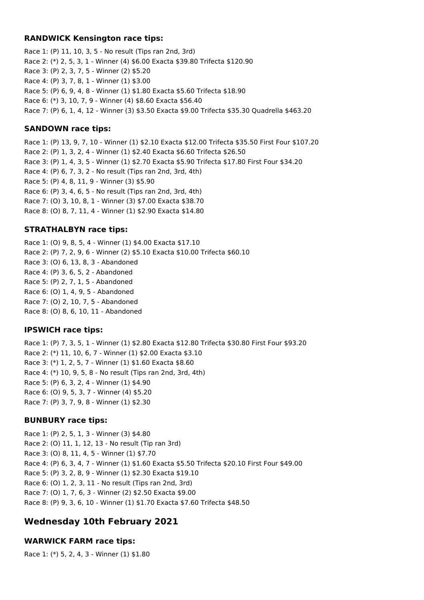#### **RANDWICK Kensington race tips:**

Race 1: (P) 11, 10, 3, 5 - No result (Tips ran 2nd, 3rd) Race 2: (\*) 2, 5, 3, 1 - Winner (4) \$6.00 Exacta \$39.80 Trifecta \$120.90 Race 3: (P) 2, 3, 7, 5 - Winner (2) \$5.20 Race 4: (P) 3, 7, 8, 1 - Winner (1) \$3.00 Race 5: (P) 6, 9, 4, 8 - Winner (1) \$1.80 Exacta \$5.60 Trifecta \$18.90 Race 6: (\*) 3, 10, 7, 9 - Winner (4) \$8.60 Exacta \$56.40 Race 7: (P) 6, 1, 4, 12 - Winner (3) \$3.50 Exacta \$9.00 Trifecta \$35.30 Quadrella \$463.20

## **SANDOWN race tips:**

Race 1: (P) 13, 9, 7, 10 - Winner (1) \$2.10 Exacta \$12.00 Trifecta \$35.50 First Four \$107.20 Race 2: (P) 1, 3, 2, 4 - Winner (1) \$2.40 Exacta \$6.60 Trifecta \$26.50 Race 3: (P) 1, 4, 3, 5 - Winner (1) \$2.70 Exacta \$5.90 Trifecta \$17.80 First Four \$34.20 Race 4: (P) 6, 7, 3, 2 - No result (Tips ran 2nd, 3rd, 4th) Race 5: (P) 4, 8, 11, 9 - Winner (3) \$5.90 Race 6: (P) 3, 4, 6, 5 - No result (Tips ran 2nd, 3rd, 4th) Race 7: (O) 3, 10, 8, 1 - Winner (3) \$7.00 Exacta \$38.70 Race 8: (O) 8, 7, 11, 4 - Winner (1) \$2.90 Exacta \$14.80

# **STRATHALBYN race tips:**

Race 1: (O) 9, 8, 5, 4 - Winner (1) \$4.00 Exacta \$17.10 Race 2: (P) 7, 2, 9, 6 - Winner (2) \$5.10 Exacta \$10.00 Trifecta \$60.10 Race 3: (O) 6, 13, 8, 3 - Abandoned Race 4: (P) 3, 6, 5, 2 - Abandoned Race 5: (P) 2, 7, 1, 5 - Abandoned Race 6: (O) 1, 4, 9, 5 - Abandoned Race 7: (O) 2, 10, 7, 5 - Abandoned Race 8: (O) 8, 6, 10, 11 - Abandoned

# **IPSWICH race tips:**

Race 1: (P) 7, 3, 5, 1 - Winner (1) \$2.80 Exacta \$12.80 Trifecta \$30.80 First Four \$93.20 Race 2: (\*) 11, 10, 6, 7 - Winner (1) \$2.00 Exacta \$3.10 Race 3: (\*) 1, 2, 5, 7 - Winner (1) \$1.60 Exacta \$8.60 Race 4: (\*) 10, 9, 5, 8 - No result (Tips ran 2nd, 3rd, 4th) Race 5: (P) 6, 3, 2, 4 - Winner (1) \$4.90 Race 6: (O) 9, 5, 3, 7 - Winner (4) \$5.20 Race 7: (P) 3, 7, 9, 8 - Winner (1) \$2.30

# **BUNBURY race tips:**

Race 1: (P) 2, 5, 1, 3 - Winner (3) \$4.80 Race 2: (O) 11, 1, 12, 13 - No result (Tip ran 3rd) Race 3: (O) 8, 11, 4, 5 - Winner (1) \$7.70 Race 4: (P) 6, 3, 4, 7 - Winner (1) \$1.60 Exacta \$5.50 Trifecta \$20.10 First Four \$49.00 Race 5: (P) 3, 2, 8, 9 - Winner (1) \$2.30 Exacta \$19.10 Race 6: (O) 1, 2, 3, 11 - No result (Tips ran 2nd, 3rd) Race 7: (O) 1, 7, 6, 3 - Winner (2) \$2.50 Exacta \$9.00 Race 8: (P) 9, 3, 6, 10 - Winner (1) \$1.70 Exacta \$7.60 Trifecta \$48.50

# **Wednesday 10th February 2021**

# **WARWICK FARM race tips:**

Race 1: (\*) 5, 2, 4, 3 - Winner (1) \$1.80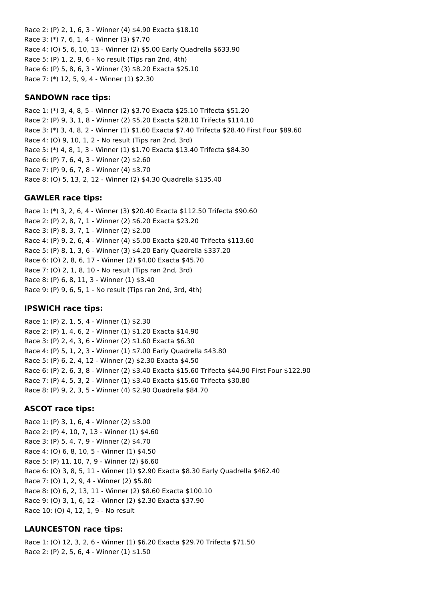Race 2: (P) 2, 1, 6, 3 - Winner (4) \$4.90 Exacta \$18.10 Race 3: (\*) 7, 6, 1, 4 - Winner (3) \$7.70 Race 4: (O) 5, 6, 10, 13 - Winner (2) \$5.00 Early Quadrella \$633.90 Race 5: (P) 1, 2, 9, 6 - No result (Tips ran 2nd, 4th) Race 6: (P) 5, 8, 6, 3 - Winner (3) \$8.20 Exacta \$25.10 Race 7: (\*) 12, 5, 9, 4 - Winner (1) \$2.30

#### **SANDOWN race tips:**

Race 1: (\*) 3, 4, 8, 5 - Winner (2) \$3.70 Exacta \$25.10 Trifecta \$51.20 Race 2: (P) 9, 3, 1, 8 - Winner (2) \$5.20 Exacta \$28.10 Trifecta \$114.10 Race 3: (\*) 3, 4, 8, 2 - Winner (1) \$1.60 Exacta \$7.40 Trifecta \$28.40 First Four \$89.60 Race 4: (O) 9, 10, 1, 2 - No result (Tips ran 2nd, 3rd) Race 5: (\*) 4, 8, 1, 3 - Winner (1) \$1.70 Exacta \$13.40 Trifecta \$84.30 Race 6: (P) 7, 6, 4, 3 - Winner (2) \$2.60 Race 7: (P) 9, 6, 7, 8 - Winner (4) \$3.70 Race 8: (O) 5, 13, 2, 12 - Winner (2) \$4.30 Quadrella \$135.40

#### **GAWLER race tips:**

Race 1: (\*) 3, 2, 6, 4 - Winner (3) \$20.40 Exacta \$112.50 Trifecta \$90.60 Race 2: (P) 2, 8, 7, 1 - Winner (2) \$6.20 Exacta \$23.20 Race 3: (P) 8, 3, 7, 1 - Winner (2) \$2.00 Race 4: (P) 9, 2, 6, 4 - Winner (4) \$5.00 Exacta \$20.40 Trifecta \$113.60 Race 5: (P) 8, 1, 3, 6 - Winner (3) \$4.20 Early Quadrella \$337.20 Race 6: (O) 2, 8, 6, 17 - Winner (2) \$4.00 Exacta \$45.70 Race 7: (O) 2, 1, 8, 10 - No result (Tips ran 2nd, 3rd) Race 8: (P) 6, 8, 11, 3 - Winner (1) \$3.40 Race 9: (P) 9, 6, 5, 1 - No result (Tips ran 2nd, 3rd, 4th)

#### **IPSWICH race tips:**

Race 1: (P) 2, 1, 5, 4 - Winner (1) \$2.30 Race 2: (P) 1, 4, 6, 2 - Winner (1) \$1.20 Exacta \$14.90 Race 3: (P) 2, 4, 3, 6 - Winner (2) \$1.60 Exacta \$6.30 Race 4: (P) 5, 1, 2, 3 - Winner (1) \$7.00 Early Quadrella \$43.80 Race 5: (P) 6, 2, 4, 12 - Winner (2) \$2.30 Exacta \$4.50 Race 6: (P) 2, 6, 3, 8 - Winner (2) \$3.40 Exacta \$15.60 Trifecta \$44.90 First Four \$122.90 Race 7: (P) 4, 5, 3, 2 - Winner (1) \$3.40 Exacta \$15.60 Trifecta \$30.80 Race 8: (P) 9, 2, 3, 5 - Winner (4) \$2.90 Quadrella \$84.70

#### **ASCOT race tips:**

Race 1: (P) 3, 1, 6, 4 - Winner (2) \$3.00 Race 2: (P) 4, 10, 7, 13 - Winner (1) \$4.60 Race 3: (P) 5, 4, 7, 9 - Winner (2) \$4.70 Race 4: (O) 6, 8, 10, 5 - Winner (1) \$4.50 Race 5: (P) 11, 10, 7, 9 - Winner (2) \$6.60 Race 6: (O) 3, 8, 5, 11 - Winner (1) \$2.90 Exacta \$8.30 Early Quadrella \$462.40 Race 7: (O) 1, 2, 9, 4 - Winner (2) \$5.80 Race 8: (O) 6, 2, 13, 11 - Winner (2) \$8.60 Exacta \$100.10 Race 9: (O) 3, 1, 6, 12 - Winner (2) \$2.30 Exacta \$37.90 Race 10: (O) 4, 12, 1, 9 - No result

#### **LAUNCESTON race tips:**

Race 1: (O) 12, 3, 2, 6 - Winner (1) \$6.20 Exacta \$29.70 Trifecta \$71.50 Race 2: (P) 2, 5, 6, 4 - Winner (1) \$1.50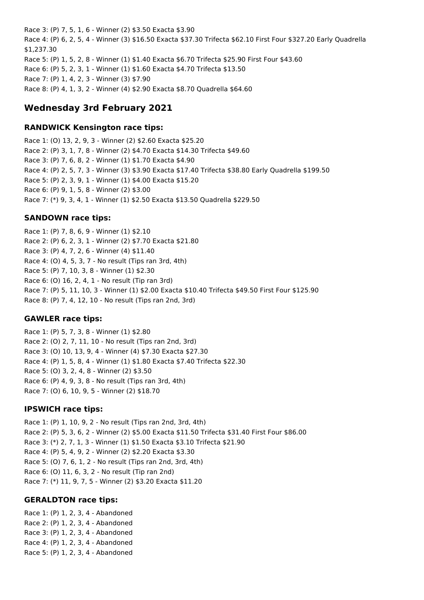Race 3: (P) 7, 5, 1, 6 - Winner (2) \$3.50 Exacta \$3.90 Race 4: (P) 6, 2, 5, 4 - Winner (3) \$16.50 Exacta \$37.30 Trifecta \$62.10 First Four \$327.20 Early Quadrella \$1,237.30 Race 5: (P) 1, 5, 2, 8 - Winner (1) \$1.40 Exacta \$6.70 Trifecta \$25.90 First Four \$43.60 Race 6: (P) 5, 2, 3, 1 - Winner (1) \$1.60 Exacta \$4.70 Trifecta \$13.50 Race 7: (P) 1, 4, 2, 3 - Winner (3) \$7.90 Race 8: (P) 4, 1, 3, 2 - Winner (4) \$2.90 Exacta \$8.70 Quadrella \$64.60

# **Wednesday 3rd February 2021**

### **RANDWICK Kensington race tips:**

Race 1: (O) 13, 2, 9, 3 - Winner (2) \$2.60 Exacta \$25.20 Race 2: (P) 3, 1, 7, 8 - Winner (2) \$4.70 Exacta \$14.30 Trifecta \$49.60 Race 3: (P) 7, 6, 8, 2 - Winner (1) \$1.70 Exacta \$4.90 Race 4: (P) 2, 5, 7, 3 - Winner (3) \$3.90 Exacta \$17.40 Trifecta \$38.80 Early Quadrella \$199.50 Race 5: (P) 2, 3, 9, 1 - Winner (1) \$4.00 Exacta \$15.20 Race 6: (P) 9, 1, 5, 8 - Winner (2) \$3.00 Race 7: (\*) 9, 3, 4, 1 - Winner (1) \$2.50 Exacta \$13.50 Quadrella \$229.50

## **SANDOWN race tips:**

Race 1: (P) 7, 8, 6, 9 - Winner (1) \$2.10 Race 2: (P) 6, 2, 3, 1 - Winner (2) \$7.70 Exacta \$21.80 Race 3: (P) 4, 7, 2, 6 - Winner (4) \$11.40 Race 4: (O) 4, 5, 3, 7 - No result (Tips ran 3rd, 4th) Race 5: (P) 7, 10, 3, 8 - Winner (1) \$2.30 Race 6: (O) 16, 2, 4, 1 - No result (Tip ran 3rd) Race 7: (P) 5, 11, 10, 3 - Winner (1) \$2.00 Exacta \$10.40 Trifecta \$49.50 First Four \$125.90 Race 8: (P) 7, 4, 12, 10 - No result (Tips ran 2nd, 3rd)

### **GAWLER race tips:**

Race 1: (P) 5, 7, 3, 8 - Winner (1) \$2.80 Race 2: (O) 2, 7, 11, 10 - No result (Tips ran 2nd, 3rd) Race 3: (O) 10, 13, 9, 4 - Winner (4) \$7.30 Exacta \$27.30 Race 4: (P) 1, 5, 8, 4 - Winner (1) \$1.80 Exacta \$7.40 Trifecta \$22.30 Race 5: (O) 3, 2, 4, 8 - Winner (2) \$3.50 Race 6: (P) 4, 9, 3, 8 - No result (Tips ran 3rd, 4th) Race 7: (O) 6, 10, 9, 5 - Winner (2) \$18.70

### **IPSWICH race tips:**

Race 1: (P) 1, 10, 9, 2 - No result (Tips ran 2nd, 3rd, 4th) Race 2: (P) 5, 3, 6, 2 - Winner (2) \$5.00 Exacta \$11.50 Trifecta \$31.40 First Four \$86.00 Race 3: (\*) 2, 7, 1, 3 - Winner (1) \$1.50 Exacta \$3.10 Trifecta \$21.90 Race 4: (P) 5, 4, 9, 2 - Winner (2) \$2.20 Exacta \$3.30 Race 5: (O) 7, 6, 1, 2 - No result (Tips ran 2nd, 3rd, 4th) Race 6: (O) 11, 6, 3, 2 - No result (Tip ran 2nd) Race 7: (\*) 11, 9, 7, 5 - Winner (2) \$3.20 Exacta \$11.20

### **GERALDTON race tips:**

Race 1: (P) 1, 2, 3, 4 - Abandoned Race 2: (P) 1, 2, 3, 4 - Abandoned Race 3: (P) 1, 2, 3, 4 - Abandoned Race 4: (P) 1, 2, 3, 4 - Abandoned Race 5: (P) 1, 2, 3, 4 - Abandoned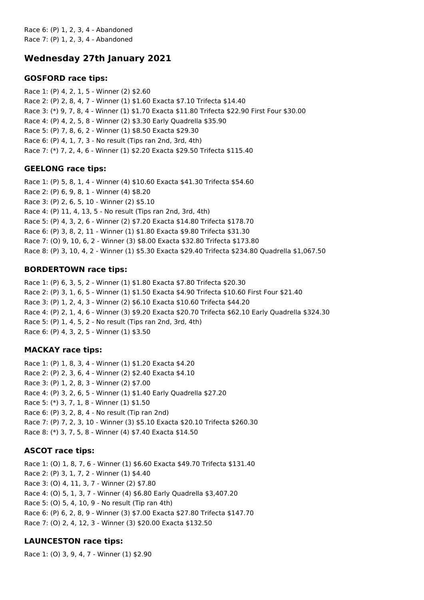Race 6: (P) 1, 2, 3, 4 - Abandoned Race 7: (P) 1, 2, 3, 4 - Abandoned

# **Wednesday 27th January 2021**

### **GOSFORD race tips:**

Race 1: (P) 4, 2, 1, 5 - Winner (2) \$2.60 Race 2: (P) 2, 8, 4, 7 - Winner (1) \$1.60 Exacta \$7.10 Trifecta \$14.40 Race 3: (\*) 9, 7, 8, 4 - Winner (1) \$1.70 Exacta \$11.80 Trifecta \$22.90 First Four \$30.00 Race 4: (P) 4, 2, 5, 8 - Winner (2) \$3.30 Early Quadrella \$35.90 Race 5: (P) 7, 8, 6, 2 - Winner (1) \$8.50 Exacta \$29.30 Race 6: (P) 4, 1, 7, 3 - No result (Tips ran 2nd, 3rd, 4th) Race 7: (\*) 7, 2, 4, 6 - Winner (1) \$2.20 Exacta \$29.50 Trifecta \$115.40

### **GEELONG race tips:**

Race 1: (P) 5, 8, 1, 4 - Winner (4) \$10.60 Exacta \$41.30 Trifecta \$54.60 Race 2: (P) 6, 9, 8, 1 - Winner (4) \$8.20 Race 3: (P) 2, 6, 5, 10 - Winner (2) \$5.10 Race 4: (P) 11, 4, 13, 5 - No result (Tips ran 2nd, 3rd, 4th) Race 5: (P) 4, 3, 2, 6 - Winner (2) \$7.20 Exacta \$14.80 Trifecta \$178.70 Race 6: (P) 3, 8, 2, 11 - Winner (1) \$1.80 Exacta \$9.80 Trifecta \$31.30 Race 7: (O) 9, 10, 6, 2 - Winner (3) \$8.00 Exacta \$32.80 Trifecta \$173.80 Race 8: (P) 3, 10, 4, 2 - Winner (1) \$5.30 Exacta \$29.40 Trifecta \$234.80 Quadrella \$1,067.50

### **BORDERTOWN race tips:**

Race 1: (P) 6, 3, 5, 2 - Winner (1) \$1.80 Exacta \$7.80 Trifecta \$20.30 Race 2: (P) 3, 1, 6, 5 - Winner (1) \$1.50 Exacta \$4.90 Trifecta \$10.60 First Four \$21.40 Race 3: (P) 1, 2, 4, 3 - Winner (2) \$6.10 Exacta \$10.60 Trifecta \$44.20 Race 4: (P) 2, 1, 4, 6 - Winner (3) \$9.20 Exacta \$20.70 Trifecta \$62.10 Early Quadrella \$324.30 Race 5: (P) 1, 4, 5, 2 - No result (Tips ran 2nd, 3rd, 4th) Race 6: (P) 4, 3, 2, 5 - Winner (1) \$3.50

#### **MACKAY race tips:**

Race 1: (P) 1, 8, 3, 4 - Winner (1) \$1.20 Exacta \$4.20 Race 2: (P) 2, 3, 6, 4 - Winner (2) \$2.40 Exacta \$4.10 Race 3: (P) 1, 2, 8, 3 - Winner (2) \$7.00 Race 4: (P) 3, 2, 6, 5 - Winner (1) \$1.40 Early Quadrella \$27.20 Race 5: (\*) 3, 7, 1, 8 - Winner (1) \$1.50 Race 6: (P) 3, 2, 8, 4 - No result (Tip ran 2nd) Race 7: (P) 7, 2, 3, 10 - Winner (3) \$5.10 Exacta \$20.10 Trifecta \$260.30 Race 8: (\*) 3, 7, 5, 8 - Winner (4) \$7.40 Exacta \$14.50

### **ASCOT race tips:**

Race 1: (O) 1, 8, 7, 6 - Winner (1) \$6.60 Exacta \$49.70 Trifecta \$131.40 Race 2: (P) 3, 1, 7, 2 - Winner (1) \$4.40 Race 3: (O) 4, 11, 3, 7 - Winner (2) \$7.80 Race 4: (O) 5, 1, 3, 7 - Winner (4) \$6.80 Early Quadrella \$3,407.20 Race 5: (O) 5, 4, 10, 9 - No result (Tip ran 4th) Race 6: (P) 6, 2, 8, 9 - Winner (3) \$7.00 Exacta \$27.80 Trifecta \$147.70 Race 7: (O) 2, 4, 12, 3 - Winner (3) \$20.00 Exacta \$132.50

# **LAUNCESTON race tips:**

Race 1: (O) 3, 9, 4, 7 - Winner (1) \$2.90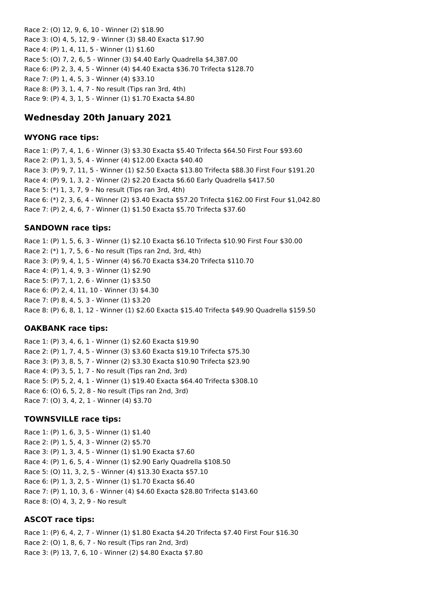Race 2: (O) 12, 9, 6, 10 - Winner (2) \$18.90 Race 3: (O) 4, 5, 12, 9 - Winner (3) \$8.40 Exacta \$17.90 Race 4: (P) 1, 4, 11, 5 - Winner (1) \$1.60 Race 5: (O) 7, 2, 6, 5 - Winner (3) \$4.40 Early Quadrella \$4,387.00 Race 6: (P) 2, 3, 4, 5 - Winner (4) \$4.40 Exacta \$36.70 Trifecta \$128.70 Race 7: (P) 1, 4, 5, 3 - Winner (4) \$33.10 Race 8: (P) 3, 1, 4, 7 - No result (Tips ran 3rd, 4th) Race 9: (P) 4, 3, 1, 5 - Winner (1) \$1.70 Exacta \$4.80

# **Wednesday 20th January 2021**

#### **WYONG race tips:**

Race 1: (P) 7, 4, 1, 6 - Winner (3) \$3.30 Exacta \$5.40 Trifecta \$64.50 First Four \$93.60 Race 2: (P) 1, 3, 5, 4 - Winner (4) \$12.00 Exacta \$40.40 Race 3: (P) 9, 7, 11, 5 - Winner (1) \$2.50 Exacta \$13.80 Trifecta \$88.30 First Four \$191.20 Race 4: (P) 9, 1, 3, 2 - Winner (2) \$2.20 Exacta \$6.60 Early Quadrella \$417.50 Race 5: (\*) 1, 3, 7, 9 - No result (Tips ran 3rd, 4th) Race 6: (\*) 2, 3, 6, 4 - Winner (2) \$3.40 Exacta \$57.20 Trifecta \$162.00 First Four \$1,042.80 Race 7: (P) 2, 4, 6, 7 - Winner (1) \$1.50 Exacta \$5.70 Trifecta \$37.60

#### **SANDOWN race tips:**

Race 1: (P) 1, 5, 6, 3 - Winner (1) \$2.10 Exacta \$6.10 Trifecta \$10.90 First Four \$30.00 Race 2: (\*) 1, 7, 5, 6 - No result (Tips ran 2nd, 3rd, 4th) Race 3: (P) 9, 4, 1, 5 - Winner (4) \$6.70 Exacta \$34.20 Trifecta \$110.70 Race 4: (P) 1, 4, 9, 3 - Winner (1) \$2.90 Race 5: (P) 7, 1, 2, 6 - Winner (1) \$3.50 Race 6: (P) 2, 4, 11, 10 - Winner (3) \$4.30 Race 7: (P) 8, 4, 5, 3 - Winner (1) \$3.20 Race 8: (P) 6, 8, 1, 12 - Winner (1) \$2.60 Exacta \$15.40 Trifecta \$49.90 Quadrella \$159.50

#### **OAKBANK race tips:**

Race 1: (P) 3, 4, 6, 1 - Winner (1) \$2.60 Exacta \$19.90 Race 2: (P) 1, 7, 4, 5 - Winner (3) \$3.60 Exacta \$19.10 Trifecta \$75.30 Race 3: (P) 3, 8, 5, 7 - Winner (2) \$3.30 Exacta \$10.90 Trifecta \$23.90 Race 4: (P) 3, 5, 1, 7 - No result (Tips ran 2nd, 3rd) Race 5: (P) 5, 2, 4, 1 - Winner (1) \$19.40 Exacta \$64.40 Trifecta \$308.10 Race 6: (O) 6, 5, 2, 8 - No result (Tips ran 2nd, 3rd) Race 7: (O) 3, 4, 2, 1 - Winner (4) \$3.70

#### **TOWNSVILLE race tips:**

Race 1: (P) 1, 6, 3, 5 - Winner (1) \$1.40 Race 2: (P) 1, 5, 4, 3 - Winner (2) \$5.70 Race 3: (P) 1, 3, 4, 5 - Winner (1) \$1.90 Exacta \$7.60 Race 4: (P) 1, 6, 5, 4 - Winner (1) \$2.90 Early Quadrella \$108.50 Race 5: (O) 11, 3, 2, 5 - Winner (4) \$13.30 Exacta \$57.10 Race 6: (P) 1, 3, 2, 5 - Winner (1) \$1.70 Exacta \$6.40 Race 7: (P) 1, 10, 3, 6 - Winner (4) \$4.60 Exacta \$28.80 Trifecta \$143.60 Race 8: (O) 4, 3, 2, 9 - No result

#### **ASCOT race tips:**

Race 1: (P) 6, 4, 2, 7 - Winner (1) \$1.80 Exacta \$4.20 Trifecta \$7.40 First Four \$16.30 Race 2: (O) 1, 8, 6, 7 - No result (Tips ran 2nd, 3rd) Race 3: (P) 13, 7, 6, 10 - Winner (2) \$4.80 Exacta \$7.80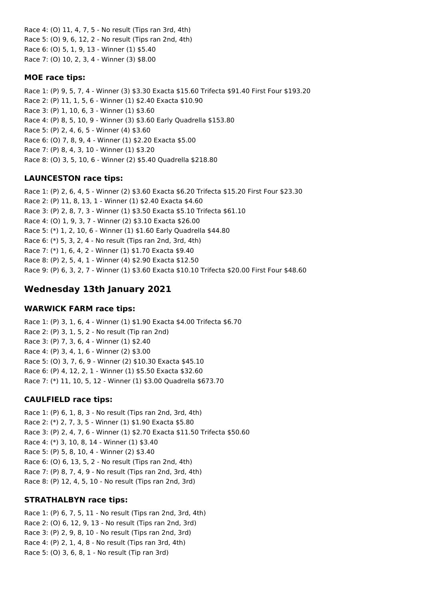Race 4: (O) 11, 4, 7, 5 - No result (Tips ran 3rd, 4th) Race 5: (O) 9, 6, 12, 2 - No result (Tips ran 2nd, 4th) Race 6: (O) 5, 1, 9, 13 - Winner (1) \$5.40 Race 7: (O) 10, 2, 3, 4 - Winner (3) \$8.00

### **MOE race tips:**

Race 1: (P) 9, 5, 7, 4 - Winner (3) \$3.30 Exacta \$15.60 Trifecta \$91.40 First Four \$193.20 Race 2: (P) 11, 1, 5, 6 - Winner (1) \$2.40 Exacta \$10.90 Race 3: (P) 1, 10, 6, 3 - Winner (1) \$3.60 Race 4: (P) 8, 5, 10, 9 - Winner (3) \$3.60 Early Quadrella \$153.80 Race 5: (P) 2, 4, 6, 5 - Winner (4) \$3.60 Race 6: (O) 7, 8, 9, 4 - Winner (1) \$2.20 Exacta \$5.00 Race 7: (P) 8, 4, 3, 10 - Winner (1) \$3.20 Race 8: (O) 3, 5, 10, 6 - Winner (2) \$5.40 Quadrella \$218.80

## **LAUNCESTON race tips:**

Race 1: (P) 2, 6, 4, 5 - Winner (2) \$3.60 Exacta \$6.20 Trifecta \$15.20 First Four \$23.30 Race 2: (P) 11, 8, 13, 1 - Winner (1) \$2.40 Exacta \$4.60 Race 3: (P) 2, 8, 7, 3 - Winner (1) \$3.50 Exacta \$5.10 Trifecta \$61.10 Race 4: (O) 1, 9, 3, 7 - Winner (2) \$3.10 Exacta \$26.00 Race 5: (\*) 1, 2, 10, 6 - Winner (1) \$1.60 Early Quadrella \$44.80 Race 6: (\*) 5, 3, 2, 4 - No result (Tips ran 2nd, 3rd, 4th) Race 7: (\*) 1, 6, 4, 2 - Winner (1) \$1.70 Exacta \$9.40 Race 8: (P) 2, 5, 4, 1 - Winner (4) \$2.90 Exacta \$12.50 Race 9: (P) 6, 3, 2, 7 - Winner (1) \$3.60 Exacta \$10.10 Trifecta \$20.00 First Four \$48.60

# **Wednesday 13th January 2021**

### **WARWICK FARM race tips:**

Race 1: (P) 3, 1, 6, 4 - Winner (1) \$1.90 Exacta \$4.00 Trifecta \$6.70 Race 2: (P) 3, 1, 5, 2 - No result (Tip ran 2nd) Race 3: (P) 7, 3, 6, 4 - Winner (1) \$2.40 Race 4: (P) 3, 4, 1, 6 - Winner (2) \$3.00 Race 5: (O) 3, 7, 6, 9 - Winner (2) \$10.30 Exacta \$45.10 Race 6: (P) 4, 12, 2, 1 - Winner (1) \$5.50 Exacta \$32.60 Race 7: (\*) 11, 10, 5, 12 - Winner (1) \$3.00 Quadrella \$673.70

# **CAULFIELD race tips:**

Race 1: (P) 6, 1, 8, 3 - No result (Tips ran 2nd, 3rd, 4th) Race 2: (\*) 2, 7, 3, 5 - Winner (1) \$1.90 Exacta \$5.80 Race 3: (P) 2, 4, 7, 6 - Winner (1) \$2.70 Exacta \$11.50 Trifecta \$50.60 Race 4: (\*) 3, 10, 8, 14 - Winner (1) \$3.40 Race 5: (P) 5, 8, 10, 4 - Winner (2) \$3.40 Race 6: (O) 6, 13, 5, 2 - No result (Tips ran 2nd, 4th) Race 7: (P) 8, 7, 4, 9 - No result (Tips ran 2nd, 3rd, 4th) Race 8: (P) 12, 4, 5, 10 - No result (Tips ran 2nd, 3rd)

### **STRATHALBYN race tips:**

Race 1: (P) 6, 7, 5, 11 - No result (Tips ran 2nd, 3rd, 4th) Race 2: (O) 6, 12, 9, 13 - No result (Tips ran 2nd, 3rd) Race 3: (P) 2, 9, 8, 10 - No result (Tips ran 2nd, 3rd) Race 4: (P) 2, 1, 4, 8 - No result (Tips ran 3rd, 4th) Race 5: (O) 3, 6, 8, 1 - No result (Tip ran 3rd)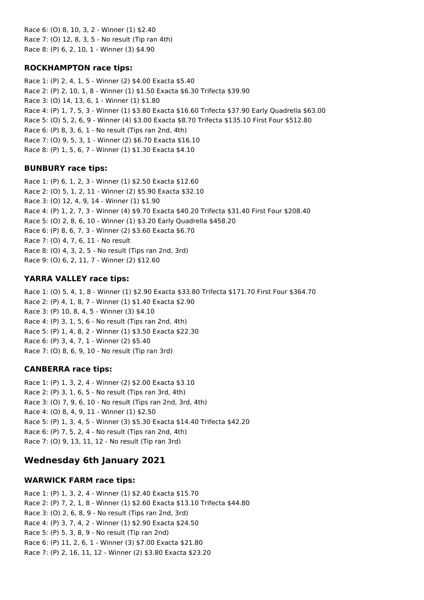Race 6: (O) 8, 10, 3, 2 - Winner (1) \$2.40 Race 7: (O) 12, 8, 3, 5 - No result (Tip ran 4th) Race 8: (P) 6, 2, 10, 1 - Winner (3) \$4.90

### **ROCKHAMPTON race tips:**

Race 1: (P) 2, 4, 1, 5 - Winner (2) \$4.00 Exacta \$5.40 Race 2: (P) 2, 10, 1, 8 - Winner (1) \$1.50 Exacta \$6.30 Trifecta \$39.90 Race 3: (O) 14, 13, 6, 1 - Winner (1) \$1.80 Race 4: (P) 1, 7, 5, 3 - Winner (1) \$3.80 Exacta \$16.60 Trifecta \$37.90 Early Quadrella \$63.00 Race 5: (O) 5, 2, 6, 9 - Winner (4) \$3.00 Exacta \$8.70 Trifecta \$135.10 First Four \$512.80 Race 6: (P) 8, 3, 6, 1 - No result (Tips ran 2nd, 4th) Race 7: (O) 9, 5, 3, 1 - Winner (2) \$6.70 Exacta \$16.10 Race 8: (P) 1, 5, 6, 7 - Winner (1) \$1.30 Exacta \$4.10

# **BUNBURY race tips:**

Race 1: (P) 6, 1, 2, 3 - Winner (1) \$2.50 Exacta \$12.60 Race 2: (O) 5, 1, 2, 11 - Winner (2) \$5.90 Exacta \$32.10 Race 3: (O) 12, 4, 9, 14 - Winner (1) \$1.90 Race 4: (P) 1, 2, 7, 3 - Winner (4) \$9.70 Exacta \$40.20 Trifecta \$31.40 First Four \$208.40 Race 5: (O) 2, 8, 6, 10 - Winner (1) \$3.20 Early Quadrella \$458.20 Race 6: (P) 8, 6, 7, 3 - Winner (2) \$3.60 Exacta \$6.70 Race 7: (O) 4, 7, 6, 11 - No result Race 8: (O) 4, 3, 2, 5 - No result (Tips ran 2nd, 3rd) Race 9: (O) 6, 2, 11, 7 - Winner (2) \$12.60

# **YARRA VALLEY race tips:**

Race 1: (O) 5, 4, 1, 8 - Winner (1) \$2.90 Exacta \$33.80 Trifecta \$171.70 First Four \$364.70 Race 2: (P) 4, 1, 8, 7 - Winner (1) \$1.40 Exacta \$2.90 Race 3: (P) 10, 8, 4, 5 - Winner (3) \$4.10 Race 4: (P) 3, 1, 5, 6 - No result (Tips ran 2nd, 4th) Race 5: (P) 1, 4, 8, 2 - Winner (1) \$3.50 Exacta \$22.30 Race 6: (P) 3, 4, 7, 1 - Winner (2) \$5.40 Race 7: (O) 8, 6, 9, 10 - No result (Tip ran 3rd)

# **CANBERRA race tips:**

Race 1: (P) 1, 3, 2, 4 - Winner (2) \$2.00 Exacta \$3.10 Race 2: (P) 3, 1, 6, 5 - No result (Tips ran 3rd, 4th) Race 3: (O) 7, 9, 6, 10 - No result (Tips ran 2nd, 3rd, 4th) Race 4: (O) 8, 4, 9, 11 - Winner (1) \$2.50 Race 5: (P) 1, 3, 4, 5 - Winner (3) \$5.30 Exacta \$14.40 Trifecta \$42.20 Race 6: (P) 7, 5, 2, 4 - No result (Tips ran 2nd, 4th) Race 7: (O) 9, 13, 11, 12 - No result (Tip ran 3rd)

# **Wednesday 6th January 2021**

# **WARWICK FARM race tips:**

Race 1: (P) 1, 3, 2, 4 - Winner (1) \$2.40 Exacta \$15.70 Race 2: (P) 7, 2, 1, 8 - Winner (1) \$2.60 Exacta \$13.10 Trifecta \$44.80 Race 3: (O) 2, 6, 8, 9 - No result (Tips ran 2nd, 3rd) Race 4: (P) 3, 7, 4, 2 - Winner (1) \$2.90 Exacta \$24.50 Race 5: (P) 5, 3, 8, 9 - No result (Tip ran 2nd) Race 6: (P) 11, 2, 6, 1 - Winner (3) \$7.00 Exacta \$21.80 Race 7: (P) 2, 16, 11, 12 - Winner (2) \$3.80 Exacta \$23.20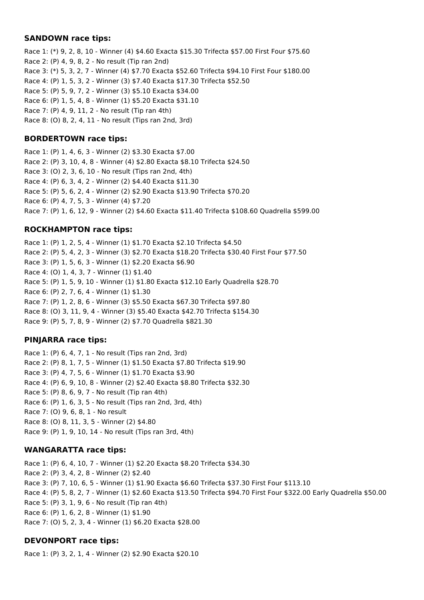#### **SANDOWN race tips:**

Race 1: (\*) 9, 2, 8, 10 - Winner (4) \$4.60 Exacta \$15.30 Trifecta \$57.00 First Four \$75.60 Race 2: (P) 4, 9, 8, 2 - No result (Tip ran 2nd) Race 3: (\*) 5, 3, 2, 7 - Winner (4) \$7.70 Exacta \$52.60 Trifecta \$94.10 First Four \$180.00 Race 4: (P) 1, 5, 3, 2 - Winner (3) \$7.40 Exacta \$17.30 Trifecta \$52.50 Race 5: (P) 5, 9, 7, 2 - Winner (3) \$5.10 Exacta \$34.00 Race 6: (P) 1, 5, 4, 8 - Winner (1) \$5.20 Exacta \$31.10 Race 7: (P) 4, 9, 11, 2 - No result (Tip ran 4th) Race 8: (O) 8, 2, 4, 11 - No result (Tips ran 2nd, 3rd)

### **BORDERTOWN race tips:**

Race 1: (P) 1, 4, 6, 3 - Winner (2) \$3.30 Exacta \$7.00 Race 2: (P) 3, 10, 4, 8 - Winner (4) \$2.80 Exacta \$8.10 Trifecta \$24.50 Race 3: (O) 2, 3, 6, 10 - No result (Tips ran 2nd, 4th) Race 4: (P) 6, 3, 4, 2 - Winner (2) \$4.40 Exacta \$11.30 Race 5: (P) 5, 6, 2, 4 - Winner (2) \$2.90 Exacta \$13.90 Trifecta \$70.20 Race 6: (P) 4, 7, 5, 3 - Winner (4) \$7.20 Race 7: (P) 1, 6, 12, 9 - Winner (2) \$4.60 Exacta \$11.40 Trifecta \$108.60 Quadrella \$599.00

# **ROCKHAMPTON race tips:**

Race 1: (P) 1, 2, 5, 4 - Winner (1) \$1.70 Exacta \$2.10 Trifecta \$4.50 Race 2: (P) 5, 4, 2, 3 - Winner (3) \$2.70 Exacta \$18.20 Trifecta \$30.40 First Four \$77.50 Race 3: (P) 1, 5, 6, 3 - Winner (1) \$2.20 Exacta \$6.90 Race 4: (O) 1, 4, 3, 7 - Winner (1) \$1.40 Race 5: (P) 1, 5, 9, 10 - Winner (1) \$1.80 Exacta \$12.10 Early Quadrella \$28.70 Race 6: (P) 2, 7, 6, 4 - Winner (1) \$1.30 Race 7: (P) 1, 2, 8, 6 - Winner (3) \$5.50 Exacta \$67.30 Trifecta \$97.80 Race 8: (O) 3, 11, 9, 4 - Winner (3) \$5.40 Exacta \$42.70 Trifecta \$154.30 Race 9: (P) 5, 7, 8, 9 - Winner (2) \$7.70 Quadrella \$821.30

# **PINJARRA race tips:**

Race 1: (P) 6, 4, 7, 1 - No result (Tips ran 2nd, 3rd) Race 2: (P) 8, 1, 7, 5 - Winner (1) \$1.50 Exacta \$7.80 Trifecta \$19.90 Race 3: (P) 4, 7, 5, 6 - Winner (1) \$1.70 Exacta \$3.90 Race 4: (P) 6, 9, 10, 8 - Winner (2) \$2.40 Exacta \$8.80 Trifecta \$32.30 Race 5: (P) 8, 6, 9, 7 - No result (Tip ran 4th) Race 6: (P) 1, 6, 3, 5 - No result (Tips ran 2nd, 3rd, 4th) Race 7: (O) 9, 6, 8, 1 - No result Race 8: (O) 8, 11, 3, 5 - Winner (2) \$4.80 Race 9: (P) 1, 9, 10, 14 - No result (Tips ran 3rd, 4th)

# **WANGARATTA race tips:**

Race 1: (P) 6, 4, 10, 7 - Winner (1) \$2.20 Exacta \$8.20 Trifecta \$34.30 Race 2: (P) 3, 4, 2, 8 - Winner (2) \$2.40 Race 3: (P) 7, 10, 6, 5 - Winner (1) \$1.90 Exacta \$6.60 Trifecta \$37.30 First Four \$113.10 Race 4: (P) 5, 8, 2, 7 - Winner (1) \$2.60 Exacta \$13.50 Trifecta \$94.70 First Four \$322.00 Early Quadrella \$50.00 Race 5: (P) 3, 1, 9, 6 - No result (Tip ran 4th) Race 6: (P) 1, 6, 2, 8 - Winner (1) \$1.90 Race 7: (O) 5, 2, 3, 4 - Winner (1) \$6.20 Exacta \$28.00

# **DEVONPORT race tips:**

Race 1: (P) 3, 2, 1, 4 - Winner (2) \$2.90 Exacta \$20.10